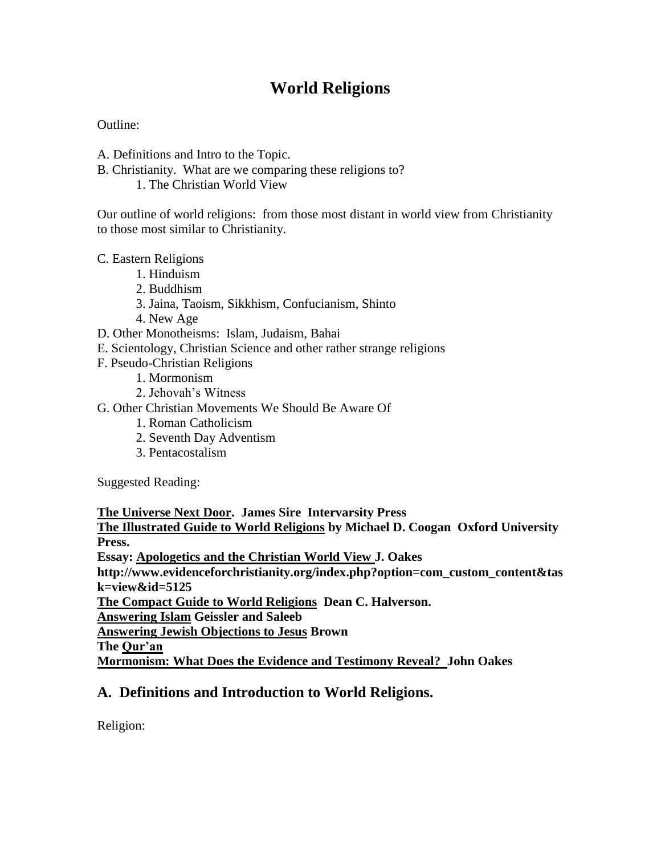# **World Religions**

Outline:

- A. Definitions and Intro to the Topic.
- B. Christianity. What are we comparing these religions to?

1. The Christian World View

Our outline of world religions: from those most distant in world view from Christianity to those most similar to Christianity.

C. Eastern Religions

- 1. Hinduism
- 2. Buddhism
- 3. Jaina, Taoism, Sikkhism, Confucianism, Shinto
- 4. New Age
- D. Other Monotheisms: Islam, Judaism, Bahai
- E. Scientology, Christian Science and other rather strange religions
- F. Pseudo-Christian Religions
	- 1. Mormonism
	- 2. Jehovah's Witness
- G. Other Christian Movements We Should Be Aware Of
	- 1. Roman Catholicism
		- 2. Seventh Day Adventism
		- 3. Pentacostalism

Suggested Reading:

**The Universe Next Door. James Sire Intervarsity Press The Illustrated Guide to World Religions by Michael D. Coogan Oxford University Press. Essay: Apologetics and the Christian World View J. Oakes http://www.evidenceforchristianity.org/index.php?option=com\_custom\_content&tas k=view&id=5125 The Compact Guide to World Religions Dean C. Halverson. Answering Islam Geissler and Saleeb Answering Jewish Objections to Jesus Brown The Qur'an**

## **Mormonism: What Does the Evidence and Testimony Reveal? John Oakes**

# **A. Definitions and Introduction to World Religions.**

Religion: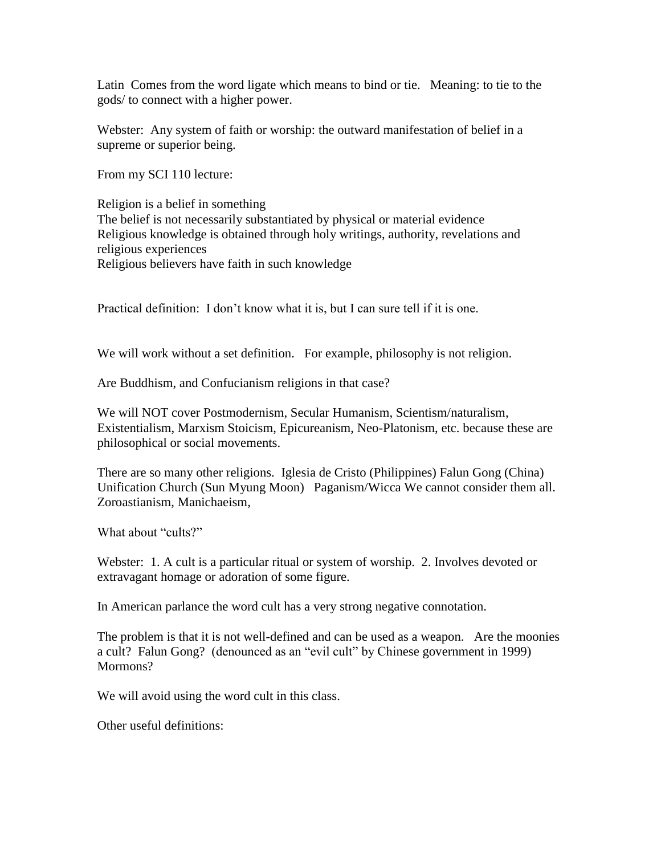Latin Comes from the word ligate which means to bind or tie. Meaning: to tie to the gods/ to connect with a higher power.

Webster: Any system of faith or worship: the outward manifestation of belief in a supreme or superior being.

From my SCI 110 lecture:

Religion is a belief in something The belief is not necessarily substantiated by physical or material evidence Religious knowledge is obtained through holy writings, authority, revelations and religious experiences Religious believers have faith in such knowledge

Practical definition: I don't know what it is, but I can sure tell if it is one.

We will work without a set definition. For example, philosophy is not religion.

Are Buddhism, and Confucianism religions in that case?

We will NOT cover Postmodernism, Secular Humanism, Scientism/naturalism, Existentialism, Marxism Stoicism, Epicureanism, Neo-Platonism, etc. because these are philosophical or social movements.

There are so many other religions. Iglesia de Cristo (Philippines) Falun Gong (China) Unification Church (Sun Myung Moon) Paganism/Wicca We cannot consider them all. Zoroastianism, Manichaeism,

What about "cults?"

Webster: 1. A cult is a particular ritual or system of worship. 2. Involves devoted or extravagant homage or adoration of some figure.

In American parlance the word cult has a very strong negative connotation.

The problem is that it is not well-defined and can be used as a weapon. Are the moonies a cult? Falun Gong? (denounced as an "evil cult" by Chinese government in 1999) Mormons?

We will avoid using the word cult in this class.

Other useful definitions: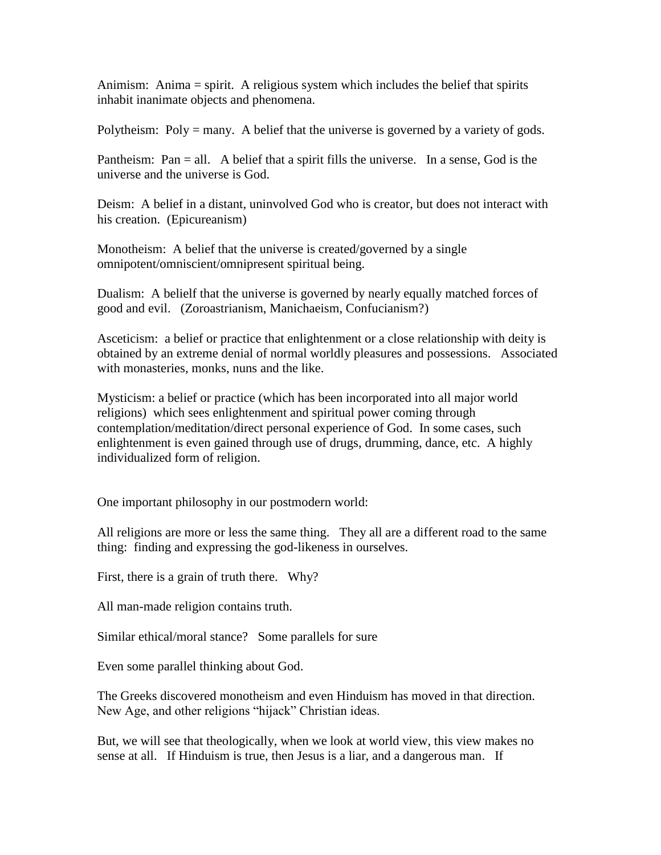Animism: Anima = spirit. A religious system which includes the belief that spirits inhabit inanimate objects and phenomena.

Polytheism: Poly = many. A belief that the universe is governed by a variety of gods.

Pantheism: Pan = all. A belief that a spirit fills the universe. In a sense, God is the universe and the universe is God.

Deism: A belief in a distant, uninvolved God who is creator, but does not interact with his creation. (Epicureanism)

Monotheism: A belief that the universe is created/governed by a single omnipotent/omniscient/omnipresent spiritual being.

Dualism: A belielf that the universe is governed by nearly equally matched forces of good and evil. (Zoroastrianism, Manichaeism, Confucianism?)

Asceticism: a belief or practice that enlightenment or a close relationship with deity is obtained by an extreme denial of normal worldly pleasures and possessions. Associated with monasteries, monks, nuns and the like.

Mysticism: a belief or practice (which has been incorporated into all major world religions) which sees enlightenment and spiritual power coming through contemplation/meditation/direct personal experience of God. In some cases, such enlightenment is even gained through use of drugs, drumming, dance, etc. A highly individualized form of religion.

One important philosophy in our postmodern world:

All religions are more or less the same thing. They all are a different road to the same thing: finding and expressing the god-likeness in ourselves.

First, there is a grain of truth there. Why?

All man-made religion contains truth.

Similar ethical/moral stance? Some parallels for sure

Even some parallel thinking about God.

The Greeks discovered monotheism and even Hinduism has moved in that direction. New Age, and other religions "hijack" Christian ideas.

But, we will see that theologically, when we look at world view, this view makes no sense at all. If Hinduism is true, then Jesus is a liar, and a dangerous man. If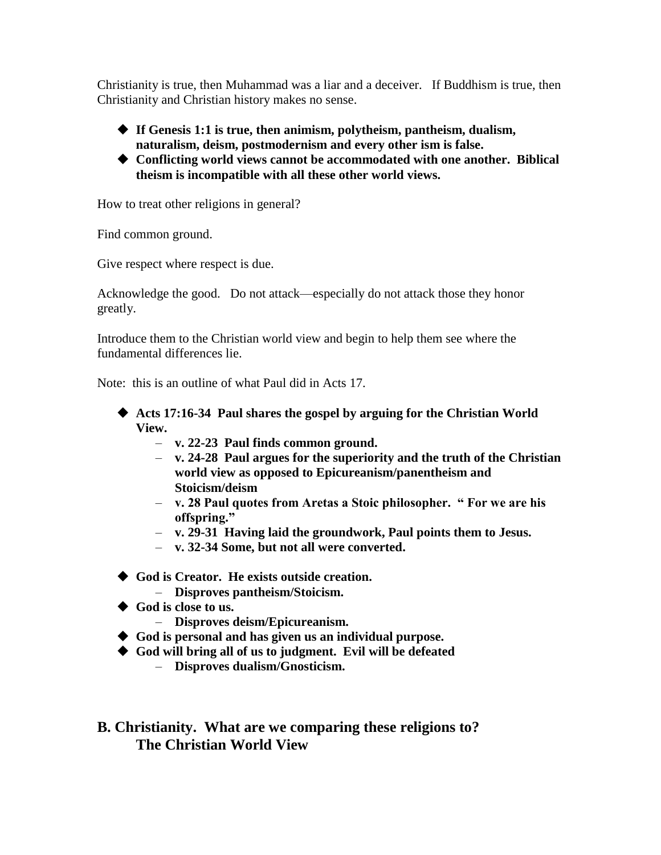Christianity is true, then Muhammad was a liar and a deceiver. If Buddhism is true, then Christianity and Christian history makes no sense.

- **If Genesis 1:1 is true, then animism, polytheism, pantheism, dualism, naturalism, deism, postmodernism and every other ism is false.**
- **Conflicting world views cannot be accommodated with one another. Biblical theism is incompatible with all these other world views.**

How to treat other religions in general?

Find common ground.

Give respect where respect is due.

Acknowledge the good. Do not attack—especially do not attack those they honor greatly.

Introduce them to the Christian world view and begin to help them see where the fundamental differences lie.

Note: this is an outline of what Paul did in Acts 17.

- **Acts 17:16-34 Paul shares the gospel by arguing for the Christian World View.**
	- **v. 22-23 Paul finds common ground.**
	- **v. 24-28 Paul argues for the superiority and the truth of the Christian world view as opposed to Epicureanism/panentheism and Stoicism/deism**
	- **v. 28 Paul quotes from Aretas a Stoic philosopher. " For we are his offspring."**
	- **v. 29-31 Having laid the groundwork, Paul points them to Jesus.**
	- **v. 32-34 Some, but not all were converted.**
- **God is Creator. He exists outside creation.**
	- **Disproves pantheism/Stoicism.**
- ◆ God is close to us.
	- **Disproves deism/Epicureanism.**
- **God is personal and has given us an individual purpose.**
- **God will bring all of us to judgment. Evil will be defeated**
	- **Disproves dualism/Gnosticism.**

**B. Christianity. What are we comparing these religions to? The Christian World View**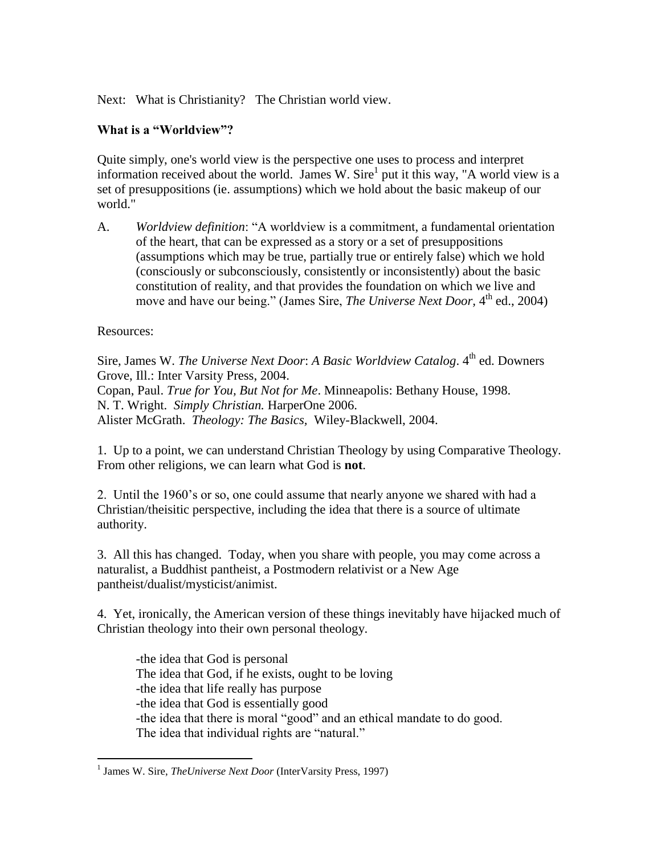Next: What is Christianity? The Christian world view.

## **What is a "Worldview"?**

Quite simply, one's world view is the perspective one uses to process and interpret information received about the world. James W. Sire<sup>1</sup> put it this way, "A world view is a set of presuppositions (ie. assumptions) which we hold about the basic makeup of our world."

A. *Worldview definition*: "A worldview is a commitment, a fundamental orientation of the heart, that can be expressed as a story or a set of presuppositions (assumptions which may be true, partially true or entirely false) which we hold (consciously or subconsciously, consistently or inconsistently) about the basic constitution of reality, and that provides the foundation on which we live and move and have our being." (James Sire, *The Universe Next Door*, 4<sup>th</sup> ed., 2004)

## Resources:

 $\overline{a}$ 

Sire, James W. *The Universe Next Door: A Basic Worldview Catalog.* 4<sup>th</sup> ed. Downers Grove, Ill.: Inter Varsity Press, 2004. Copan, Paul. *True for You, But Not for Me*. Minneapolis: Bethany House, 1998. N. T. Wright. *Simply Christian.* HarperOne 2006. Alister McGrath. *Theology: The Basics,* Wiley-Blackwell, 2004.

1. Up to a point, we can understand Christian Theology by using Comparative Theology. From other religions, we can learn what God is **not**.

2. Until the 1960's or so, one could assume that nearly anyone we shared with had a Christian/theisitic perspective, including the idea that there is a source of ultimate authority.

3. All this has changed. Today, when you share with people, you may come across a naturalist, a Buddhist pantheist, a Postmodern relativist or a New Age pantheist/dualist/mysticist/animist.

4. Yet, ironically, the American version of these things inevitably have hijacked much of Christian theology into their own personal theology.

-the idea that God is personal The idea that God, if he exists, ought to be loving -the idea that life really has purpose -the idea that God is essentially good -the idea that there is moral "good" and an ethical mandate to do good. The idea that individual rights are "natural."

<sup>&</sup>lt;sup>1</sup> James W. Sire, *The Universe Next Door* (InterVarsity Press, 1997)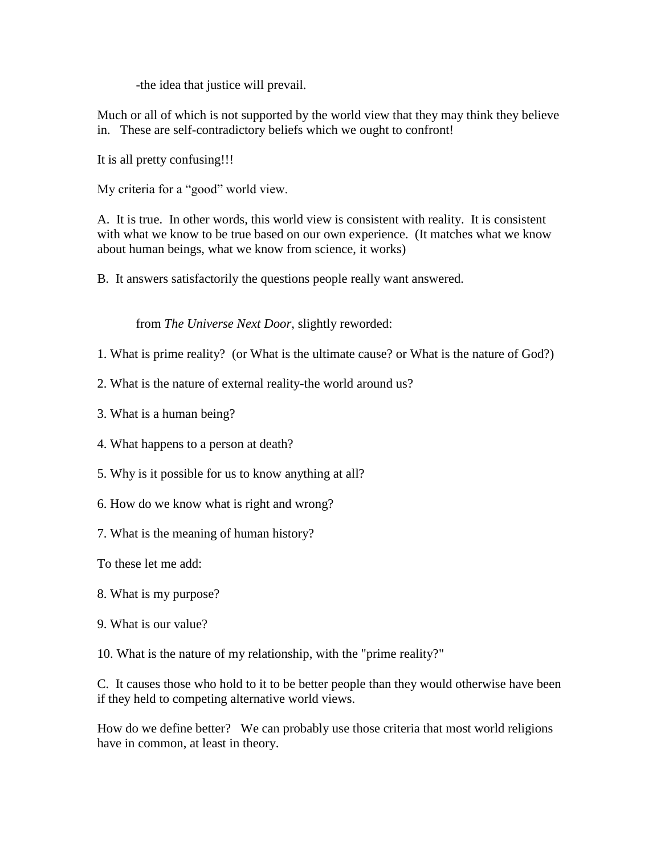-the idea that justice will prevail.

Much or all of which is not supported by the world view that they may think they believe in. These are self-contradictory beliefs which we ought to confront!

It is all pretty confusing!!!

My criteria for a "good" world view.

A. It is true. In other words, this world view is consistent with reality. It is consistent with what we know to be true based on our own experience. (It matches what we know about human beings, what we know from science, it works)

B. It answers satisfactorily the questions people really want answered.

from *The Universe Next Door*, slightly reworded:

1. What is prime reality? (or What is the ultimate cause? or What is the nature of God?)

2. What is the nature of external reality-the world around us?

3. What is a human being?

4. What happens to a person at death?

5. Why is it possible for us to know anything at all?

6. How do we know what is right and wrong?

7. What is the meaning of human history?

To these let me add:

8. What is my purpose?

9. What is our value?

10. What is the nature of my relationship, with the "prime reality?"

C. It causes those who hold to it to be better people than they would otherwise have been if they held to competing alternative world views.

How do we define better? We can probably use those criteria that most world religions have in common, at least in theory.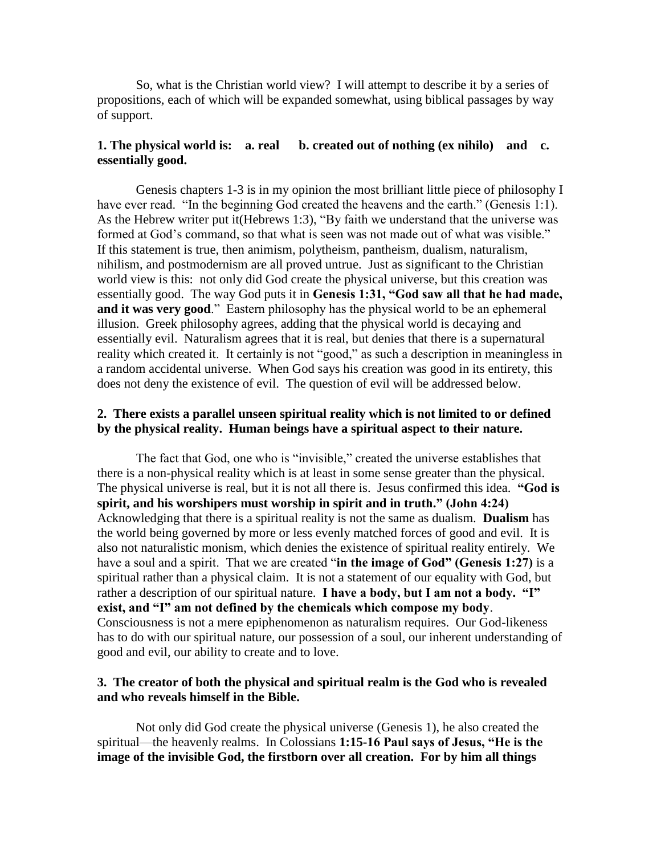So, what is the Christian world view? I will attempt to describe it by a series of propositions, each of which will be expanded somewhat, using biblical passages by way of support.

#### **1. The physical world is: a. real b. created out of nothing (ex nihilo) and c. essentially good.**

Genesis chapters 1-3 is in my opinion the most brilliant little piece of philosophy I have ever read. "In the beginning God created the heavens and the earth." (Genesis 1:1). As the Hebrew writer put it(Hebrews 1:3), "By faith we understand that the universe was formed at God's command, so that what is seen was not made out of what was visible." If this statement is true, then animism, polytheism, pantheism, dualism, naturalism, nihilism, and postmodernism are all proved untrue. Just as significant to the Christian world view is this: not only did God create the physical universe, but this creation was essentially good. The way God puts it in **Genesis 1:31, "God saw all that he had made, and it was very good**." Eastern philosophy has the physical world to be an ephemeral illusion. Greek philosophy agrees, adding that the physical world is decaying and essentially evil. Naturalism agrees that it is real, but denies that there is a supernatural reality which created it. It certainly is not "good," as such a description in meaningless in a random accidental universe. When God says his creation was good in its entirety, this does not deny the existence of evil. The question of evil will be addressed below.

#### **2. There exists a parallel unseen spiritual reality which is not limited to or defined by the physical reality. Human beings have a spiritual aspect to their nature.**

The fact that God, one who is "invisible," created the universe establishes that there is a non-physical reality which is at least in some sense greater than the physical. The physical universe is real, but it is not all there is. Jesus confirmed this idea. **"God is spirit, and his worshipers must worship in spirit and in truth." (John 4:24)** Acknowledging that there is a spiritual reality is not the same as dualism. **Dualism** has the world being governed by more or less evenly matched forces of good and evil. It is also not naturalistic monism, which denies the existence of spiritual reality entirely. We have a soul and a spirit. That we are created "**in the image of God" (Genesis 1:27)** is a spiritual rather than a physical claim. It is not a statement of our equality with God, but rather a description of our spiritual nature. **I have a body, but I am not a body. "I" exist, and "I" am not defined by the chemicals which compose my body**. Consciousness is not a mere epiphenomenon as naturalism requires. Our God-likeness has to do with our spiritual nature, our possession of a soul, our inherent understanding of good and evil, our ability to create and to love.

#### **3. The creator of both the physical and spiritual realm is the God who is revealed and who reveals himself in the Bible.**

Not only did God create the physical universe (Genesis 1), he also created the spiritual—the heavenly realms. In Colossians **1:15-16 Paul says of Jesus, "He is the image of the invisible God, the firstborn over all creation. For by him all things**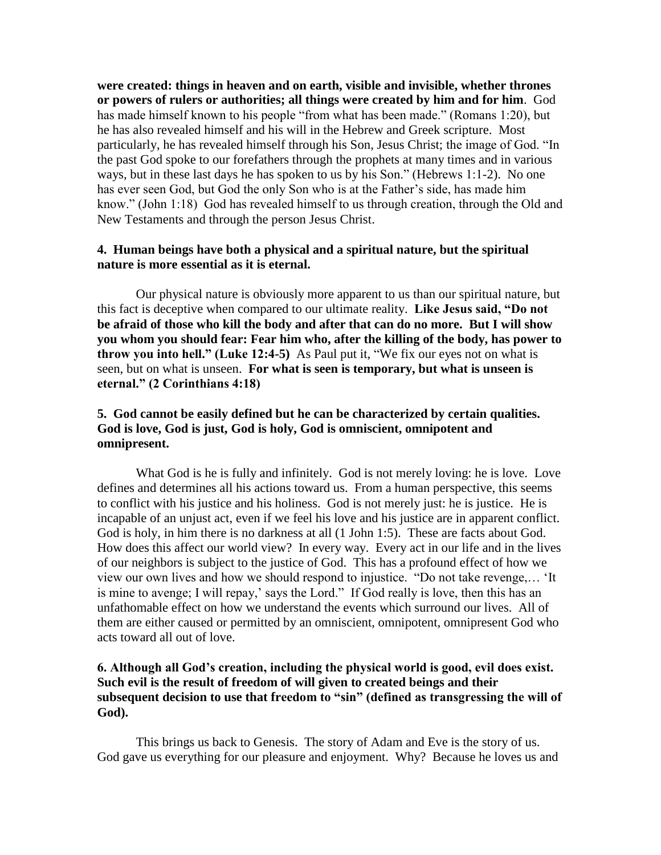**were created: things in heaven and on earth, visible and invisible, whether thrones or powers of rulers or authorities; all things were created by him and for him**. God has made himself known to his people "from what has been made." (Romans 1:20), but he has also revealed himself and his will in the Hebrew and Greek scripture. Most particularly, he has revealed himself through his Son, Jesus Christ; the image of God. "In the past God spoke to our forefathers through the prophets at many times and in various ways, but in these last days he has spoken to us by his Son." (Hebrews 1:1-2). No one has ever seen God, but God the only Son who is at the Father's side, has made him know." (John 1:18) God has revealed himself to us through creation, through the Old and New Testaments and through the person Jesus Christ.

## **4. Human beings have both a physical and a spiritual nature, but the spiritual nature is more essential as it is eternal.**

Our physical nature is obviously more apparent to us than our spiritual nature, but this fact is deceptive when compared to our ultimate reality. **Like Jesus said, "Do not be afraid of those who kill the body and after that can do no more. But I will show you whom you should fear: Fear him who, after the killing of the body, has power to throw you into hell." (Luke 12:4-5)** As Paul put it, "We fix our eyes not on what is seen, but on what is unseen. **For what is seen is temporary, but what is unseen is eternal." (2 Corinthians 4:18)**

#### **5. God cannot be easily defined but he can be characterized by certain qualities. God is love, God is just, God is holy, God is omniscient, omnipotent and omnipresent.**

What God is he is fully and infinitely. God is not merely loving: he is love. Love defines and determines all his actions toward us. From a human perspective, this seems to conflict with his justice and his holiness. God is not merely just: he is justice. He is incapable of an unjust act, even if we feel his love and his justice are in apparent conflict. God is holy, in him there is no darkness at all (1 John 1:5). These are facts about God. How does this affect our world view? In every way. Every act in our life and in the lives of our neighbors is subject to the justice of God. This has a profound effect of how we view our own lives and how we should respond to injustice. "Do not take revenge,… 'It is mine to avenge; I will repay,' says the Lord." If God really is love, then this has an unfathomable effect on how we understand the events which surround our lives. All of them are either caused or permitted by an omniscient, omnipotent, omnipresent God who acts toward all out of love.

#### **6. Although all God's creation, including the physical world is good, evil does exist. Such evil is the result of freedom of will given to created beings and their subsequent decision to use that freedom to "sin" (defined as transgressing the will of God).**

This brings us back to Genesis. The story of Adam and Eve is the story of us. God gave us everything for our pleasure and enjoyment. Why? Because he loves us and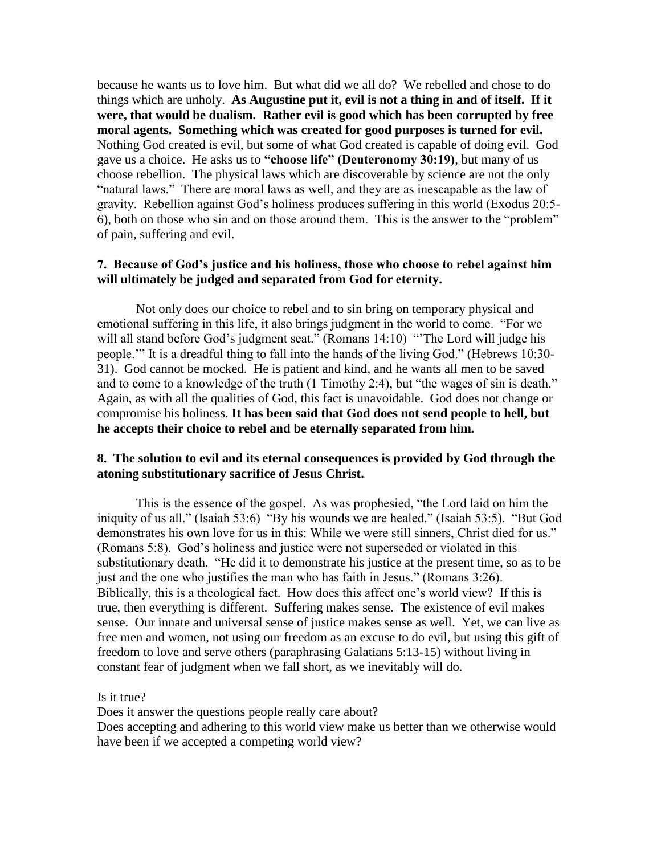because he wants us to love him. But what did we all do? We rebelled and chose to do things which are unholy. **As Augustine put it, evil is not a thing in and of itself. If it were, that would be dualism. Rather evil is good which has been corrupted by free moral agents. Something which was created for good purposes is turned for evil.**  Nothing God created is evil, but some of what God created is capable of doing evil. God gave us a choice. He asks us to **"choose life" (Deuteronomy 30:19)**, but many of us choose rebellion. The physical laws which are discoverable by science are not the only "natural laws." There are moral laws as well, and they are as inescapable as the law of gravity. Rebellion against God's holiness produces suffering in this world (Exodus 20:5- 6), both on those who sin and on those around them. This is the answer to the "problem" of pain, suffering and evil.

#### **7. Because of God's justice and his holiness, those who choose to rebel against him will ultimately be judged and separated from God for eternity.**

Not only does our choice to rebel and to sin bring on temporary physical and emotional suffering in this life, it also brings judgment in the world to come. "For we will all stand before God's judgment seat." (Romans 14:10) "The Lord will judge his people.'" It is a dreadful thing to fall into the hands of the living God." (Hebrews 10:30- 31). God cannot be mocked. He is patient and kind, and he wants all men to be saved and to come to a knowledge of the truth (1 Timothy 2:4), but "the wages of sin is death." Again, as with all the qualities of God, this fact is unavoidable. God does not change or compromise his holiness. **It has been said that God does not send people to hell, but he accepts their choice to rebel and be eternally separated from him.**

#### **8. The solution to evil and its eternal consequences is provided by God through the atoning substitutionary sacrifice of Jesus Christ.**

This is the essence of the gospel. As was prophesied, "the Lord laid on him the iniquity of us all." (Isaiah 53:6) "By his wounds we are healed." (Isaiah 53:5). "But God demonstrates his own love for us in this: While we were still sinners, Christ died for us." (Romans 5:8). God's holiness and justice were not superseded or violated in this substitutionary death. "He did it to demonstrate his justice at the present time, so as to be just and the one who justifies the man who has faith in Jesus." (Romans 3:26). Biblically, this is a theological fact. How does this affect one's world view? If this is true, then everything is different. Suffering makes sense. The existence of evil makes sense. Our innate and universal sense of justice makes sense as well. Yet, we can live as free men and women, not using our freedom as an excuse to do evil, but using this gift of freedom to love and serve others (paraphrasing Galatians 5:13-15) without living in constant fear of judgment when we fall short, as we inevitably will do.

Is it true?

Does it answer the questions people really care about?

Does accepting and adhering to this world view make us better than we otherwise would have been if we accepted a competing world view?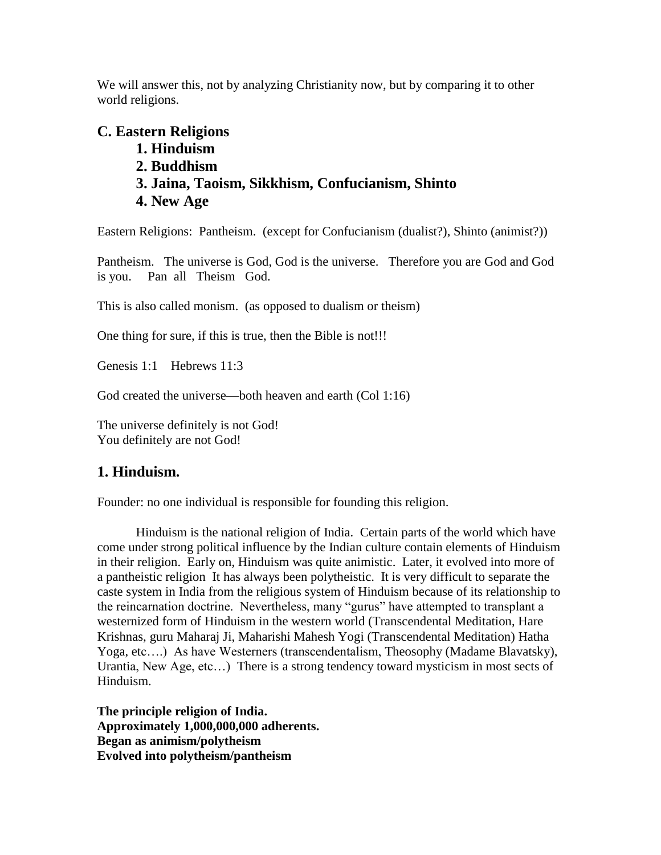We will answer this, not by analyzing Christianity now, but by comparing it to other world religions.

# **C. Eastern Religions**

**1. Hinduism 2. Buddhism 3. Jaina, Taoism, Sikkhism, Confucianism, Shinto 4. New Age**

Eastern Religions: Pantheism. (except for Confucianism (dualist?), Shinto (animist?))

Pantheism. The universe is God, God is the universe. Therefore you are God and God is you. Pan all Theism God.

This is also called monism. (as opposed to dualism or theism)

One thing for sure, if this is true, then the Bible is not!!!

Genesis 1:1 Hebrews 11:3

God created the universe—both heaven and earth (Col 1:16)

The universe definitely is not God! You definitely are not God!

# **1. Hinduism.**

Founder: no one individual is responsible for founding this religion.

Hinduism is the national religion of India. Certain parts of the world which have come under strong political influence by the Indian culture contain elements of Hinduism in their religion. Early on, Hinduism was quite animistic. Later, it evolved into more of a pantheistic religion It has always been polytheistic. It is very difficult to separate the caste system in India from the religious system of Hinduism because of its relationship to the reincarnation doctrine. Nevertheless, many "gurus" have attempted to transplant a westernized form of Hinduism in the western world (Transcendental Meditation, Hare Krishnas, guru Maharaj Ji, Maharishi Mahesh Yogi (Transcendental Meditation) Hatha Yoga, etc….) As have Westerners (transcendentalism, Theosophy (Madame Blavatsky), Urantia, New Age, etc…) There is a strong tendency toward mysticism in most sects of Hinduism.

**The principle religion of India. Approximately 1,000,000,000 adherents. Began as animism/polytheism Evolved into polytheism/pantheism**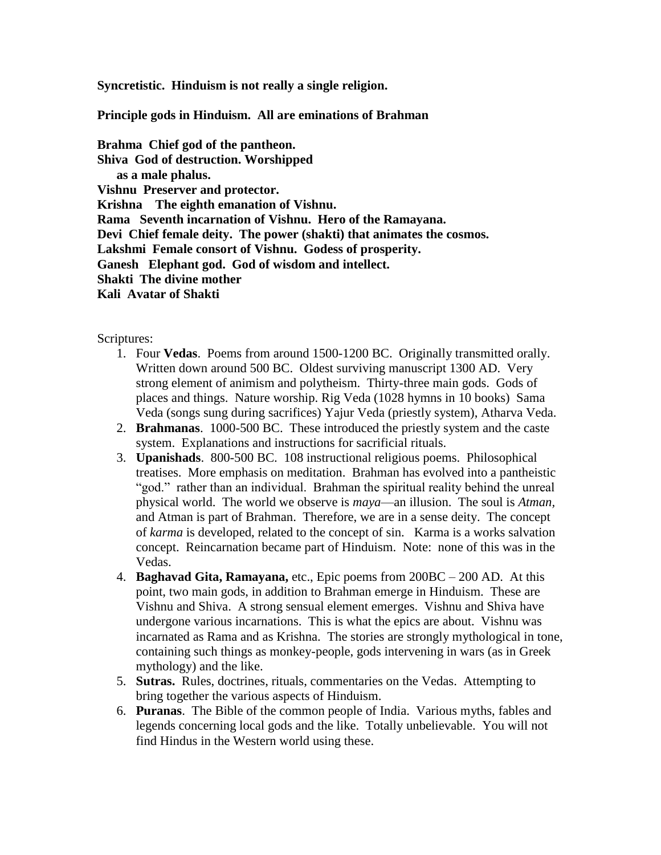**Syncretistic. Hinduism is not really a single religion.**

**Principle gods in Hinduism. All are eminations of Brahman**

**Brahma Chief god of the pantheon. Shiva God of destruction. Worshipped as a male phalus. Vishnu Preserver and protector. Krishna The eighth emanation of Vishnu. Rama Seventh incarnation of Vishnu. Hero of the Ramayana. Devi Chief female deity. The power (shakti) that animates the cosmos. Lakshmi Female consort of Vishnu. Godess of prosperity. Ganesh Elephant god. God of wisdom and intellect. Shakti The divine mother Kali Avatar of Shakti**

Scriptures:

- 1. Four **Vedas**. Poems from around 1500-1200 BC. Originally transmitted orally. Written down around 500 BC. Oldest surviving manuscript 1300 AD. Very strong element of animism and polytheism. Thirty-three main gods. Gods of places and things. Nature worship. Rig Veda (1028 hymns in 10 books) Sama Veda (songs sung during sacrifices) Yajur Veda (priestly system), Atharva Veda.
- 2. **Brahmanas**. 1000-500 BC. These introduced the priestly system and the caste system. Explanations and instructions for sacrificial rituals.
- 3. **Upanishads**. 800-500 BC. 108 instructional religious poems. Philosophical treatises. More emphasis on meditation. Brahman has evolved into a pantheistic "god." rather than an individual. Brahman the spiritual reality behind the unreal physical world. The world we observe is *maya*—an illusion. The soul is *Atman,*  and Atman is part of Brahman. Therefore, we are in a sense deity. The concept of *karma* is developed, related to the concept of sin. Karma is a works salvation concept. Reincarnation became part of Hinduism. Note: none of this was in the Vedas.
- 4. **Baghavad Gita, Ramayana,** etc., Epic poems from 200BC 200 AD. At this point, two main gods, in addition to Brahman emerge in Hinduism. These are Vishnu and Shiva. A strong sensual element emerges. Vishnu and Shiva have undergone various incarnations. This is what the epics are about. Vishnu was incarnated as Rama and as Krishna. The stories are strongly mythological in tone, containing such things as monkey-people, gods intervening in wars (as in Greek mythology) and the like.
- 5. **Sutras.** Rules, doctrines, rituals, commentaries on the Vedas. Attempting to bring together the various aspects of Hinduism.
- 6. **Puranas**. The Bible of the common people of India. Various myths, fables and legends concerning local gods and the like. Totally unbelievable. You will not find Hindus in the Western world using these.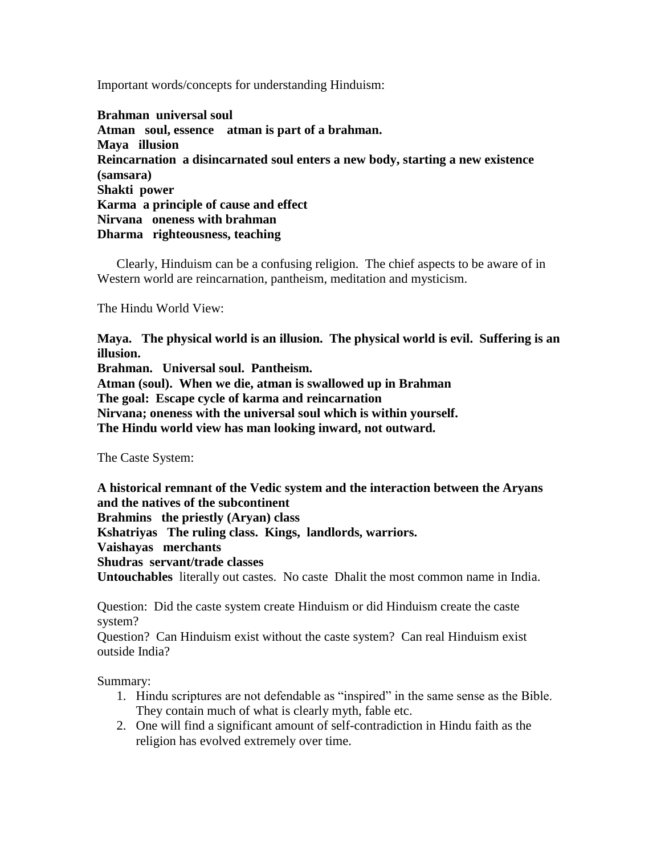Important words/concepts for understanding Hinduism:

**Brahman universal soul Atman soul, essence atman is part of a brahman. Maya illusion Reincarnation a disincarnated soul enters a new body, starting a new existence (samsara) Shakti power Karma a principle of cause and effect Nirvana oneness with brahman Dharma righteousness, teaching**

Clearly, Hinduism can be a confusing religion. The chief aspects to be aware of in Western world are reincarnation, pantheism, meditation and mysticism.

The Hindu World View:

**Maya. The physical world is an illusion. The physical world is evil. Suffering is an illusion.**

**Brahman. Universal soul. Pantheism.**

**Atman (soul). When we die, atman is swallowed up in Brahman**

**The goal: Escape cycle of karma and reincarnation**

**Nirvana; oneness with the universal soul which is within yourself.**

**The Hindu world view has man looking inward, not outward.**

The Caste System:

**A historical remnant of the Vedic system and the interaction between the Aryans and the natives of the subcontinent**

**Brahmins the priestly (Aryan) class**

**Kshatriyas The ruling class. Kings, landlords, warriors.**

**Vaishayas merchants**

**Shudras servant/trade classes**

**Untouchables** literally out castes. No caste Dhalit the most common name in India.

Question: Did the caste system create Hinduism or did Hinduism create the caste system?

Question? Can Hinduism exist without the caste system? Can real Hinduism exist outside India?

Summary:

- 1. Hindu scriptures are not defendable as "inspired" in the same sense as the Bible. They contain much of what is clearly myth, fable etc.
- 2. One will find a significant amount of self-contradiction in Hindu faith as the religion has evolved extremely over time.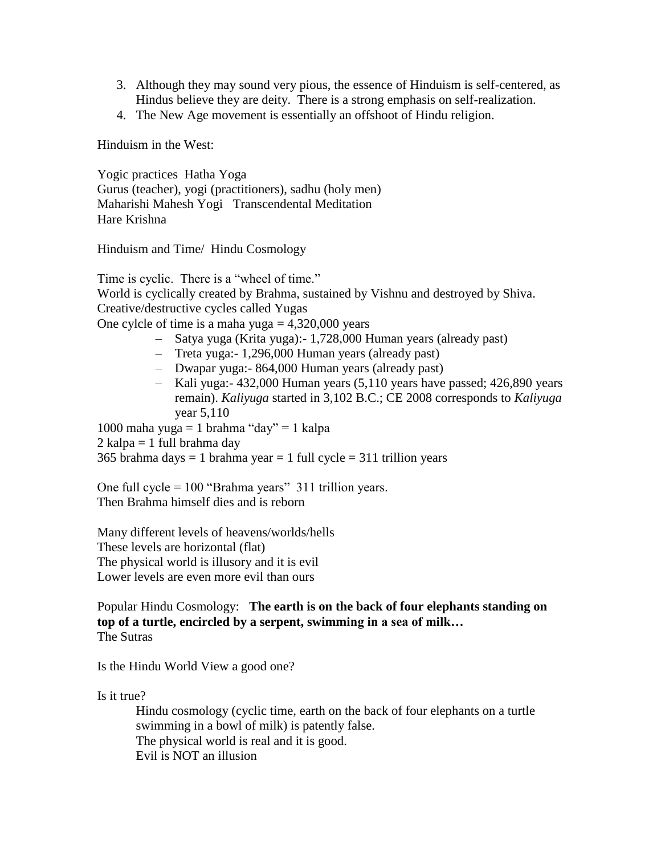- 3. Although they may sound very pious, the essence of Hinduism is self-centered, as Hindus believe they are deity. There is a strong emphasis on self-realization.
- 4. The New Age movement is essentially an offshoot of Hindu religion.

Hinduism in the West:

Yogic practices Hatha Yoga Gurus (teacher), yogi (practitioners), sadhu (holy men) Maharishi Mahesh Yogi Transcendental Meditation Hare Krishna

Hinduism and Time/ Hindu Cosmology

Time is cyclic. There is a "wheel of time." World is cyclically created by Brahma, sustained by Vishnu and destroyed by Shiva. Creative/destructive cycles called Yugas

One cylcle of time is a maha yuga  $= 4,320,000$  years

- Satya yuga (Krita yuga):- 1,728,000 Human years (already past)
- Treta yuga:- 1,296,000 Human years (already past)
- Dwapar yuga:- 864,000 Human years (already past)
- Kali yuga:- 432,000 Human years (5,110 years have passed; 426,890 years remain). *Kaliyuga* started in 3,102 B.C.; CE 2008 corresponds to *Kaliyuga* year 5,110

1000 maha yuga = 1 brahma "day" = 1 kalpa  $2$  kalpa = 1 full brahma day 365 brahma days = 1 brahma year = 1 full cycle =  $311$  trillion years

One full cycle  $= 100$  "Brahma years" 311 trillion years. Then Brahma himself dies and is reborn

Many different levels of heavens/worlds/hells These levels are horizontal (flat) The physical world is illusory and it is evil Lower levels are even more evil than ours

#### Popular Hindu Cosmology: **The earth is on the back of four elephants standing on top of a turtle, encircled by a serpent, swimming in a sea of milk…** The Sutras

Is the Hindu World View a good one?

Is it true?

Hindu cosmology (cyclic time, earth on the back of four elephants on a turtle swimming in a bowl of milk) is patently false. The physical world is real and it is good. Evil is NOT an illusion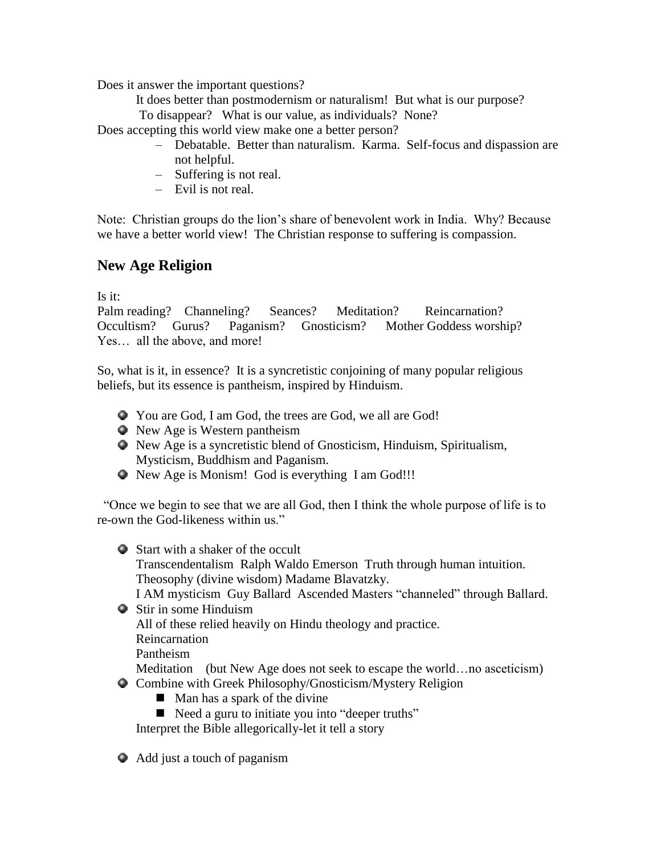Does it answer the important questions?

It does better than postmodernism or naturalism! But what is our purpose?

To disappear? What is our value, as individuals? None?

Does accepting this world view make one a better person?

- Debatable. Better than naturalism. Karma. Self-focus and dispassion are not helpful.
- Suffering is not real.
- Evil is not real.

Note: Christian groups do the lion's share of benevolent work in India. Why? Because we have a better world view! The Christian response to suffering is compassion.

# **New Age Religion**

Is it:

Palm reading? Channeling? Seances? Meditation? Reincarnation? Occultism? Gurus? Paganism? Gnosticism? Mother Goddess worship? Yes… all the above, and more!

So, what is it, in essence? It is a syncretistic conjoining of many popular religious beliefs, but its essence is pantheism, inspired by Hinduism.

- You are God, I am God, the trees are God, we all are God!
- New Age is Western pantheism
- New Age is a syncretistic blend of Gnosticism, Hinduism, Spiritualism, Mysticism, Buddhism and Paganism.
- New Age is Monism! God is everything I am God!!!

 "Once we begin to see that we are all God, then I think the whole purpose of life is to re-own the God-likeness within us."

- Start with a shaker of the occult Transcendentalism Ralph Waldo Emerson Truth through human intuition. Theosophy (divine wisdom) Madame Blavatzky. I AM mysticism Guy Ballard Ascended Masters "channeled" through Ballard. Stir in some Hinduism All of these relied heavily on Hindu theology and practice. Reincarnation Pantheism Meditation (but New Age does not seek to escape the world...no asceticism) Combine with Greek Philosophy/Gnosticism/Mystery Religion
	- $\blacksquare$  Man has a spark of the divine
	- Need a guru to initiate you into "deeper truths"

Interpret the Bible allegorically-let it tell a story

Add just a touch of paganism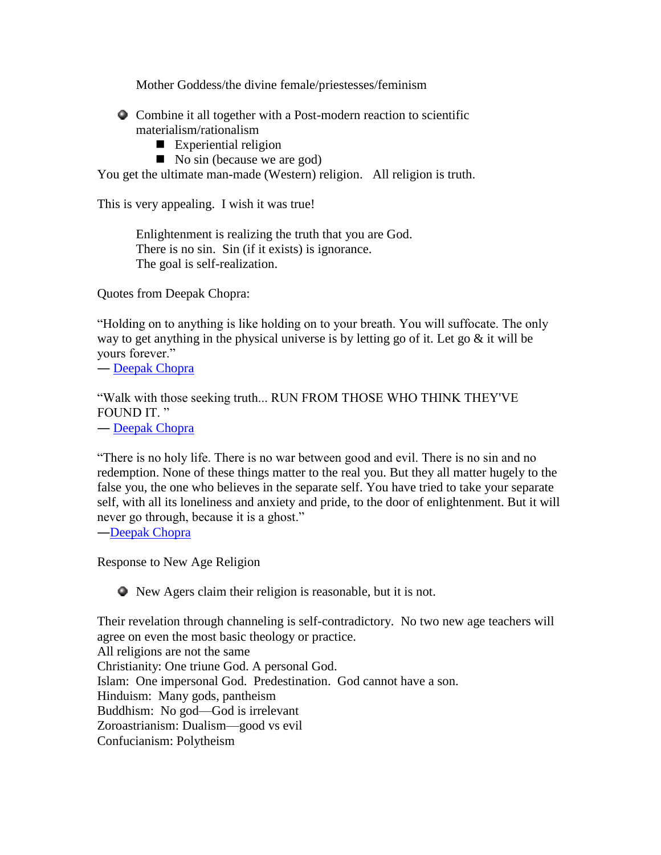Mother Goddess/the divine female/priestesses/feminism

Combine it all together with a Post-modern reaction to scientific materialism/rationalism

- Experiential religion
- $\blacksquare$  No sin (because we are god)

You get the ultimate man-made (Western) religion. All religion is truth.

This is very appealing. I wish it was true!

Enlightenment is realizing the truth that you are God. There is no sin. Sin (if it exists) is ignorance. The goal is self-realization.

Quotes from Deepak Chopra:

"Holding on to anything is like holding on to your breath. You will suffocate. The only way to get anything in the physical universe is by letting go of it. Let go  $\&$  it will be yours forever."

― [Deepak Chopra](http://www.goodreads.com/author/show/138207.Deepak_Chopra)

"Walk with those seeking truth... RUN FROM THOSE WHO THINK THEY'VE FOUND IT."

― [Deepak Chopra](http://www.goodreads.com/author/show/138207.Deepak_Chopra)

"There is no holy life. There is no war between good and evil. There is no sin and no redemption. None of these things matter to the real you. But they all matter hugely to the false you, the one who believes in the separate self. You have tried to take your separate self, with all its loneliness and anxiety and pride, to the door of enlightenment. But it will never go through, because it is a ghost."

―Deepak Chopra

Response to New Age Religion

New Agers claim their religion is reasonable, but it is not.

Their revelation through channeling is self-contradictory. No two new age teachers will agree on even the most basic theology or practice. All religions are not the same Christianity: One triune God. A personal God. Islam: One impersonal God. Predestination. God cannot have a son. Hinduism: Many gods, pantheism Buddhism: No god—God is irrelevant Zoroastrianism: Dualism—good vs evil Confucianism: Polytheism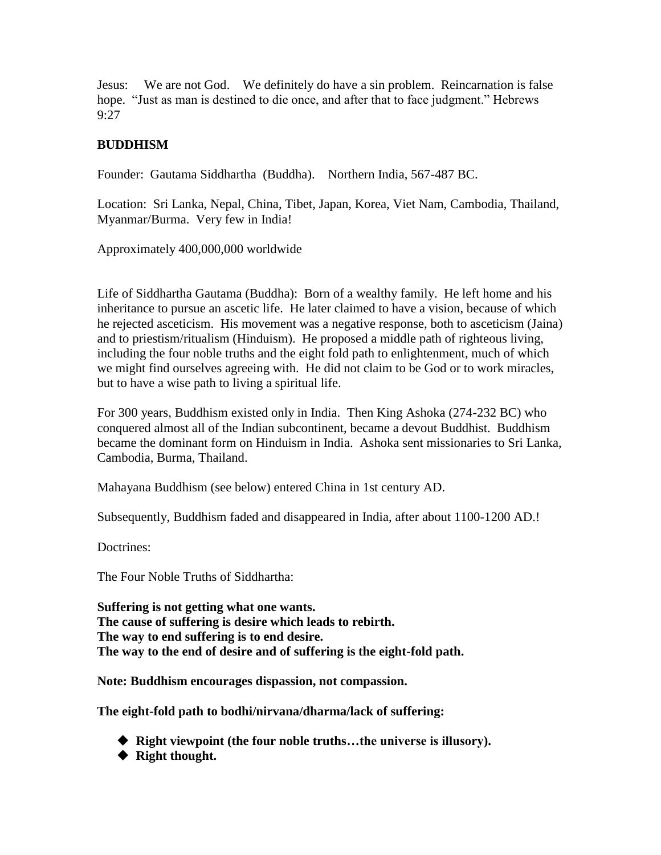Jesus: We are not God. We definitely do have a sin problem. Reincarnation is false hope. "Just as man is destined to die once, and after that to face judgment." Hebrews 9:27

## **BUDDHISM**

Founder: Gautama Siddhartha (Buddha). Northern India, 567-487 BC.

Location: Sri Lanka, Nepal, China, Tibet, Japan, Korea, Viet Nam, Cambodia, Thailand, Myanmar/Burma. Very few in India!

Approximately 400,000,000 worldwide

Life of Siddhartha Gautama (Buddha): Born of a wealthy family. He left home and his inheritance to pursue an ascetic life. He later claimed to have a vision, because of which he rejected asceticism. His movement was a negative response, both to asceticism (Jaina) and to priestism/ritualism (Hinduism). He proposed a middle path of righteous living, including the four noble truths and the eight fold path to enlightenment, much of which we might find ourselves agreeing with. He did not claim to be God or to work miracles, but to have a wise path to living a spiritual life.

For 300 years, Buddhism existed only in India. Then King Ashoka (274-232 BC) who conquered almost all of the Indian subcontinent, became a devout Buddhist. Buddhism became the dominant form on Hinduism in India. Ashoka sent missionaries to Sri Lanka, Cambodia, Burma, Thailand.

Mahayana Buddhism (see below) entered China in 1st century AD.

Subsequently, Buddhism faded and disappeared in India, after about 1100-1200 AD.!

Doctrines:

The Four Noble Truths of Siddhartha:

**Suffering is not getting what one wants. The cause of suffering is desire which leads to rebirth. The way to end suffering is to end desire. The way to the end of desire and of suffering is the eight-fold path.**

**Note: Buddhism encourages dispassion, not compassion.**

**The eight-fold path to bodhi/nirvana/dharma/lack of suffering:**

- **Right viewpoint (the four noble truths…the universe is illusory).**
- **Right thought.**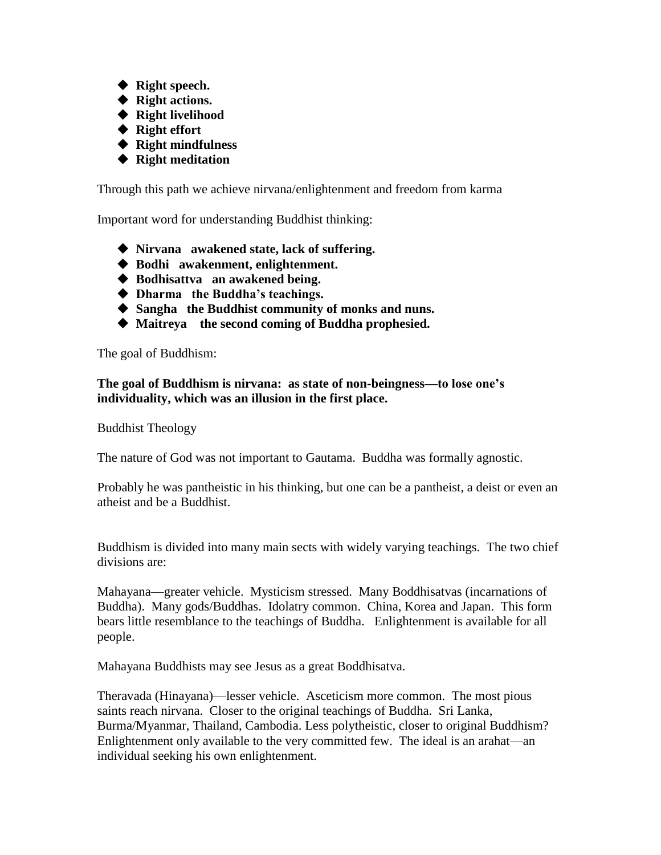- ◆ Right speech.
- **Right actions.**
- **Right livelihood**
- **Right effort**
- **Right mindfulness**
- **Right meditation**

Through this path we achieve nirvana/enlightenment and freedom from karma

Important word for understanding Buddhist thinking:

- **Nirvana awakened state, lack of suffering.**
- **Bodhi awakenment, enlightenment.**
- **Bodhisattva an awakened being.**
- **Dharma the Buddha's teachings.**
- **Sangha the Buddhist community of monks and nuns.**
- **Maitreya the second coming of Buddha prophesied.**

The goal of Buddhism:

**The goal of Buddhism is nirvana: as state of non-beingness—to lose one's individuality, which was an illusion in the first place.**

Buddhist Theology

The nature of God was not important to Gautama. Buddha was formally agnostic.

Probably he was pantheistic in his thinking, but one can be a pantheist, a deist or even an atheist and be a Buddhist.

Buddhism is divided into many main sects with widely varying teachings. The two chief divisions are:

Mahayana—greater vehicle. Mysticism stressed. Many Boddhisatvas (incarnations of Buddha). Many gods/Buddhas. Idolatry common. China, Korea and Japan. This form bears little resemblance to the teachings of Buddha. Enlightenment is available for all people.

Mahayana Buddhists may see Jesus as a great Boddhisatva.

Theravada (Hinayana)—lesser vehicle. Asceticism more common. The most pious saints reach nirvana. Closer to the original teachings of Buddha. Sri Lanka, Burma/Myanmar, Thailand, Cambodia. Less polytheistic, closer to original Buddhism? Enlightenment only available to the very committed few. The ideal is an arahat—an individual seeking his own enlightenment.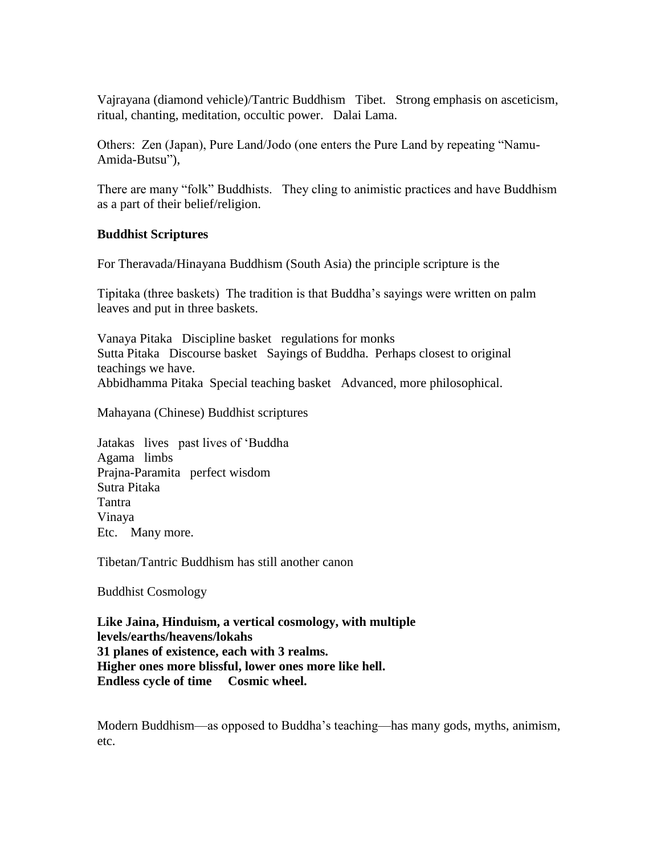Vajrayana (diamond vehicle)/Tantric Buddhism Tibet. Strong emphasis on asceticism, ritual, chanting, meditation, occultic power. Dalai Lama.

Others: Zen (Japan), Pure Land/Jodo (one enters the Pure Land by repeating "Namu-Amida-Butsu"),

There are many "folk" Buddhists. They cling to animistic practices and have Buddhism as a part of their belief/religion.

#### **Buddhist Scriptures**

For Theravada/Hinayana Buddhism (South Asia) the principle scripture is the

Tipitaka (three baskets) The tradition is that Buddha's sayings were written on palm leaves and put in three baskets.

Vanaya Pitaka Discipline basket regulations for monks Sutta Pitaka Discourse basket Sayings of Buddha. Perhaps closest to original teachings we have. Abbidhamma Pitaka Special teaching basket Advanced, more philosophical.

Mahayana (Chinese) Buddhist scriptures

Jatakas lives past lives of 'Buddha Agama limbs Prajna-Paramita perfect wisdom Sutra Pitaka Tantra Vinaya Etc. Many more.

Tibetan/Tantric Buddhism has still another canon

Buddhist Cosmology

**Like Jaina, Hinduism, a vertical cosmology, with multiple levels/earths/heavens/lokahs 31 planes of existence, each with 3 realms. Higher ones more blissful, lower ones more like hell. Endless cycle of time Cosmic wheel.**

Modern Buddhism—as opposed to Buddha's teaching—has many gods, myths, animism, etc.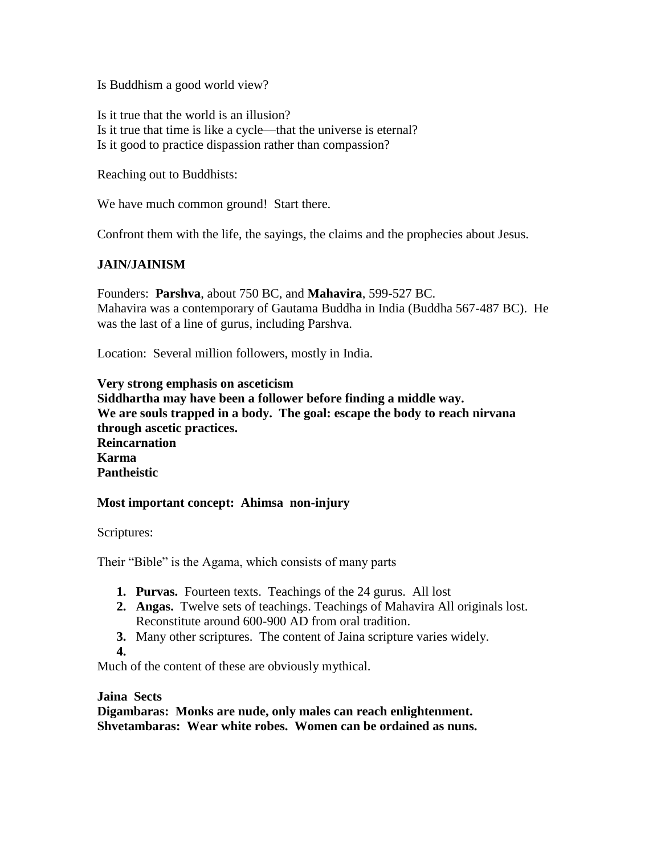Is Buddhism a good world view?

Is it true that the world is an illusion? Is it true that time is like a cycle—that the universe is eternal? Is it good to practice dispassion rather than compassion?

Reaching out to Buddhists:

We have much common ground! Start there.

Confront them with the life, the sayings, the claims and the prophecies about Jesus.

## **JAIN/JAINISM**

Founders: **Parshva**, about 750 BC, and **Mahavira**, 599-527 BC. Mahavira was a contemporary of Gautama Buddha in India (Buddha 567-487 BC). He was the last of a line of gurus, including Parshva.

Location: Several million followers, mostly in India.

#### **Very strong emphasis on asceticism**

**Siddhartha may have been a follower before finding a middle way. We are souls trapped in a body. The goal: escape the body to reach nirvana through ascetic practices. Reincarnation Karma Pantheistic**

#### **Most important concept: Ahimsa non-injury**

Scriptures:

Their "Bible" is the Agama, which consists of many parts

- **1. Purvas.** Fourteen texts. Teachings of the 24 gurus. All lost
- **2. Angas.** Twelve sets of teachings. Teachings of Mahavira All originals lost. Reconstitute around 600-900 AD from oral tradition.
- **3.** Many other scriptures. The content of Jaina scripture varies widely.

**4.**

Much of the content of these are obviously mythical.

#### **Jaina Sects**

**Digambaras: Monks are nude, only males can reach enlightenment. Shvetambaras: Wear white robes. Women can be ordained as nuns.**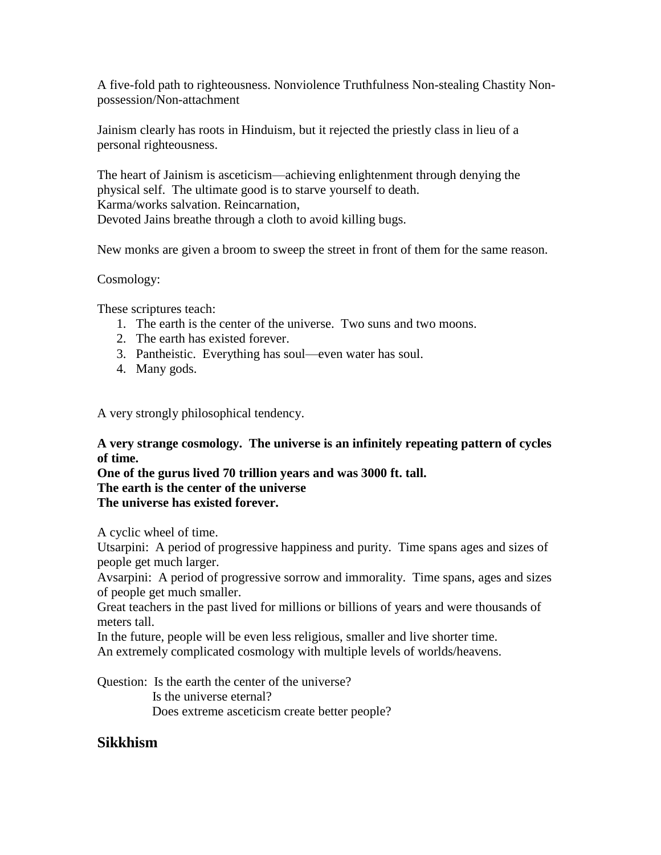A five-fold path to righteousness. Nonviolence Truthfulness Non-stealing Chastity Nonpossession/Non-attachment

Jainism clearly has roots in Hinduism, but it rejected the priestly class in lieu of a personal righteousness.

The heart of Jainism is asceticism—achieving enlightenment through denying the physical self. The ultimate good is to starve yourself to death. Karma/works salvation. Reincarnation, Devoted Jains breathe through a cloth to avoid killing bugs.

New monks are given a broom to sweep the street in front of them for the same reason.

Cosmology:

These scriptures teach:

- 1. The earth is the center of the universe. Two suns and two moons.
- 2. The earth has existed forever.
- 3. Pantheistic. Everything has soul—even water has soul.
- 4. Many gods.

A very strongly philosophical tendency.

**A very strange cosmology. The universe is an infinitely repeating pattern of cycles of time.**

**One of the gurus lived 70 trillion years and was 3000 ft. tall. The earth is the center of the universe The universe has existed forever.**

A cyclic wheel of time.

Utsarpini: A period of progressive happiness and purity. Time spans ages and sizes of people get much larger.

Avsarpini: A period of progressive sorrow and immorality. Time spans, ages and sizes of people get much smaller.

Great teachers in the past lived for millions or billions of years and were thousands of meters tall.

In the future, people will be even less religious, smaller and live shorter time. An extremely complicated cosmology with multiple levels of worlds/heavens.

Question: Is the earth the center of the universe? Is the universe eternal? Does extreme asceticism create better people?

# **Sikkhism**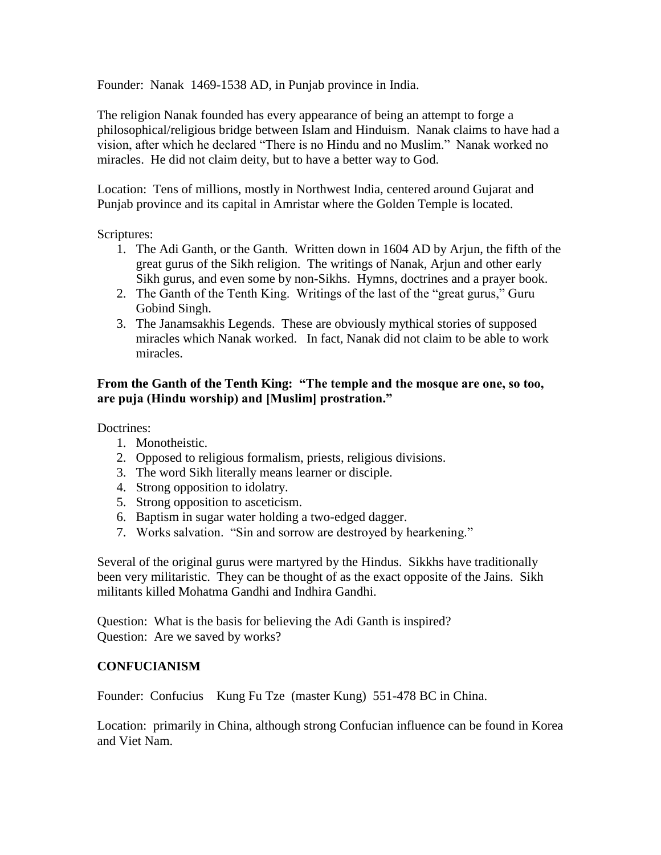Founder: Nanak 1469-1538 AD, in Punjab province in India.

The religion Nanak founded has every appearance of being an attempt to forge a philosophical/religious bridge between Islam and Hinduism. Nanak claims to have had a vision, after which he declared "There is no Hindu and no Muslim." Nanak worked no miracles. He did not claim deity, but to have a better way to God.

Location: Tens of millions, mostly in Northwest India, centered around Gujarat and Punjab province and its capital in Amristar where the Golden Temple is located.

Scriptures:

- 1. The Adi Ganth, or the Ganth. Written down in 1604 AD by Arjun, the fifth of the great gurus of the Sikh religion. The writings of Nanak, Arjun and other early Sikh gurus, and even some by non-Sikhs. Hymns, doctrines and a prayer book.
- 2. The Ganth of the Tenth King. Writings of the last of the "great gurus," Guru Gobind Singh.
- 3. The Janamsakhis Legends. These are obviously mythical stories of supposed miracles which Nanak worked. In fact, Nanak did not claim to be able to work miracles.

## **From the Ganth of the Tenth King: "The temple and the mosque are one, so too, are puja (Hindu worship) and [Muslim] prostration."**

Doctrines:

- 1. Monotheistic.
- 2. Opposed to religious formalism, priests, religious divisions.
- 3. The word Sikh literally means learner or disciple.
- 4. Strong opposition to idolatry.
- 5. Strong opposition to asceticism.
- 6. Baptism in sugar water holding a two-edged dagger.
- 7. Works salvation. "Sin and sorrow are destroyed by hearkening."

Several of the original gurus were martyred by the Hindus. Sikkhs have traditionally been very militaristic. They can be thought of as the exact opposite of the Jains. Sikh militants killed Mohatma Gandhi and Indhira Gandhi.

Question: What is the basis for believing the Adi Ganth is inspired? Question: Are we saved by works?

#### **CONFUCIANISM**

Founder: Confucius Kung Fu Tze (master Kung) 551-478 BC in China.

Location: primarily in China, although strong Confucian influence can be found in Korea and Viet Nam.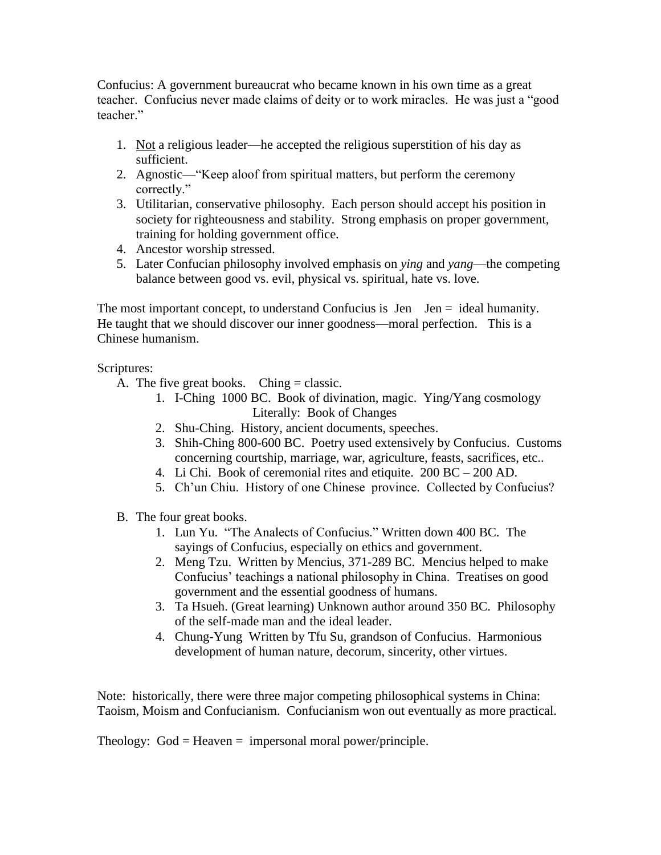Confucius: A government bureaucrat who became known in his own time as a great teacher. Confucius never made claims of deity or to work miracles. He was just a "good teacher."

- 1. Not a religious leader—he accepted the religious superstition of his day as sufficient.
- 2. Agnostic—"Keep aloof from spiritual matters, but perform the ceremony correctly."
- 3. Utilitarian, conservative philosophy. Each person should accept his position in society for righteousness and stability. Strong emphasis on proper government, training for holding government office.
- 4. Ancestor worship stressed.
- 5. Later Confucian philosophy involved emphasis on *ying* and *yang*—the competing balance between good vs. evil, physical vs. spiritual, hate vs. love.

The most important concept, to understand Confucius is  $\text{ Jen } I\text{en} = \text{ideal humanity.}$ He taught that we should discover our inner goodness—moral perfection. This is a Chinese humanism.

Scriptures:

- A. The five great books. Ching  $=$  classic.
	- 1. I-Ching 1000 BC. Book of divination, magic. Ying/Yang cosmology Literally: Book of Changes
	- 2. Shu-Ching. History, ancient documents, speeches.
	- 3. Shih-Ching 800-600 BC. Poetry used extensively by Confucius. Customs concerning courtship, marriage, war, agriculture, feasts, sacrifices, etc..
	- 4. Li Chi. Book of ceremonial rites and etiquite. 200 BC 200 AD.
	- 5. Ch'un Chiu. History of one Chinese province. Collected by Confucius?
- B. The four great books.
	- 1. Lun Yu. "The Analects of Confucius." Written down 400 BC. The sayings of Confucius, especially on ethics and government.
	- 2. Meng Tzu. Written by Mencius, 371-289 BC. Mencius helped to make Confucius' teachings a national philosophy in China. Treatises on good government and the essential goodness of humans.
	- 3. Ta Hsueh. (Great learning) Unknown author around 350 BC. Philosophy of the self-made man and the ideal leader.
	- 4. Chung-Yung Written by Tfu Su, grandson of Confucius. Harmonious development of human nature, decorum, sincerity, other virtues.

Note: historically, there were three major competing philosophical systems in China: Taoism, Moism and Confucianism. Confucianism won out eventually as more practical.

Theology:  $God = Heaven = \text{impersonal moral power/principle.}$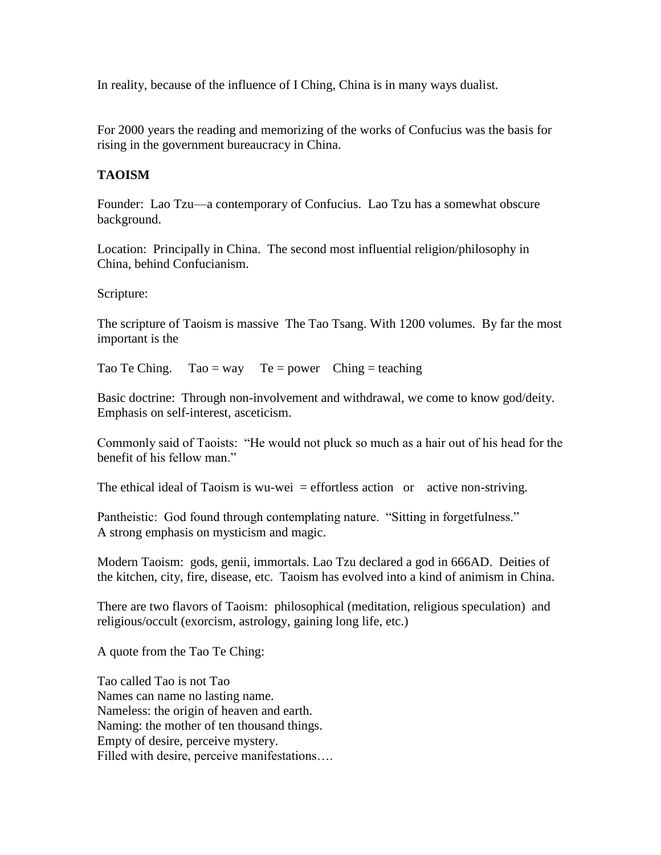In reality, because of the influence of I Ching, China is in many ways dualist.

For 2000 years the reading and memorizing of the works of Confucius was the basis for rising in the government bureaucracy in China.

## **TAOISM**

Founder: Lao Tzu—a contemporary of Confucius. Lao Tzu has a somewhat obscure background.

Location: Principally in China. The second most influential religion/philosophy in China, behind Confucianism.

Scripture:

The scripture of Taoism is massive The Tao Tsang. With 1200 volumes. By far the most important is the

Tao Te Ching.  $Tao = way$  Te = power Ching = teaching

Basic doctrine: Through non-involvement and withdrawal, we come to know god/deity. Emphasis on self-interest, asceticism.

Commonly said of Taoists: "He would not pluck so much as a hair out of his head for the benefit of his fellow man."

The ethical ideal of Taoism is wu-wei  $=$  effortless action or active non-striving.

Pantheistic: God found through contemplating nature. "Sitting in forgetfulness." A strong emphasis on mysticism and magic.

Modern Taoism: gods, genii, immortals. Lao Tzu declared a god in 666AD. Deities of the kitchen, city, fire, disease, etc. Taoism has evolved into a kind of animism in China.

There are two flavors of Taoism: philosophical (meditation, religious speculation) and religious/occult (exorcism, astrology, gaining long life, etc.)

A quote from the Tao Te Ching:

Tao called Tao is not Tao Names can name no lasting name. Nameless: the origin of heaven and earth. Naming: the mother of ten thousand things. Empty of desire, perceive mystery. Filled with desire, perceive manifestations….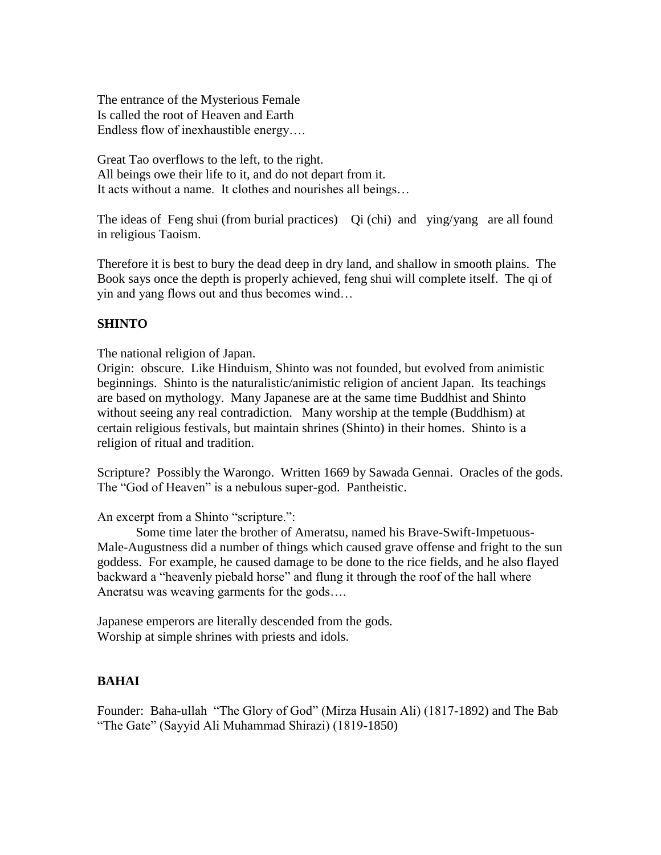The entrance of the Mysterious Female Is called the root of Heaven and Earth Endless flow of inexhaustible energy….

Great Tao overflows to the left, to the right. All beings owe their life to it, and do not depart from it. It acts without a name. It clothes and nourishes all beings…

The ideas of Feng shui (from burial practices) Qi (chi) and ying/yang are all found in religious Taoism.

Therefore it is best to bury the dead deep in dry land, and shallow in smooth plains. The Book says once the depth is properly achieved, feng shui will complete itself. The qi of yin and yang flows out and thus becomes wind…

# **SHINTO**

The national religion of Japan.

Origin: obscure. Like Hinduism, Shinto was not founded, but evolved from animistic beginnings. Shinto is the naturalistic/animistic religion of ancient Japan. Its teachings are based on mythology. Many Japanese are at the same time Buddhist and Shinto without seeing any real contradiction. Many worship at the temple (Buddhism) at certain religious festivals, but maintain shrines (Shinto) in their homes. Shinto is a religion of ritual and tradition.

Scripture? Possibly the Warongo. Written 1669 by Sawada Gennai. Oracles of the gods. The "God of Heaven" is a nebulous super-god. Pantheistic.

An excerpt from a Shinto "scripture.":

Some time later the brother of Ameratsu, named his Brave-Swift-Impetuous-Male-Augustness did a number of things which caused grave offense and fright to the sun goddess. For example, he caused damage to be done to the rice fields, and he also flayed backward a "heavenly piebald horse" and flung it through the roof of the hall where Aneratsu was weaving garments for the gods….

Japanese emperors are literally descended from the gods. Worship at simple shrines with priests and idols.

## **BAHAI**

Founder: Baha-ullah "The Glory of God" (Mirza Husain Ali) (1817-1892) and The Bab "The Gate" (Sayyid Ali Muhammad Shirazi) (1819-1850)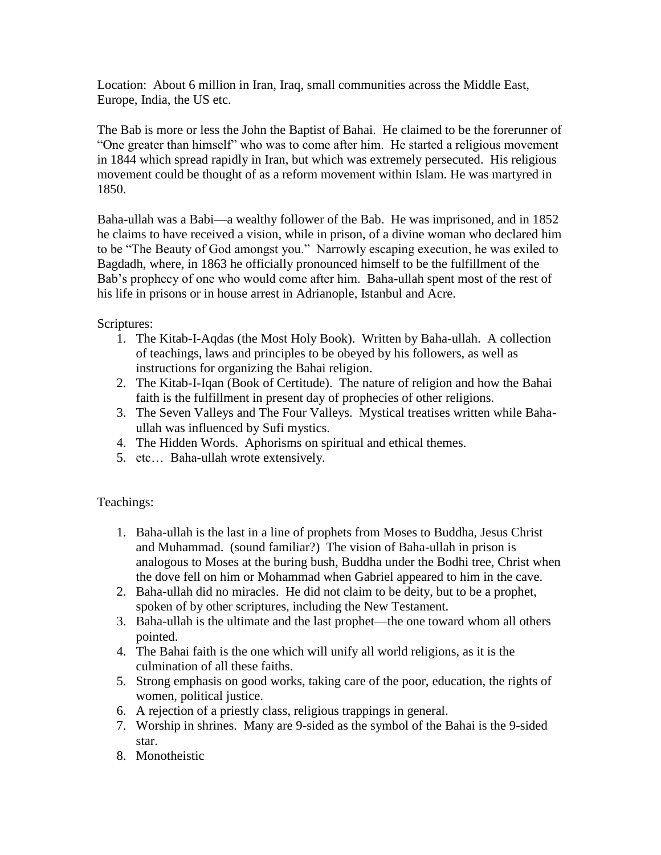Location: About 6 million in Iran, Iraq, small communities across the Middle East, Europe, India, the US etc.

The Bab is more or less the John the Baptist of Bahai. He claimed to be the forerunner of "One greater than himself" who was to come after him. He started a religious movement in 1844 which spread rapidly in Iran, but which was extremely persecuted. His religious movement could be thought of as a reform movement within Islam. He was martyred in 1850.

Baha-ullah was a Babi—a wealthy follower of the Bab. He was imprisoned, and in 1852 he claims to have received a vision, while in prison, of a divine woman who declared him to be "The Beauty of God amongst you." Narrowly escaping execution, he was exiled to Bagdadh, where, in 1863 he officially pronounced himself to be the fulfillment of the Bab's prophecy of one who would come after him. Baha-ullah spent most of the rest of his life in prisons or in house arrest in Adrianople, Istanbul and Acre.

Scriptures:

- 1. The Kitab-I-Aqdas (the Most Holy Book). Written by Baha-ullah. A collection of teachings, laws and principles to be obeyed by his followers, as well as instructions for organizing the Bahai religion.
- 2. The Kitab-I-Iqan (Book of Certitude). The nature of religion and how the Bahai faith is the fulfillment in present day of prophecies of other religions.
- 3. The Seven Valleys and The Four Valleys. Mystical treatises written while Bahaullah was influenced by Sufi mystics.
- 4. The Hidden Words. Aphorisms on spiritual and ethical themes.
- 5. etc… Baha-ullah wrote extensively.

## Teachings:

- 1. Baha-ullah is the last in a line of prophets from Moses to Buddha, Jesus Christ and Muhammad. (sound familiar?) The vision of Baha-ullah in prison is analogous to Moses at the buring bush, Buddha under the Bodhi tree, Christ when the dove fell on him or Mohammad when Gabriel appeared to him in the cave.
- 2. Baha-ullah did no miracles. He did not claim to be deity, but to be a prophet, spoken of by other scriptures, including the New Testament.
- 3. Baha-ullah is the ultimate and the last prophet—the one toward whom all others pointed.
- 4. The Bahai faith is the one which will unify all world religions, as it is the culmination of all these faiths.
- 5. Strong emphasis on good works, taking care of the poor, education, the rights of women, political justice.
- 6. A rejection of a priestly class, religious trappings in general.
- 7. Worship in shrines. Many are 9-sided as the symbol of the Bahai is the 9-sided star.
- 8. Monotheistic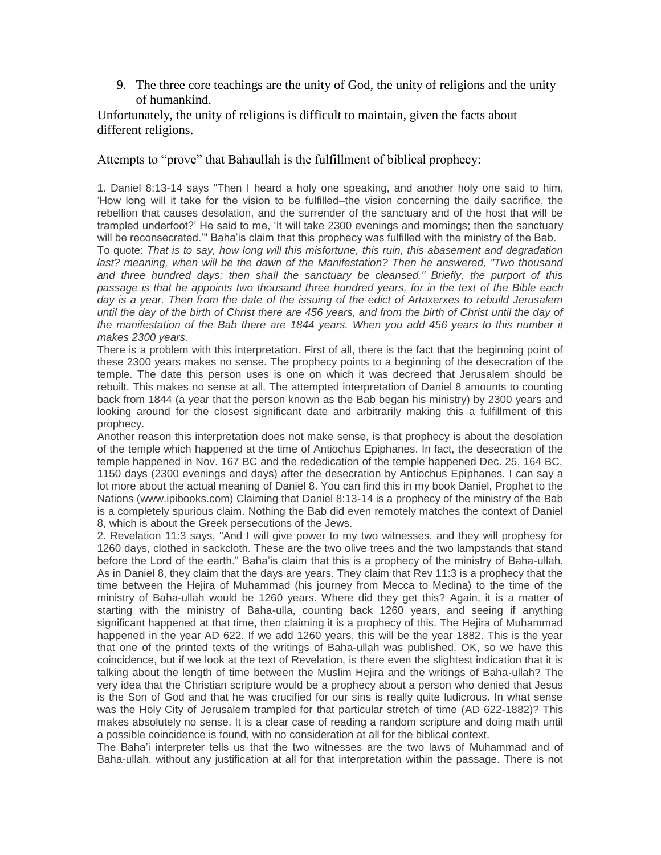9. The three core teachings are the unity of God, the unity of religions and the unity of humankind.

Unfortunately, the unity of religions is difficult to maintain, given the facts about different religions.

#### Attempts to "prove" that Bahaullah is the fulfillment of biblical prophecy:

1. Daniel 8:13-14 says "Then I heard a holy one speaking, and another holy one said to him, 'How long will it take for the vision to be fulfilled–the vision concerning the daily sacrifice, the rebellion that causes desolation, and the surrender of the sanctuary and of the host that will be trampled underfoot?' He said to me, 'It will take 2300 evenings and mornings; then the sanctuary will be reconsecrated.'" Baha'is claim that this prophecy was fulfilled with the ministry of the Bab.

To quote: *That is to say, how long will this misfortune, this ruin, this abasement and degradation*  last? meaning, when will be the dawn of the Manifestation? Then he answered, "Two thousand *and three hundred days; then shall the sanctuary be cleansed." Briefly, the purport of this passage is that he appoints two thousand three hundred years, for in the text of the Bible each day is a year. Then from the date of the issuing of the edict of Artaxerxes to rebuild Jerusalem until the day of the birth of Christ there are 456 years, and from the birth of Christ until the day of the manifestation of the Bab there are 1844 years. When you add 456 years to this number it makes 2300 years.*

There is a problem with this interpretation. First of all, there is the fact that the beginning point of these 2300 years makes no sense. The prophecy points to a beginning of the desecration of the temple. The date this person uses is one on which it was decreed that Jerusalem should be rebuilt. This makes no sense at all. The attempted interpretation of Daniel 8 amounts to counting back from 1844 (a year that the person known as the Bab began his ministry) by 2300 years and looking around for the closest significant date and arbitrarily making this a fulfillment of this prophecy.

Another reason this interpretation does not make sense, is that prophecy is about the desolation of the temple which happened at the time of Antiochus Epiphanes. In fact, the desecration of the temple happened in Nov. 167 BC and the rededication of the temple happened Dec. 25, 164 BC, 1150 days (2300 evenings and days) after the desecration by Antiochus Epiphanes. I can say a lot more about the actual meaning of Daniel 8. You can find this in my book Daniel, Prophet to the Nations (www.ipibooks.com) Claiming that Daniel 8:13-14 is a prophecy of the ministry of the Bab is a completely spurious claim. Nothing the Bab did even remotely matches the context of Daniel 8, which is about the Greek persecutions of the Jews.

2. Revelation 11:3 says, "And I will give power to my two witnesses, and they will prophesy for 1260 days, clothed in sackcloth. These are the two olive trees and the two lampstands that stand before the Lord of the earth." Baha'is claim that this is a prophecy of the ministry of Baha-ullah. As in Daniel 8, they claim that the days are years. They claim that Rev 11:3 is a prophecy that the time between the Hejira of Muhammad (his journey from Mecca to Medina) to the time of the ministry of Baha-ullah would be 1260 years. Where did they get this? Again, it is a matter of starting with the ministry of Baha-ulla, counting back 1260 years, and seeing if anything significant happened at that time, then claiming it is a prophecy of this. The Hejira of Muhammad happened in the year AD 622. If we add 1260 years, this will be the year 1882. This is the year that one of the printed texts of the writings of Baha-ullah was published. OK, so we have this coincidence, but if we look at the text of Revelation, is there even the slightest indication that it is talking about the length of time between the Muslim Hejira and the writings of Baha-ullah? The very idea that the Christian scripture would be a prophecy about a person who denied that Jesus is the Son of God and that he was crucified for our sins is really quite ludicrous. In what sense was the Holy City of Jerusalem trampled for that particular stretch of time (AD 622-1882)? This makes absolutely no sense. It is a clear case of reading a random scripture and doing math until a possible coincidence is found, with no consideration at all for the biblical context.

The Baha'i interpreter tells us that the two witnesses are the two laws of Muhammad and of Baha-ullah, without any justification at all for that interpretation within the passage. There is not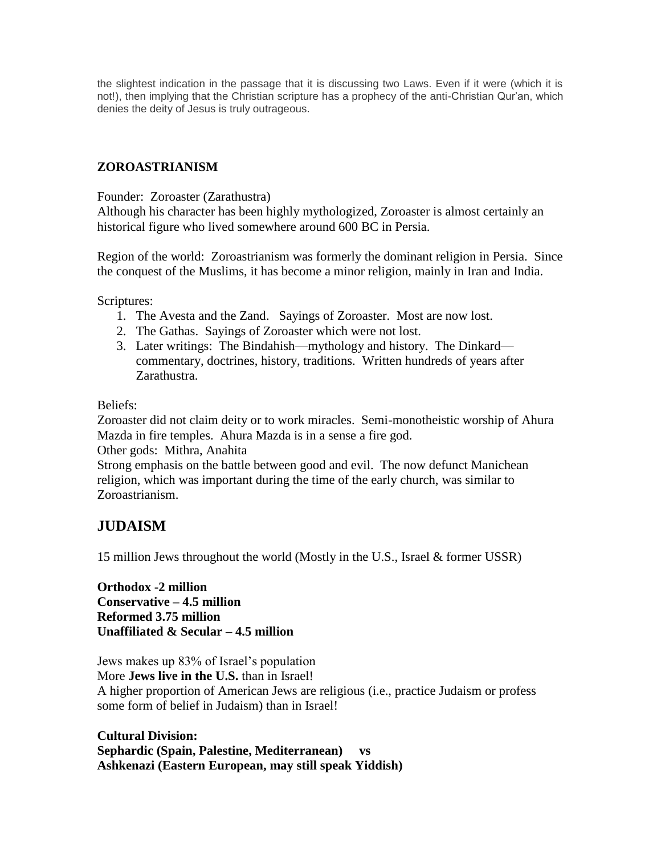the slightest indication in the passage that it is discussing two Laws. Even if it were (which it is not!), then implying that the Christian scripture has a prophecy of the anti-Christian Qur'an, which denies the deity of Jesus is truly outrageous.

## **ZOROASTRIANISM**

Founder: Zoroaster (Zarathustra)

Although his character has been highly mythologized, Zoroaster is almost certainly an historical figure who lived somewhere around 600 BC in Persia.

Region of the world: Zoroastrianism was formerly the dominant religion in Persia. Since the conquest of the Muslims, it has become a minor religion, mainly in Iran and India.

Scriptures:

- 1. The Avesta and the Zand. Sayings of Zoroaster. Most are now lost.
- 2. The Gathas. Sayings of Zoroaster which were not lost.
- 3. Later writings: The Bindahish—mythology and history. The Dinkard commentary, doctrines, history, traditions. Written hundreds of years after Zarathustra.

Beliefs:

Zoroaster did not claim deity or to work miracles. Semi-monotheistic worship of Ahura Mazda in fire temples. Ahura Mazda is in a sense a fire god. Other gods: Mithra, Anahita Strong emphasis on the battle between good and evil. The now defunct Manichean religion, which was important during the time of the early church, was similar to Zoroastrianism.

# **JUDAISM**

15 million Jews throughout the world (Mostly in the U.S., Israel & former USSR)

**Orthodox -2 million Conservative – 4.5 million Reformed 3.75 million Unaffiliated & Secular – 4.5 million** 

Jews makes up 83% of Israel's population More **Jews live in the U.S.** than in Israel! A higher proportion of American Jews are religious (i.e., practice Judaism or profess some form of belief in Judaism) than in Israel!

**Cultural Division: Sephardic (Spain, Palestine, Mediterranean) vs Ashkenazi (Eastern European, may still speak Yiddish)**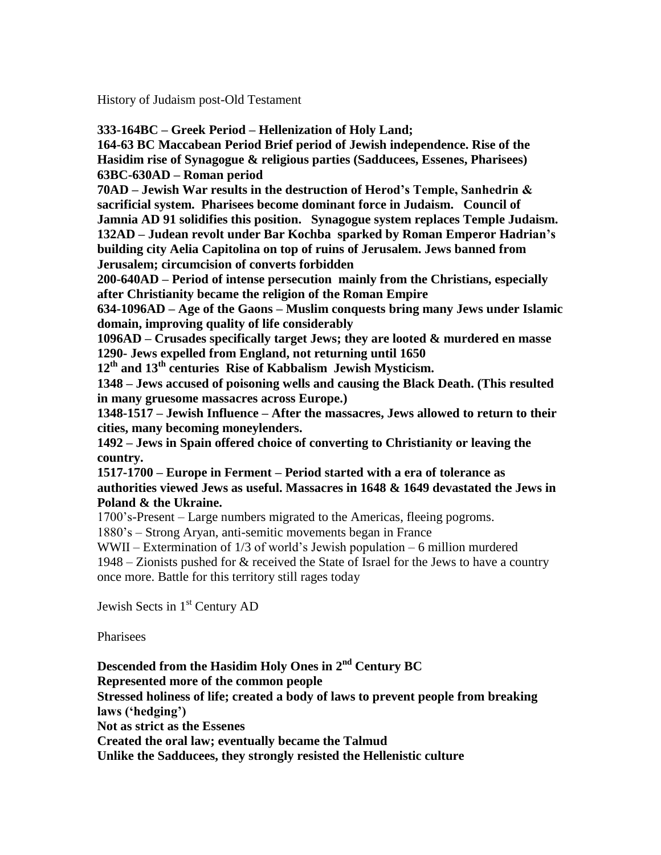History of Judaism post-Old Testament

**333-164BC – Greek Period – Hellenization of Holy Land;** 

**164-63 BC Maccabean Period Brief period of Jewish independence. Rise of the Hasidim rise of Synagogue & religious parties (Sadducees, Essenes, Pharisees) 63BC-630AD – Roman period**

**70AD – Jewish War results in the destruction of Herod's Temple, Sanhedrin & sacrificial system. Pharisees become dominant force in Judaism. Council of Jamnia AD 91 solidifies this position. Synagogue system replaces Temple Judaism. 132AD – Judean revolt under Bar Kochba sparked by Roman Emperor Hadrian's building city Aelia Capitolina on top of ruins of Jerusalem. Jews banned from Jerusalem; circumcision of converts forbidden**

**200-640AD – Period of intense persecution mainly from the Christians, especially after Christianity became the religion of the Roman Empire**

**634-1096AD – Age of the Gaons – Muslim conquests bring many Jews under Islamic domain, improving quality of life considerably**

**1096AD – Crusades specifically target Jews; they are looted & murdered en masse 1290- Jews expelled from England, not returning until 1650** 

**12th and 13th centuries Rise of Kabbalism Jewish Mysticism.**

**1348 – Jews accused of poisoning wells and causing the Black Death. (This resulted in many gruesome massacres across Europe.)**

**1348-1517 – Jewish Influence – After the massacres, Jews allowed to return to their cities, many becoming moneylenders.**

**1492 – Jews in Spain offered choice of converting to Christianity or leaving the country.** 

**1517-1700 – Europe in Ferment – Period started with a era of tolerance as authorities viewed Jews as useful. Massacres in 1648 & 1649 devastated the Jews in Poland & the Ukraine.**

1700's-Present – Large numbers migrated to the Americas, fleeing pogroms.

1880's – Strong Aryan, anti-semitic movements began in France

WWII – Extermination of 1/3 of world's Jewish population – 6 million murdered

1948 – Zionists pushed for & received the State of Israel for the Jews to have a country once more. Battle for this territory still rages today

Jewish Sects in 1<sup>st</sup> Century AD

**Pharisees** 

**Descended from the Hasidim Holy Ones in 2nd Century BC Represented more of the common people Stressed holiness of life; created a body of laws to prevent people from breaking laws ('hedging') Not as strict as the Essenes Created the oral law; eventually became the Talmud Unlike the Sadducees, they strongly resisted the Hellenistic culture**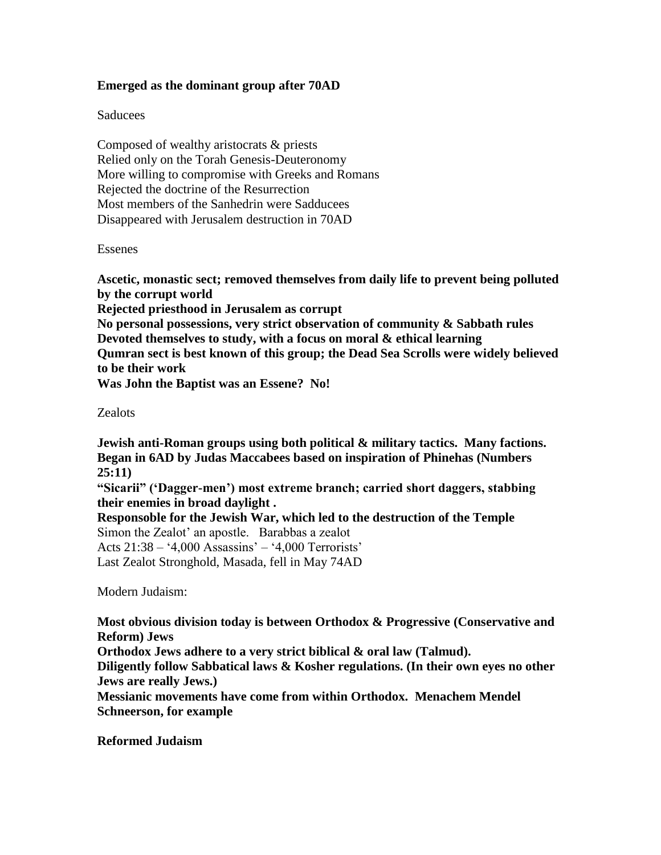## **Emerged as the dominant group after 70AD**

#### **Saducees**

Composed of wealthy aristocrats & priests Relied only on the Torah Genesis-Deuteronomy More willing to compromise with Greeks and Romans Rejected the doctrine of the Resurrection Most members of the Sanhedrin were Sadducees Disappeared with Jerusalem destruction in 70AD

#### Essenes

**Ascetic, monastic sect; removed themselves from daily life to prevent being polluted by the corrupt world Rejected priesthood in Jerusalem as corrupt No personal possessions, very strict observation of community & Sabbath rules Devoted themselves to study, with a focus on moral & ethical learning Qumran sect is best known of this group; the Dead Sea Scrolls were widely believed to be their work Was John the Baptist was an Essene? No!**

#### Zealots

**Jewish anti-Roman groups using both political & military tactics. Many factions. Began in 6AD by Judas Maccabees based on inspiration of Phinehas (Numbers 25:11)**

**"Sicarii" ('Dagger-men') most extreme branch; carried short daggers, stabbing their enemies in broad daylight .**

**Responsoble for the Jewish War, which led to the destruction of the Temple** Simon the Zealot' an apostle. Barabbas a zealot

Acts 21:38 – '4,000 Assassins' – '4,000 Terrorists' Last Zealot Stronghold, Masada, fell in May 74AD

Modern Judaism:

**Most obvious division today is between Orthodox & Progressive (Conservative and Reform) Jews**

**Orthodox Jews adhere to a very strict biblical & oral law (Talmud).**

**Diligently follow Sabbatical laws & Kosher regulations. (In their own eyes no other Jews are really Jews.)**

**Messianic movements have come from within Orthodox. Menachem Mendel Schneerson, for example**

**Reformed Judaism**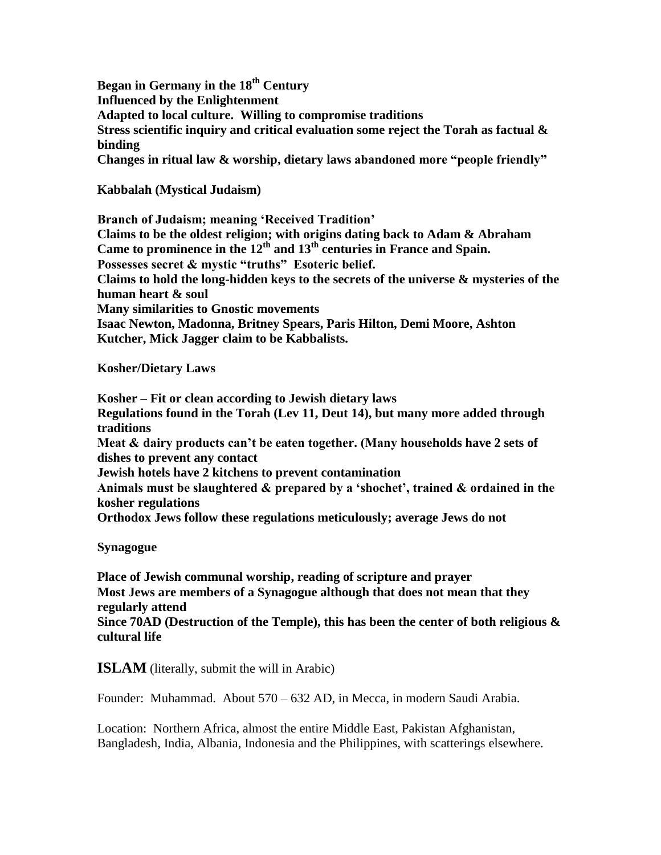**Began in Germany in the 18th Century Influenced by the Enlightenment Adapted to local culture. Willing to compromise traditions Stress scientific inquiry and critical evaluation some reject the Torah as factual & binding Changes in ritual law & worship, dietary laws abandoned more "people friendly"** 

**Kabbalah (Mystical Judaism)**

**Branch of Judaism; meaning 'Received Tradition' Claims to be the oldest religion; with origins dating back to Adam & Abraham Came to prominence in the 12th and 13th centuries in France and Spain. Possesses secret & mystic "truths" Esoteric belief. Claims to hold the long-hidden keys to the secrets of the universe & mysteries of the human heart & soul Many similarities to Gnostic movements Isaac Newton, Madonna, Britney Spears, Paris Hilton, Demi Moore, Ashton Kutcher, Mick Jagger claim to be Kabbalists.**

**Kosher/Dietary Laws**

**Kosher – Fit or clean according to Jewish dietary laws Regulations found in the Torah (Lev 11, Deut 14), but many more added through traditions Meat & dairy products can't be eaten together. (Many households have 2 sets of dishes to prevent any contact Jewish hotels have 2 kitchens to prevent contamination Animals must be slaughtered & prepared by a 'shochet', trained & ordained in the kosher regulations Orthodox Jews follow these regulations meticulously; average Jews do not**

**Synagogue**

**Place of Jewish communal worship, reading of scripture and prayer Most Jews are members of a Synagogue although that does not mean that they regularly attend Since 70AD (Destruction of the Temple), this has been the center of both religious & cultural life**

**ISLAM** (literally, submit the will in Arabic)

Founder: Muhammad. About 570 – 632 AD, in Mecca, in modern Saudi Arabia.

Location: Northern Africa, almost the entire Middle East, Pakistan Afghanistan, Bangladesh, India, Albania, Indonesia and the Philippines, with scatterings elsewhere.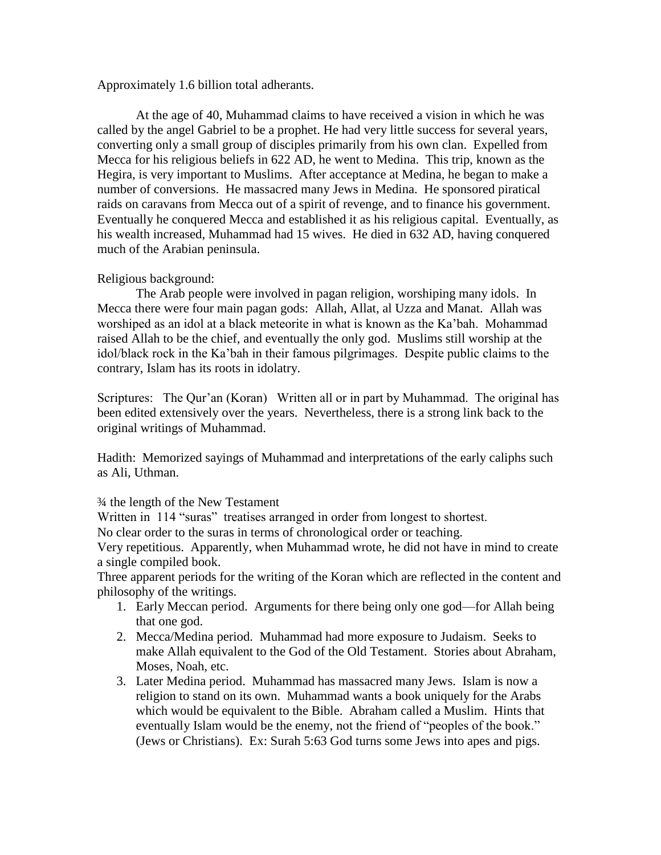Approximately 1.6 billion total adherants.

At the age of 40, Muhammad claims to have received a vision in which he was called by the angel Gabriel to be a prophet. He had very little success for several years, converting only a small group of disciples primarily from his own clan. Expelled from Mecca for his religious beliefs in 622 AD, he went to Medina. This trip, known as the Hegira, is very important to Muslims. After acceptance at Medina, he began to make a number of conversions. He massacred many Jews in Medina. He sponsored piratical raids on caravans from Mecca out of a spirit of revenge, and to finance his government. Eventually he conquered Mecca and established it as his religious capital. Eventually, as his wealth increased, Muhammad had 15 wives. He died in 632 AD, having conquered much of the Arabian peninsula.

## Religious background:

The Arab people were involved in pagan religion, worshiping many idols. In Mecca there were four main pagan gods: Allah, Allat, al Uzza and Manat. Allah was worshiped as an idol at a black meteorite in what is known as the Ka'bah. Mohammad raised Allah to be the chief, and eventually the only god. Muslims still worship at the idol/black rock in the Ka'bah in their famous pilgrimages. Despite public claims to the contrary, Islam has its roots in idolatry.

Scriptures: The Qur'an (Koran) Written all or in part by Muhammad. The original has been edited extensively over the years. Nevertheless, there is a strong link back to the original writings of Muhammad.

Hadith: Memorized sayings of Muhammad and interpretations of the early caliphs such as Ali, Uthman.

¾ the length of the New Testament

Written in 114 "suras" treatises arranged in order from longest to shortest.

No clear order to the suras in terms of chronological order or teaching.

Very repetitious. Apparently, when Muhammad wrote, he did not have in mind to create a single compiled book.

Three apparent periods for the writing of the Koran which are reflected in the content and philosophy of the writings.

- 1. Early Meccan period. Arguments for there being only one god—for Allah being that one god.
- 2. Mecca/Medina period. Muhammad had more exposure to Judaism. Seeks to make Allah equivalent to the God of the Old Testament. Stories about Abraham, Moses, Noah, etc.
- 3. Later Medina period. Muhammad has massacred many Jews. Islam is now a religion to stand on its own. Muhammad wants a book uniquely for the Arabs which would be equivalent to the Bible. Abraham called a Muslim. Hints that eventually Islam would be the enemy, not the friend of "peoples of the book." (Jews or Christians). Ex: Surah 5:63 God turns some Jews into apes and pigs.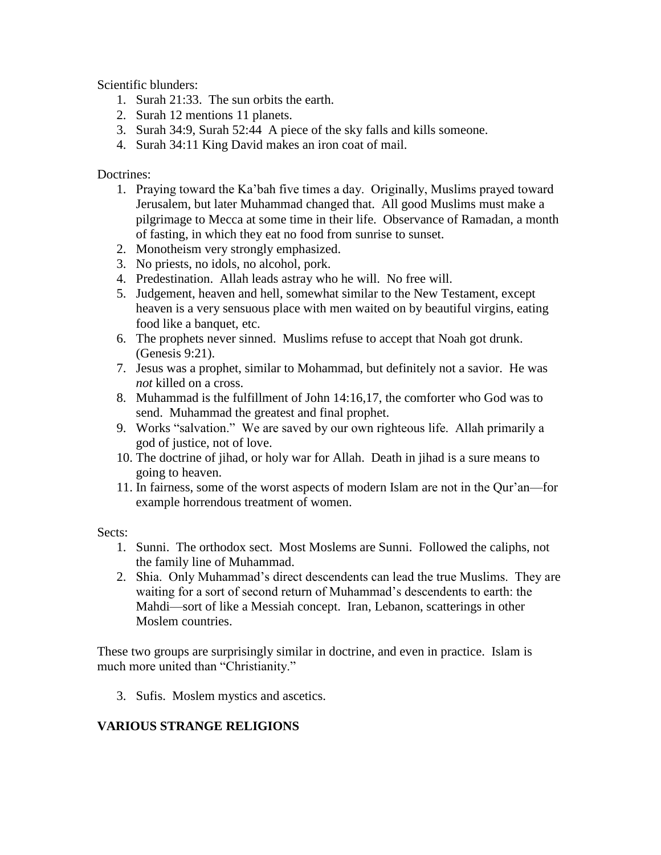Scientific blunders:

- 1. Surah 21:33. The sun orbits the earth.
- 2. Surah 12 mentions 11 planets.
- 3. Surah 34:9, Surah 52:44 A piece of the sky falls and kills someone.
- 4. Surah 34:11 King David makes an iron coat of mail.

## Doctrines:

- 1. Praying toward the Ka'bah five times a day. Originally, Muslims prayed toward Jerusalem, but later Muhammad changed that. All good Muslims must make a pilgrimage to Mecca at some time in their life. Observance of Ramadan, a month of fasting, in which they eat no food from sunrise to sunset.
- 2. Monotheism very strongly emphasized.
- 3. No priests, no idols, no alcohol, pork.
- 4. Predestination. Allah leads astray who he will. No free will.
- 5. Judgement, heaven and hell, somewhat similar to the New Testament, except heaven is a very sensuous place with men waited on by beautiful virgins, eating food like a banquet, etc.
- 6. The prophets never sinned. Muslims refuse to accept that Noah got drunk. (Genesis 9:21).
- 7. Jesus was a prophet, similar to Mohammad, but definitely not a savior. He was *not* killed on a cross.
- 8. Muhammad is the fulfillment of John 14:16,17, the comforter who God was to send. Muhammad the greatest and final prophet.
- 9. Works "salvation." We are saved by our own righteous life. Allah primarily a god of justice, not of love.
- 10. The doctrine of jihad, or holy war for Allah. Death in jihad is a sure means to going to heaven.
- 11. In fairness, some of the worst aspects of modern Islam are not in the Qur'an—for example horrendous treatment of women.

Sects:

- 1. Sunni. The orthodox sect. Most Moslems are Sunni. Followed the caliphs, not the family line of Muhammad.
- 2. Shia. Only Muhammad's direct descendents can lead the true Muslims. They are waiting for a sort of second return of Muhammad's descendents to earth: the Mahdi—sort of like a Messiah concept. Iran, Lebanon, scatterings in other Moslem countries.

These two groups are surprisingly similar in doctrine, and even in practice. Islam is much more united than "Christianity."

3. Sufis. Moslem mystics and ascetics.

# **VARIOUS STRANGE RELIGIONS**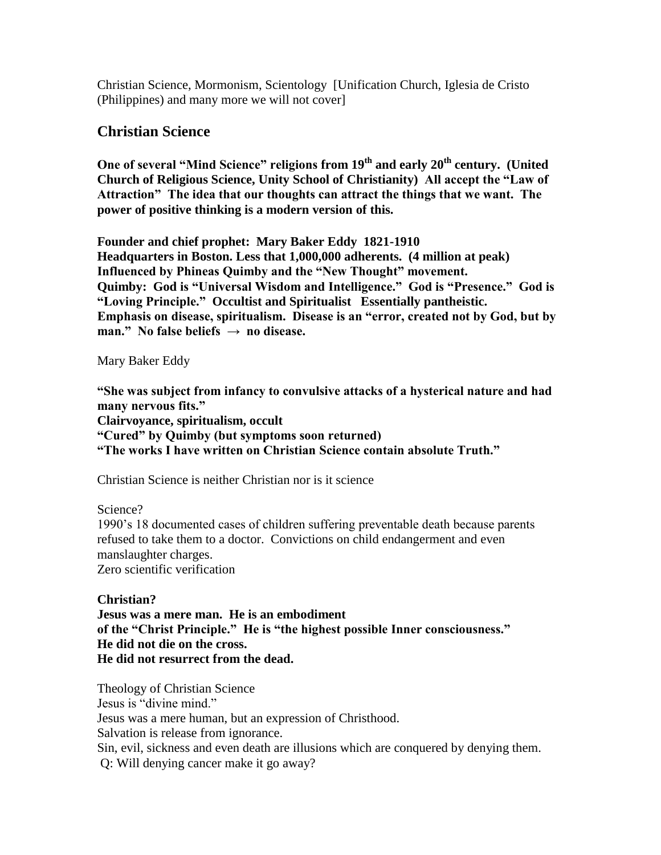Christian Science, Mormonism, Scientology [Unification Church, Iglesia de Cristo (Philippines) and many more we will not cover]

# **Christian Science**

**One of several "Mind Science" religions from 19th and early 20th century. (United Church of Religious Science, Unity School of Christianity) All accept the "Law of Attraction" The idea that our thoughts can attract the things that we want. The power of positive thinking is a modern version of this.**

**Founder and chief prophet: Mary Baker Eddy 1821-1910 Headquarters in Boston. Less that 1,000,000 adherents. (4 million at peak) Influenced by Phineas Quimby and the "New Thought" movement. Quimby: God is "Universal Wisdom and Intelligence." God is "Presence." God is "Loving Principle." Occultist and Spiritualist Essentially pantheistic. Emphasis on disease, spiritualism. Disease is an "error, created not by God, but by man." No false beliefs → no disease.**

Mary Baker Eddy

**"She was subject from infancy to convulsive attacks of a hysterical nature and had many nervous fits." Clairvoyance, spiritualism, occult "Cured" by Quimby (but symptoms soon returned) "The works I have written on Christian Science contain absolute Truth."**

Christian Science is neither Christian nor is it science

Science?

1990's 18 documented cases of children suffering preventable death because parents refused to take them to a doctor. Convictions on child endangerment and even manslaughter charges. Zero scientific verification

**Christian?**

**Jesus was a mere man. He is an embodiment of the "Christ Principle." He is "the highest possible Inner consciousness." He did not die on the cross. He did not resurrect from the dead.**

Theology of Christian Science Jesus is "divine mind." Jesus was a mere human, but an expression of Christhood. Salvation is release from ignorance. Sin, evil, sickness and even death are illusions which are conquered by denying them. Q: Will denying cancer make it go away?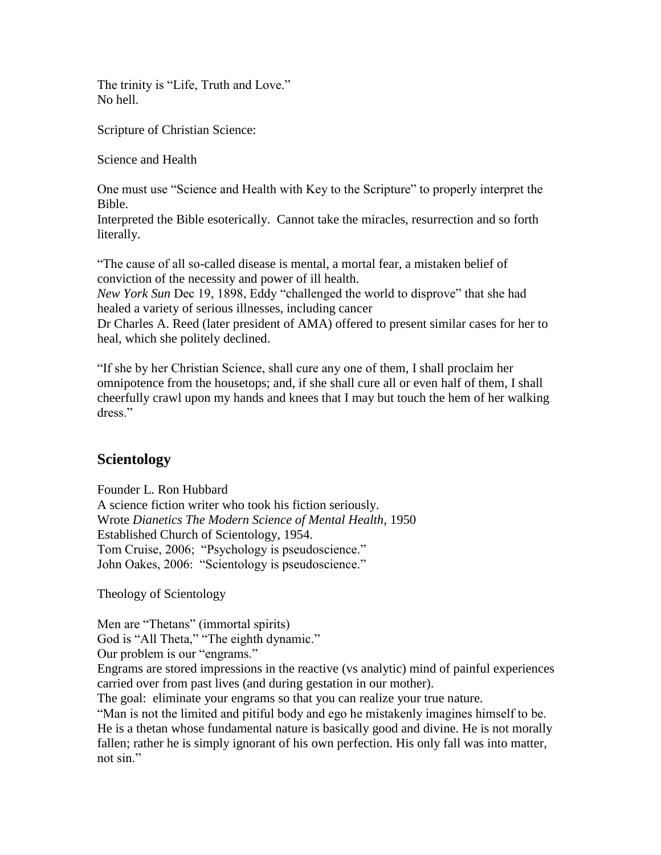The trinity is "Life, Truth and Love." No hell.

Scripture of Christian Science:

Science and Health

One must use "Science and Health with Key to the Scripture" to properly interpret the Bible.

Interpreted the Bible esoterically. Cannot take the miracles, resurrection and so forth literally.

"The cause of all so-called disease is mental, a mortal fear, a mistaken belief of conviction of the necessity and power of ill health.

*New York Sun* Dec 19, 1898, Eddy "challenged the world to disprove" that she had healed a variety of serious illnesses, including cancer

Dr Charles A. Reed (later president of AMA) offered to present similar cases for her to heal, which she politely declined.

"If she by her Christian Science, shall cure any one of them, I shall proclaim her omnipotence from the housetops; and, if she shall cure all or even half of them, I shall cheerfully crawl upon my hands and knees that I may but touch the hem of her walking dress."

# **Scientology**

Founder L. Ron Hubbard A science fiction writer who took his fiction seriously. Wrote *Dianetics The Modern Science of Mental Health,* 1950 Established Church of Scientology, 1954. Tom Cruise, 2006; "Psychology is pseudoscience." John Oakes, 2006: "Scientology is pseudoscience."

Theology of Scientology

Men are "Thetans" (immortal spirits) God is "All Theta," "The eighth dynamic."

Our problem is our "engrams."

Engrams are stored impressions in the reactive (vs analytic) mind of painful experiences carried over from past lives (and during gestation in our mother).

The goal: eliminate your engrams so that you can realize your true nature.

"Man is not the limited and pitiful body and ego he mistakenly imagines himself to be. He is a thetan whose fundamental nature is basically good and divine. He is not morally fallen; rather he is simply ignorant of his own perfection. His only fall was into matter, not sin."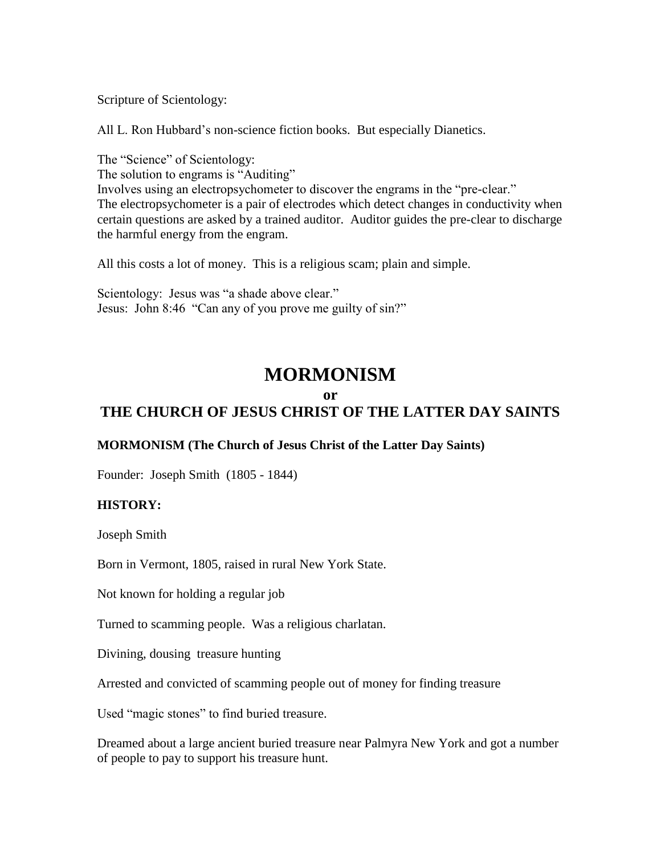Scripture of Scientology:

All L. Ron Hubbard's non-science fiction books. But especially Dianetics.

The "Science" of Scientology:

The solution to engrams is "Auditing"

Involves using an electropsychometer to discover the engrams in the "pre-clear." The electropsychometer is a pair of electrodes which detect changes in conductivity when certain questions are asked by a trained auditor. Auditor guides the pre-clear to discharge the harmful energy from the engram.

All this costs a lot of money. This is a religious scam; plain and simple.

Scientology: Jesus was "a shade above clear." Jesus: John 8:46 "Can any of you prove me guilty of sin?"

# **MORMONISM**

## **or**

# **THE CHURCH OF JESUS CHRIST OF THE LATTER DAY SAINTS**

## **MORMONISM (The Church of Jesus Christ of the Latter Day Saints)**

Founder: Joseph Smith (1805 - 1844)

#### **HISTORY:**

Joseph Smith

Born in Vermont, 1805, raised in rural New York State.

Not known for holding a regular job

Turned to scamming people. Was a religious charlatan.

Divining, dousing treasure hunting

Arrested and convicted of scamming people out of money for finding treasure

Used "magic stones" to find buried treasure.

Dreamed about a large ancient buried treasure near Palmyra New York and got a number of people to pay to support his treasure hunt.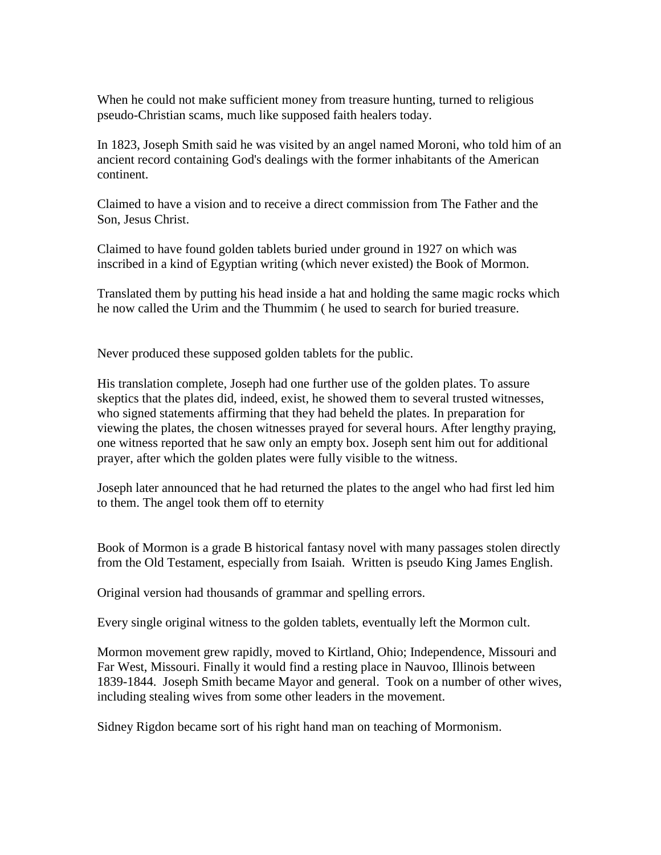When he could not make sufficient money from treasure hunting, turned to religious pseudo-Christian scams, much like supposed faith healers today.

In 1823, Joseph Smith said he was visited by an angel named Moroni, who told him of an ancient record containing God's dealings with the former inhabitants of the American continent.

Claimed to have a vision and to receive a direct commission from The Father and the Son, Jesus Christ.

Claimed to have found golden tablets buried under ground in 1927 on which was inscribed in a kind of Egyptian writing (which never existed) the Book of Mormon.

Translated them by putting his head inside a hat and holding the same magic rocks which he now called the Urim and the Thummim ( he used to search for buried treasure.

Never produced these supposed golden tablets for the public.

His translation complete, Joseph had one further use of the golden plates. To assure skeptics that the plates did, indeed, exist, he showed them to several trusted witnesses, who signed statements affirming that they had beheld the plates. In preparation for viewing the plates, the chosen witnesses prayed for several hours. After lengthy praying, one witness reported that he saw only an empty box. Joseph sent him out for additional prayer, after which the golden plates were fully visible to the witness.

Joseph later announced that he had returned the plates to the angel who had first led him to them. The angel took them off to eternity

Book of Mormon is a grade B historical fantasy novel with many passages stolen directly from the Old Testament, especially from Isaiah. Written is pseudo King James English.

Original version had thousands of grammar and spelling errors.

Every single original witness to the golden tablets, eventually left the Mormon cult.

Mormon movement grew rapidly, moved to Kirtland, Ohio; Independence, Missouri and Far West, Missouri. Finally it would find a resting place in Nauvoo, Illinois between 1839-1844. Joseph Smith became Mayor and general. Took on a number of other wives, including stealing wives from some other leaders in the movement.

Sidney Rigdon became sort of his right hand man on teaching of Mormonism.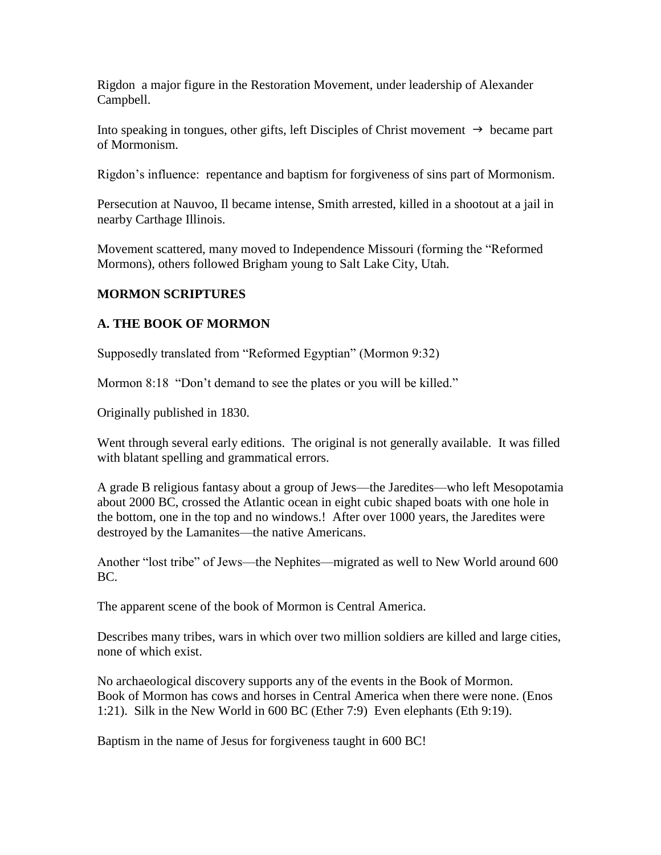Rigdon a major figure in the Restoration Movement, under leadership of Alexander Campbell.

Into speaking in tongues, other gifts, left Disciples of Christ movement  $\rightarrow$  became part of Mormonism.

Rigdon's influence: repentance and baptism for forgiveness of sins part of Mormonism.

Persecution at Nauvoo, Il became intense, Smith arrested, killed in a shootout at a jail in nearby Carthage Illinois.

Movement scattered, many moved to Independence Missouri (forming the "Reformed Mormons), others followed Brigham young to Salt Lake City, Utah.

## **MORMON SCRIPTURES**

## **A. THE BOOK OF MORMON**

Supposedly translated from "Reformed Egyptian" (Mormon 9:32)

Mormon 8:18 "Don't demand to see the plates or you will be killed."

Originally published in 1830.

Went through several early editions. The original is not generally available. It was filled with blatant spelling and grammatical errors.

A grade B religious fantasy about a group of Jews—the Jaredites—who left Mesopotamia about 2000 BC, crossed the Atlantic ocean in eight cubic shaped boats with one hole in the bottom, one in the top and no windows.! After over 1000 years, the Jaredites were destroyed by the Lamanites—the native Americans.

Another "lost tribe" of Jews—the Nephites—migrated as well to New World around 600 BC.

The apparent scene of the book of Mormon is Central America.

Describes many tribes, wars in which over two million soldiers are killed and large cities, none of which exist.

No archaeological discovery supports any of the events in the Book of Mormon. Book of Mormon has cows and horses in Central America when there were none. (Enos 1:21). Silk in the New World in 600 BC (Ether 7:9) Even elephants (Eth 9:19).

Baptism in the name of Jesus for forgiveness taught in 600 BC!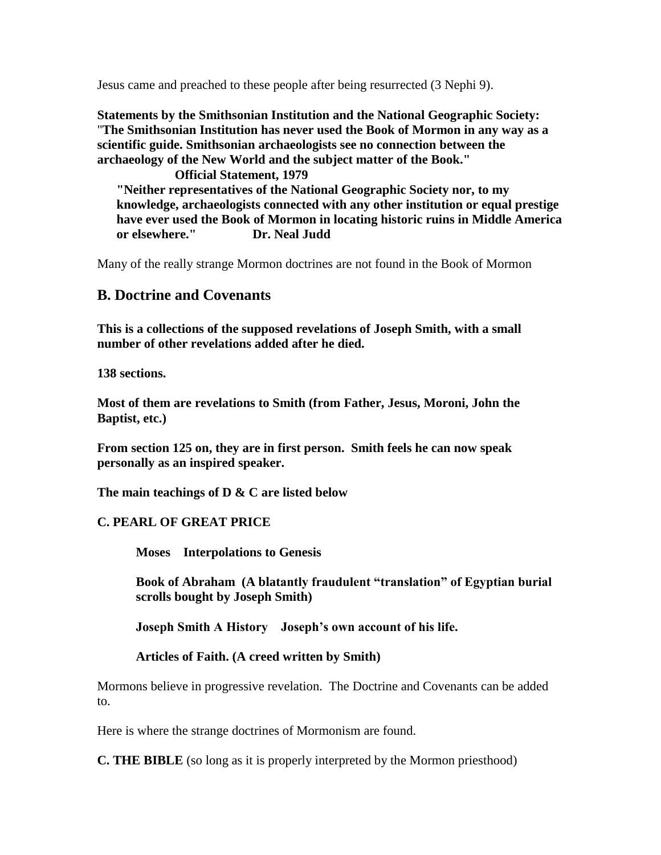Jesus came and preached to these people after being resurrected (3 Nephi 9).

**Statements by the Smithsonian Institution and the National Geographic Society:**  "**The Smithsonian Institution has never used the Book of Mormon in any way as a scientific guide. Smithsonian archaeologists see no connection between the archaeology of the New World and the subject matter of the Book."** 

**Official Statement, 1979 "Neither representatives of the National Geographic Society nor, to my knowledge, archaeologists connected with any other institution or equal prestige have ever used the Book of Mormon in locating historic ruins in Middle America or elsewhere." Dr. Neal Judd** 

Many of the really strange Mormon doctrines are not found in the Book of Mormon

# **B. Doctrine and Covenants**

**This is a collections of the supposed revelations of Joseph Smith, with a small number of other revelations added after he died.**

**138 sections.**

**Most of them are revelations to Smith (from Father, Jesus, Moroni, John the Baptist, etc.)**

**From section 125 on, they are in first person. Smith feels he can now speak personally as an inspired speaker.**

**The main teachings of D & C are listed below**

#### **C. PEARL OF GREAT PRICE**

**Moses Interpolations to Genesis**

**Book of Abraham (A blatantly fraudulent "translation" of Egyptian burial scrolls bought by Joseph Smith)**

**Joseph Smith A History Joseph's own account of his life.**

#### **Articles of Faith. (A creed written by Smith)**

Mormons believe in progressive revelation. The Doctrine and Covenants can be added to.

Here is where the strange doctrines of Mormonism are found.

**C. THE BIBLE** (so long as it is properly interpreted by the Mormon priesthood)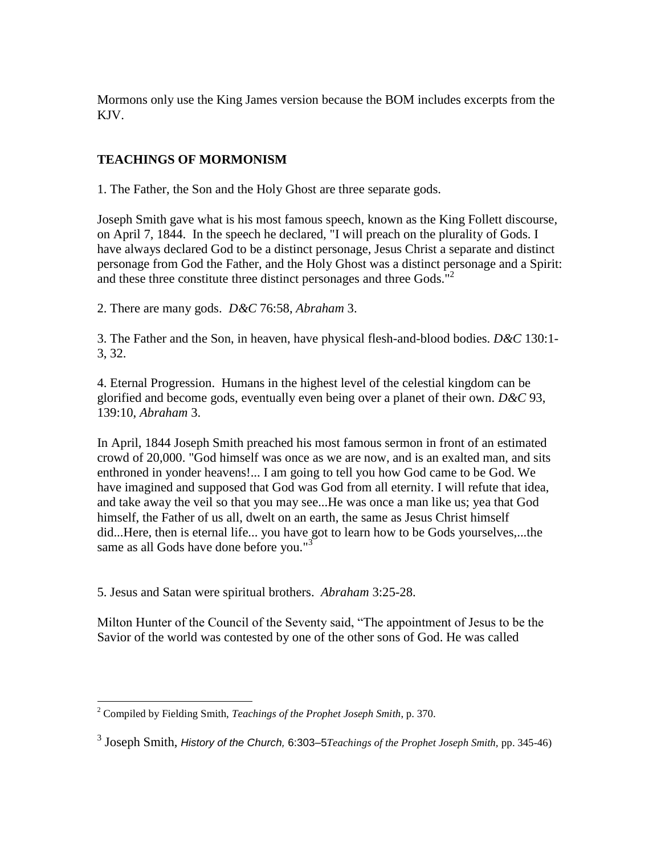Mormons only use the King James version because the BOM includes excerpts from the KJV.

# **TEACHINGS OF MORMONISM**

1. The Father, the Son and the Holy Ghost are three separate gods.

Joseph Smith gave what is his most famous speech, known as the King Follett discourse, on April 7, 1844. In the speech he declared, "I will preach on the plurality of Gods. I have always declared God to be a distinct personage, Jesus Christ a separate and distinct personage from God the Father, and the Holy Ghost was a distinct personage and a Spirit: and these three constitute three distinct personages and three Gods."<sup>2</sup>

2. There are many gods. *D&C* 76:58, *Abraham* 3.

3. The Father and the Son, in heaven, have physical flesh-and-blood bodies. *D&C* 130:1- 3, 32.

4. Eternal Progression. Humans in the highest level of the celestial kingdom can be glorified and become gods, eventually even being over a planet of their own. *D&C* 93, 139:10, *Abraham* 3.

In April, 1844 Joseph Smith preached his most famous sermon in front of an estimated crowd of 20,000. "God himself was once as we are now, and is an exalted man, and sits enthroned in yonder heavens!... I am going to tell you how God came to be God. We have imagined and supposed that God was God from all eternity. I will refute that idea, and take away the veil so that you may see...He was once a man like us; yea that God himself, the Father of us all, dwelt on an earth, the same as Jesus Christ himself did...Here, then is eternal life... you have got to learn how to be Gods yourselves,...the same as all Gods have done before you."<sup>3</sup>

5. Jesus and Satan were spiritual brothers. *Abraham* 3:25-28.

Milton Hunter of the Council of the Seventy said, "The appointment of Jesus to be the Savior of the world was contested by one of the other sons of God. He was called

 $\overline{a}$ 

<sup>2</sup> Compiled by Fielding Smith, *Teachings of the Prophet Joseph Smith*, p. 370.

<sup>3</sup> Joseph Smith, *History of the Church,* 6:303–5*Teachings of the Prophet Joseph Smith,* pp. 345-46)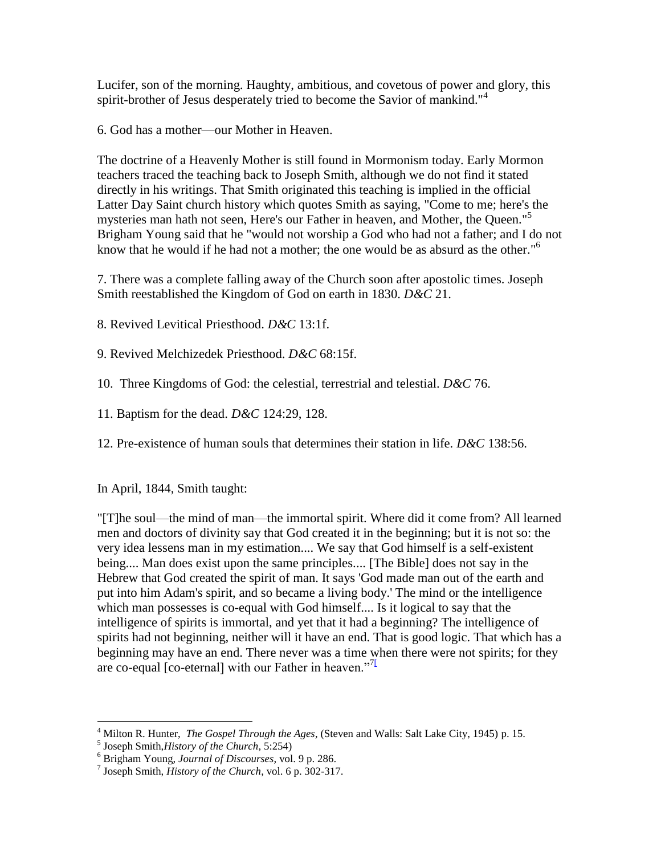Lucifer, son of the morning. Haughty, ambitious, and covetous of power and glory, this spirit-brother of Jesus desperately tried to become the Savior of mankind."<sup>4</sup>

6. God has a mother—our Mother in Heaven.

The doctrine of a Heavenly Mother is still found in Mormonism today. Early Mormon teachers traced the teaching back to Joseph Smith, although we do not find it stated directly in his writings. That Smith originated this teaching is implied in the official Latter Day Saint church history which quotes Smith as saying, "Come to me; here's the mysteries man hath not seen, Here's our Father in heaven, and Mother, the Queen."<sup>5</sup> Brigham Young said that he "would not worship a God who had not a father; and I do not know that he would if he had not a mother; the one would be as absurd as the other."<sup>6</sup>

7. There was a complete falling away of the Church soon after apostolic times. Joseph Smith reestablished the Kingdom of God on earth in 1830. *D&C* 21.

8. Revived Levitical Priesthood. *D&C* 13:1f.

9. Revived Melchizedek Priesthood. *D&C* 68:15f.

10. Three Kingdoms of God: the celestial, terrestrial and telestial. *D&C* 76.

11. Baptism for the dead. *D&C* 124:29, 128.

12. Pre-existence of human souls that determines their station in life. *D&C* 138:56.

In April, 1844, Smith taught:

"[T]he soul—the mind of man—the immortal spirit. Where did it come from? All learned men and doctors of divinity say that God created it in the beginning; but it is not so: the very idea lessens man in my estimation.... We say that God himself is a self-existent being.... Man does exist upon the same principles.... [The Bible] does not say in the Hebrew that God created the spirit of man. It says 'God made man out of the earth and put into him Adam's spirit, and so became a living body.' The mind or the intelligence which man possesses is co-equal with God himself.... Is it logical to say that the intelligence of spirits is immortal, and yet that it had a beginning? The intelligence of spirits had not beginning, neither will it have an end. That is good logic. That which has a beginning may have an end. There never was a time when there were not spirits; for they are co-equal [co-eternal] with our Father in heaven.<sup>"71</sup>

5 Joseph Smith,*History of the Church*, 5:254)

 $\overline{a}$ 

<sup>4</sup> Milton R. Hunter, *The Gospel Through the Ages*, (Steven and Walls: Salt Lake City, 1945) p. 15.

<sup>6</sup> Brigham Young, *Journal of Discourses*, vol. 9 p. 286.

<sup>7</sup> Joseph Smith, *History of the Church*, vol. 6 p. 302-317.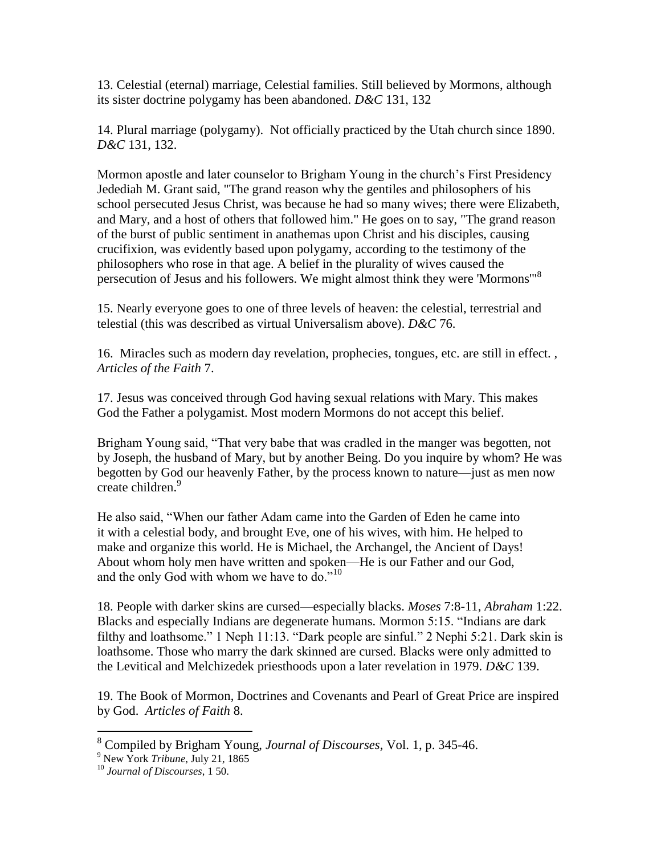13. Celestial (eternal) marriage, Celestial families. Still believed by Mormons, although its sister doctrine polygamy has been abandoned. *D&C* 131, 132

14. Plural marriage (polygamy). Not officially practiced by the Utah church since 1890. *D&C* 131, 132.

Mormon apostle and later counselor to Brigham Young in the church's First Presidency Jedediah M. Grant said, "The grand reason why the gentiles and philosophers of his school persecuted Jesus Christ, was because he had so many wives; there were Elizabeth, and Mary, and a host of others that followed him." He goes on to say, "The grand reason of the burst of public sentiment in anathemas upon Christ and his disciples, causing crucifixion, was evidently based upon polygamy, according to the testimony of the philosophers who rose in that age. A belief in the plurality of wives caused the persecution of Jesus and his followers. We might almost think they were 'Mormons'"<sup>8</sup>

15. Nearly everyone goes to one of three levels of heaven: the celestial, terrestrial and telestial (this was described as virtual Universalism above). *D&C* 76.

16. Miracles such as modern day revelation, prophecies, tongues, etc. are still in effect. *, Articles of the Faith* 7.

17. Jesus was conceived through God having sexual relations with Mary. This makes God the Father a polygamist. Most modern Mormons do not accept this belief.

Brigham Young said, "That very babe that was cradled in the manger was begotten, not by Joseph, the husband of Mary, but by another Being. Do you inquire by whom? He was begotten by God our heavenly Father, by the process known to nature—just as men now create children.<sup>9</sup>

He also said, "When our father Adam came into the Garden of Eden he came into it with a celestial body, and brought Eve, one of his wives, with him. He helped to make and organize this world. He is Michael, the Archangel, the Ancient of Days! About whom holy men have written and spoken—He is our Father and our God, and the only God with whom we have to do." $10$ 

18. People with darker skins are cursed—especially blacks. *Moses* 7:8-11, *Abraham* 1:22. Blacks and especially Indians are degenerate humans. Mormon 5:15. "Indians are dark filthy and loathsome." 1 Neph 11:13. "Dark people are sinful." 2 Nephi 5:21. Dark skin is loathsome. Those who marry the dark skinned are cursed. Blacks were only admitted to the Levitical and Melchizedek priesthoods upon a later revelation in 1979. *D&C* 139.

19. The Book of Mormon, Doctrines and Covenants and Pearl of Great Price are inspired by God. *Articles of Faith* 8.

 $\overline{a}$ 

<sup>8</sup> Compiled by Brigham Young, *Journal of Discourses,* Vol. 1, p. 345-46.

<sup>9</sup> New York *Tribune*, July 21, 1865

<sup>10</sup> *Journal of Discourses*, 1 50.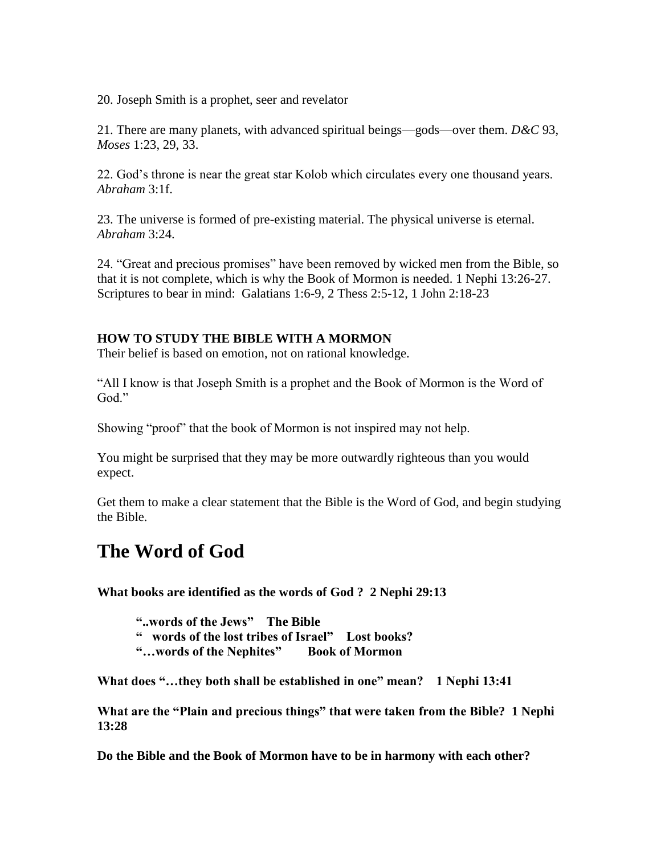20. Joseph Smith is a prophet, seer and revelator

21. There are many planets, with advanced spiritual beings—gods—over them. *D&C* 93, *Moses* 1:23, 29, 33.

22. God's throne is near the great star Kolob which circulates every one thousand years. *Abraham* 3:1f.

23. The universe is formed of pre-existing material. The physical universe is eternal. *Abraham* 3:24.

24. "Great and precious promises" have been removed by wicked men from the Bible, so that it is not complete, which is why the Book of Mormon is needed. 1 Nephi 13:26-27. Scriptures to bear in mind: Galatians 1:6-9, 2 Thess 2:5-12, 1 John 2:18-23

## **HOW TO STUDY THE BIBLE WITH A MORMON**

Their belief is based on emotion, not on rational knowledge.

"All I know is that Joseph Smith is a prophet and the Book of Mormon is the Word of God."

Showing "proof" that the book of Mormon is not inspired may not help.

You might be surprised that they may be more outwardly righteous than you would expect.

Get them to make a clear statement that the Bible is the Word of God, and begin studying the Bible.

# **The Word of God**

**What books are identified as the words of God ? 2 Nephi 29:13**

**"..words of the Jews" The Bible**

**" words of the lost tribes of Israel" Lost books?**

**"…words of the Nephites" Book of Mormon**

**What does "…they both shall be established in one" mean? 1 Nephi 13:41**

**What are the "Plain and precious things" that were taken from the Bible? 1 Nephi 13:28**

**Do the Bible and the Book of Mormon have to be in harmony with each other?**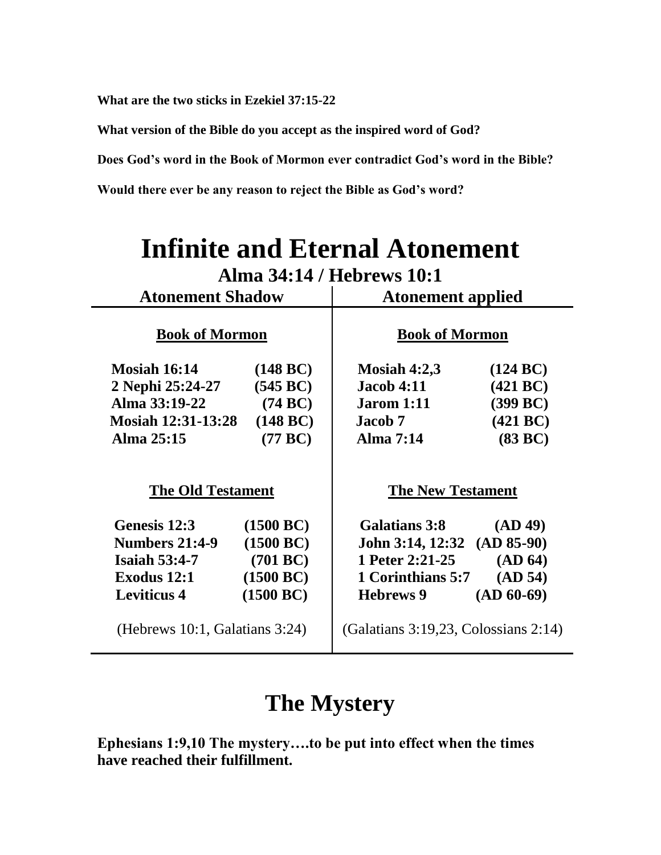**What are the two sticks in Ezekiel 37:15-22**

**What version of the Bible do you accept as the inspired word of God?**

**Does God's word in the Book of Mormon ever contradict God's word in the Bible?**

**Would there ever be any reason to reject the Bible as God's word?**

| <b>Infinite and Eternal Atonement</b> |                    |                                      |              |  |  |  |
|---------------------------------------|--------------------|--------------------------------------|--------------|--|--|--|
| Alma 34:14 / Hebrews 10:1             |                    |                                      |              |  |  |  |
| <b>Atonement Shadow</b>               |                    | <b>Atonement applied</b>             |              |  |  |  |
| <b>Book of Mormon</b>                 |                    | <b>Book of Mormon</b>                |              |  |  |  |
| <b>Mosiah 16:14</b>                   | $(148 \text{ BC})$ | Mosiah $4:2,3$                       | (124 BC)     |  |  |  |
| 2 Nephi 25:24-27                      | (545 BC)           | <b>Jacob 4:11</b>                    | (421 BC)     |  |  |  |
| Alma 33:19-22                         | (74 BC)            | <b>Jarom</b> 1:11                    | (399 BC)     |  |  |  |
| <b>Mosiah 12:31-13:28</b>             | (148 BC)           | Jacob 7                              | (421 BC)     |  |  |  |
| Alma 25:15                            | (77 BC)            | Alma 7:14                            | (83 BC)      |  |  |  |
| <b>The Old Testament</b>              |                    | <b>The New Testament</b>             |              |  |  |  |
| Genesis 12:3                          | (1500 BC)          | Galatians 3:8                        | (AD 49)      |  |  |  |
| <b>Numbers 21:4-9</b>                 | (1500 BC)          | John 3:14, 12:32 (AD 85-90)          |              |  |  |  |
| Isaiah $53:4-7$                       | (701 BC)           | 1 Peter 2:21-25                      | (AD 64)      |  |  |  |
| Exodus 12:1                           | (1500 BC)          | 1 Corinthians 5:7                    | (AD 54)      |  |  |  |
| <b>Leviticus 4</b>                    | (1500 BC)          | <b>Hebrews 9</b>                     | $(AD 60-69)$ |  |  |  |
| (Hebrews 10:1, Galatians 3:24)        |                    | (Galatians 3:19,23, Colossians 2:14) |              |  |  |  |

# **The Mystery**

**Ephesians 1:9,10 The mystery….to be put into effect when the times have reached their fulfillment.**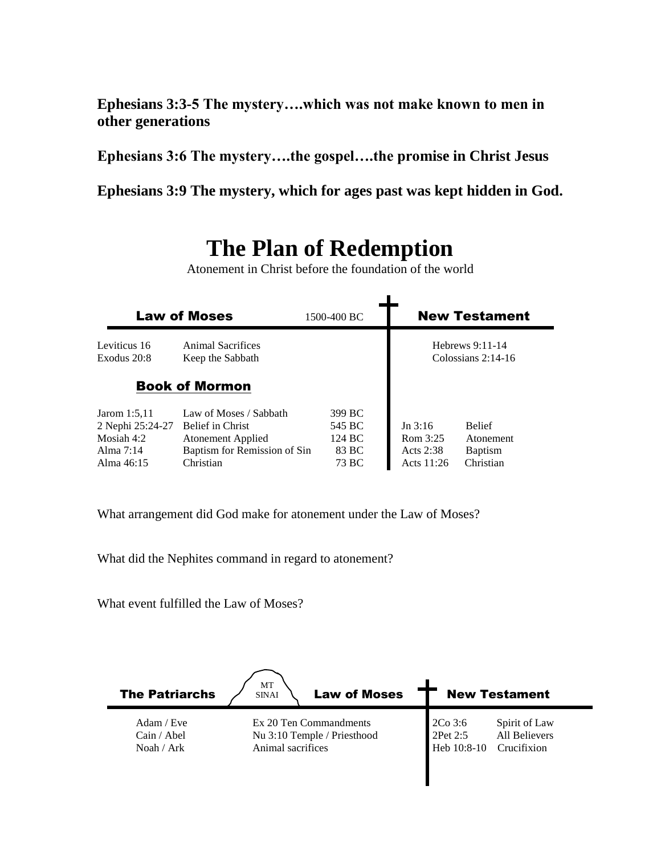**Ephesians 3:3-5 The mystery….which was not make known to men in other generations**

**Ephesians 3:6 The mystery….the gospel….the promise in Christ Jesus**

**Ephesians 3:9 The mystery, which for ages past was kept hidden in God.**

# **The Plan of Redemption**

Atonement in Christ before the foundation of the world

| <b>Law of Moses</b><br>1500-400 BC |                                       |        |                                           | <b>New Testament</b> |
|------------------------------------|---------------------------------------|--------|-------------------------------------------|----------------------|
| Leviticus 16<br>Exodus 20:8        | Animal Sacrifices<br>Keep the Sabbath |        | Hebrews $9:11-14$<br>Colossians $2:14-16$ |                      |
|                                    | <b>Book of Mormon</b>                 |        |                                           |                      |
| Jarom 1:5,11                       | Law of Moses / Sabbath                | 399 BC |                                           |                      |
| 2 Nephi 25:24-27                   | Belief in Christ                      | 545 BC | Jn 3:16                                   | <b>Belief</b>        |
| Mosiah $4:2$                       | Atonement Applied                     | 124 BC | Rom 3:25                                  | Atonement            |
| Alma $7:14$                        | Baptism for Remission of Sin          | 83 BC  | Acts $2:38$                               | <b>Baptism</b>       |
| Alma 46:15                         | Christian                             | 73 BC  | Acts 11:26                                | Christian            |

What arrangement did God make for atonement under the Law of Moses?

What did the Nephites command in regard to atonement?

What event fulfilled the Law of Moses?

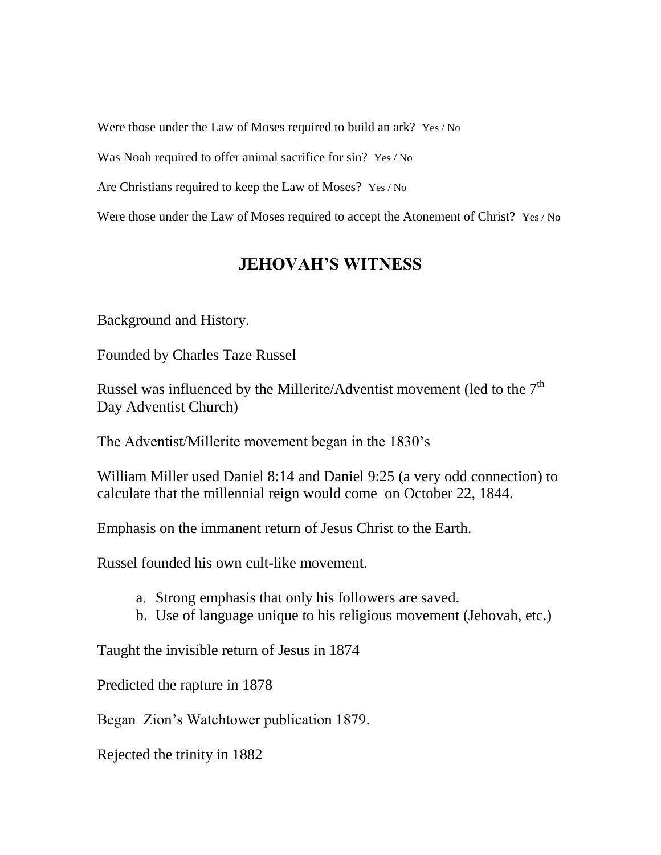Were those under the Law of Moses required to build an ark? Yes / No

Was Noah required to offer animal sacrifice for sin? Yes / No

Are Christians required to keep the Law of Moses? Yes / No

Were those under the Law of Moses required to accept the Atonement of Christ? Yes / No

# **JEHOVAH'S WITNESS**

Background and History.

Founded by Charles Taze Russel

Russel was influenced by the Millerite/Adventist movement (led to the  $7<sup>th</sup>$ Day Adventist Church)

The Adventist/Millerite movement began in the 1830's

William Miller used Daniel 8:14 and Daniel 9:25 (a very odd connection) to calculate that the millennial reign would come on October 22, 1844.

Emphasis on the immanent return of Jesus Christ to the Earth.

Russel founded his own cult-like movement.

- a. Strong emphasis that only his followers are saved.
- b. Use of language unique to his religious movement (Jehovah, etc.)

Taught the invisible return of Jesus in 1874

Predicted the rapture in 1878

Began Zion's Watchtower publication 1879.

Rejected the trinity in 1882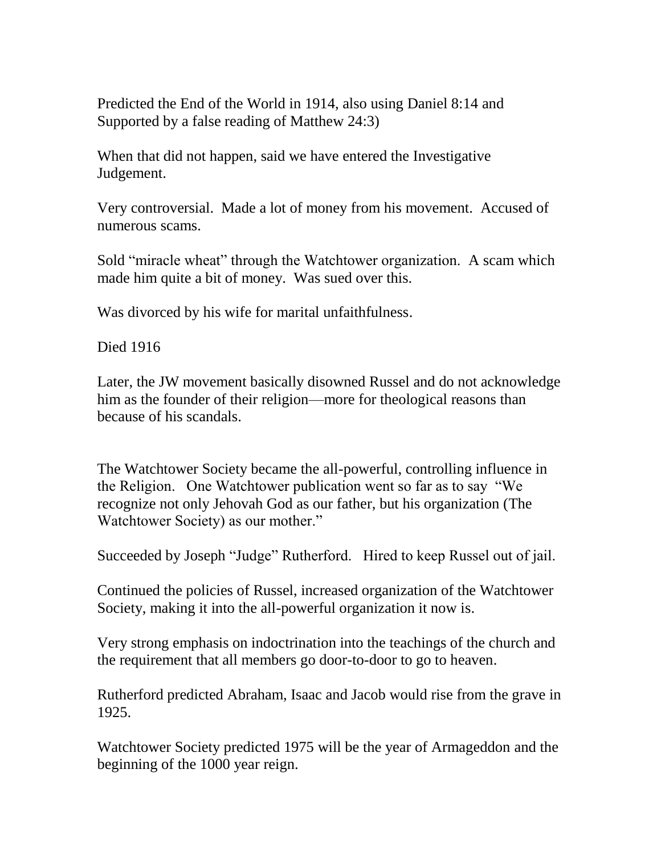Predicted the End of the World in 1914, also using Daniel 8:14 and Supported by a false reading of Matthew 24:3)

When that did not happen, said we have entered the Investigative Judgement.

Very controversial. Made a lot of money from his movement. Accused of numerous scams.

Sold "miracle wheat" through the Watchtower organization. A scam which made him quite a bit of money. Was sued over this.

Was divorced by his wife for marital unfaithfulness.

Died 1916

Later, the JW movement basically disowned Russel and do not acknowledge him as the founder of their religion—more for theological reasons than because of his scandals.

The Watchtower Society became the all-powerful, controlling influence in the Religion. One Watchtower publication went so far as to say "We recognize not only Jehovah God as our father, but his organization (The Watchtower Society) as our mother."

Succeeded by Joseph "Judge" Rutherford. Hired to keep Russel out of jail.

Continued the policies of Russel, increased organization of the Watchtower Society, making it into the all-powerful organization it now is.

Very strong emphasis on indoctrination into the teachings of the church and the requirement that all members go door-to-door to go to heaven.

Rutherford predicted Abraham, Isaac and Jacob would rise from the grave in 1925.

Watchtower Society predicted 1975 will be the year of Armageddon and the beginning of the 1000 year reign.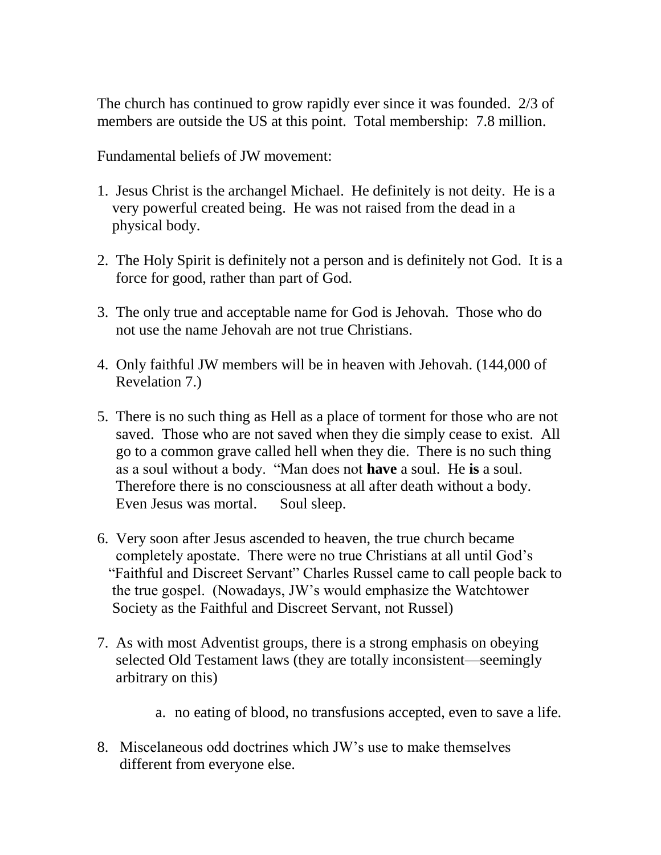The church has continued to grow rapidly ever since it was founded. 2/3 of members are outside the US at this point. Total membership: 7.8 million.

Fundamental beliefs of JW movement:

- 1. Jesus Christ is the archangel Michael. He definitely is not deity. He is a very powerful created being. He was not raised from the dead in a physical body.
- 2. The Holy Spirit is definitely not a person and is definitely not God. It is a force for good, rather than part of God.
- 3. The only true and acceptable name for God is Jehovah. Those who do not use the name Jehovah are not true Christians.
- 4. Only faithful JW members will be in heaven with Jehovah. (144,000 of Revelation 7.)
- 5. There is no such thing as Hell as a place of torment for those who are not saved. Those who are not saved when they die simply cease to exist. All go to a common grave called hell when they die. There is no such thing as a soul without a body. "Man does not **have** a soul. He **is** a soul. Therefore there is no consciousness at all after death without a body. Even Jesus was mortal. Soul sleep.
- 6. Very soon after Jesus ascended to heaven, the true church became completely apostate. There were no true Christians at all until God's "Faithful and Discreet Servant" Charles Russel came to call people back to the true gospel. (Nowadays, JW's would emphasize the Watchtower Society as the Faithful and Discreet Servant, not Russel)
- 7. As with most Adventist groups, there is a strong emphasis on obeying selected Old Testament laws (they are totally inconsistent—seemingly arbitrary on this)
	- a. no eating of blood, no transfusions accepted, even to save a life.
- 8. Miscelaneous odd doctrines which JW's use to make themselves different from everyone else.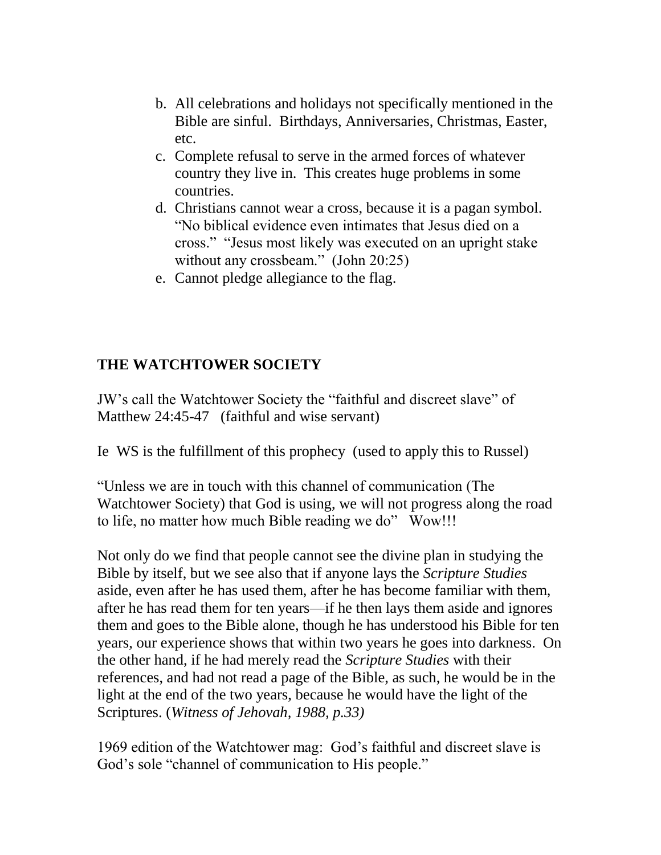- b. All celebrations and holidays not specifically mentioned in the Bible are sinful. Birthdays, Anniversaries, Christmas, Easter, etc.
- c. Complete refusal to serve in the armed forces of whatever country they live in. This creates huge problems in some countries.
- d. Christians cannot wear a cross, because it is a pagan symbol. "No biblical evidence even intimates that Jesus died on a cross." "Jesus most likely was executed on an upright stake without any crossbeam." (John 20:25)
- e. Cannot pledge allegiance to the flag.

# **THE WATCHTOWER SOCIETY**

JW's call the Watchtower Society the "faithful and discreet slave" of Matthew 24:45-47 (faithful and wise servant)

Ie WS is the fulfillment of this prophecy (used to apply this to Russel)

"Unless we are in touch with this channel of communication (The Watchtower Society) that God is using, we will not progress along the road to life, no matter how much Bible reading we do" Wow!!!

Not only do we find that people cannot see the divine plan in studying the Bible by itself, but we see also that if anyone lays the *Scripture Studies* aside, even after he has used them, after he has become familiar with them, after he has read them for ten years—if he then lays them aside and ignores them and goes to the Bible alone, though he has understood his Bible for ten years, our experience shows that within two years he goes into darkness. On the other hand, if he had merely read the *Scripture Studies* with their references, and had not read a page of the Bible, as such, he would be in the light at the end of the two years, because he would have the light of the Scriptures. (*Witness of Jehovah, 1988, p.33)*

1969 edition of the Watchtower mag: God's faithful and discreet slave is God's sole "channel of communication to His people."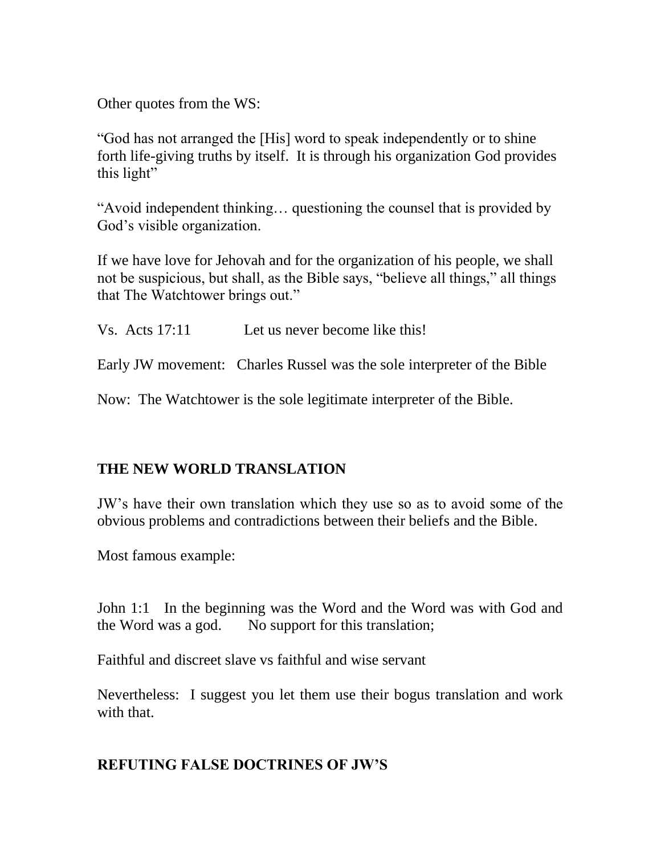Other quotes from the WS:

"God has not arranged the [His] word to speak independently or to shine forth life-giving truths by itself. It is through his organization God provides this light"

"Avoid independent thinking… questioning the counsel that is provided by God's visible organization.

If we have love for Jehovah and for the organization of his people, we shall not be suspicious, but shall, as the Bible says, "believe all things," all things that The Watchtower brings out."

Vs. Acts 17:11 Let us never become like this!

Early JW movement: Charles Russel was the sole interpreter of the Bible

Now: The Watchtower is the sole legitimate interpreter of the Bible.

# **THE NEW WORLD TRANSLATION**

JW's have their own translation which they use so as to avoid some of the obvious problems and contradictions between their beliefs and the Bible.

Most famous example:

John 1:1 In the beginning was the Word and the Word was with God and the Word was a god. No support for this translation;

Faithful and discreet slave vs faithful and wise servant

Nevertheless: I suggest you let them use their bogus translation and work with that.

# **REFUTING FALSE DOCTRINES OF JW'S**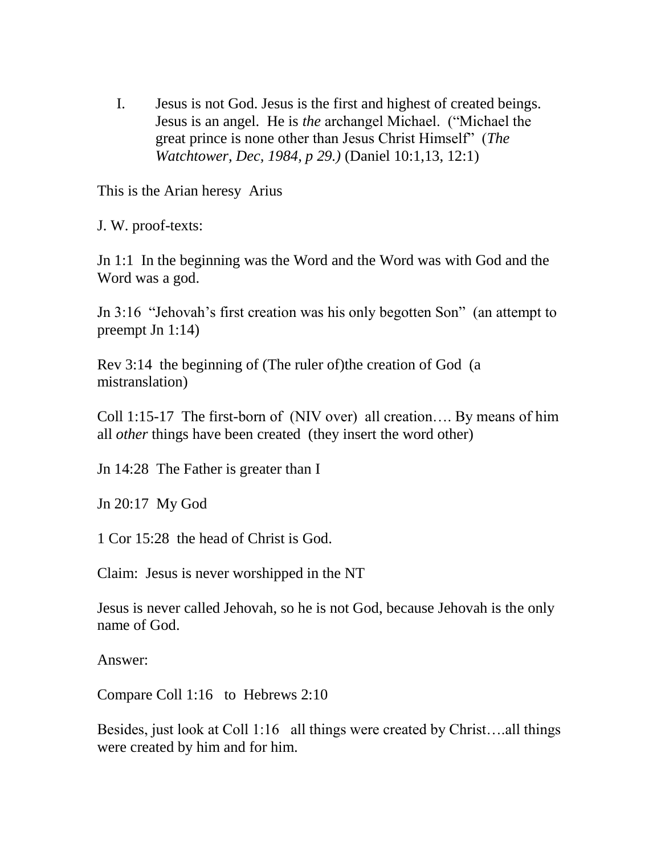I. Jesus is not God. Jesus is the first and highest of created beings. Jesus is an angel. He is *the* archangel Michael. ("Michael the great prince is none other than Jesus Christ Himself" (*The Watchtower, Dec, 1984, p 29.)* (Daniel 10:1,13, 12:1)

This is the Arian heresy Arius

J. W. proof-texts:

Jn 1:1 In the beginning was the Word and the Word was with God and the Word was a god.

Jn 3:16 "Jehovah's first creation was his only begotten Son" (an attempt to preempt Jn 1:14)

Rev 3:14 the beginning of (The ruler of)the creation of God (a mistranslation)

Coll 1:15-17 The first-born of (NIV over) all creation…. By means of him all *other* things have been created (they insert the word other)

Jn 14:28 The Father is greater than I

Jn 20:17 My God

1 Cor 15:28 the head of Christ is God.

Claim: Jesus is never worshipped in the NT

Jesus is never called Jehovah, so he is not God, because Jehovah is the only name of God.

Answer:

Compare Coll 1:16 to Hebrews 2:10

Besides, just look at Coll 1:16 all things were created by Christ….all things were created by him and for him.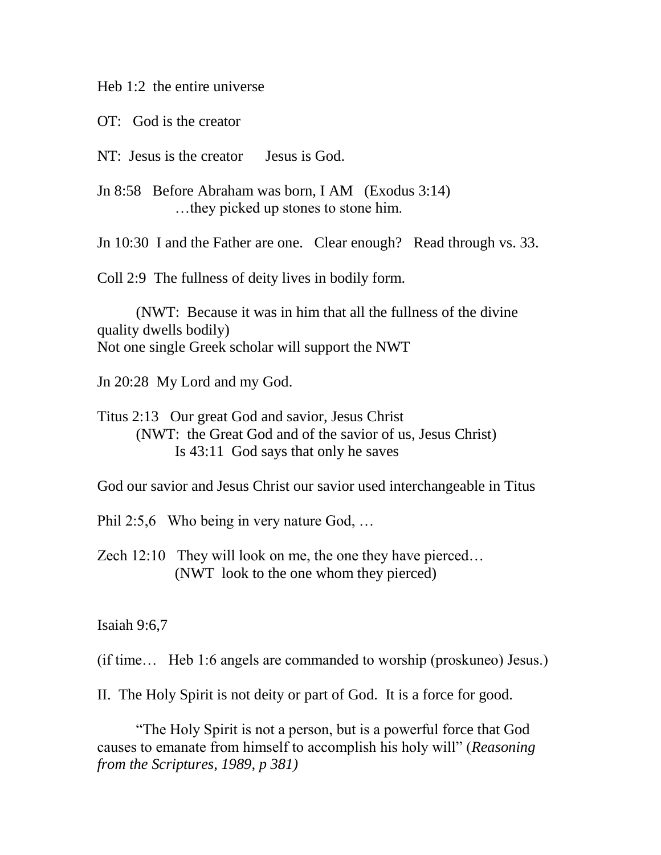Heb 1:2 the entire universe

OT: God is the creator

NT: Jesus is the creator Jesus is God.

Jn 8:58 Before Abraham was born, I AM (Exodus 3:14) …they picked up stones to stone him.

Jn 10:30 I and the Father are one. Clear enough? Read through vs. 33.

Coll 2:9 The fullness of deity lives in bodily form.

(NWT: Because it was in him that all the fullness of the divine quality dwells bodily) Not one single Greek scholar will support the NWT

Jn 20:28 My Lord and my God.

Titus 2:13 Our great God and savior, Jesus Christ (NWT: the Great God and of the savior of us, Jesus Christ) Is 43:11 God says that only he saves

God our savior and Jesus Christ our savior used interchangeable in Titus

Phil 2:5,6 Who being in very nature God, ...

Zech 12:10 They will look on me, the one they have pierced… (NWT look to the one whom they pierced)

Isaiah 9:6,7

(if time… Heb 1:6 angels are commanded to worship (proskuneo) Jesus.)

II. The Holy Spirit is not deity or part of God. It is a force for good.

"The Holy Spirit is not a person, but is a powerful force that God causes to emanate from himself to accomplish his holy will" (*Reasoning from the Scriptures, 1989, p 381)*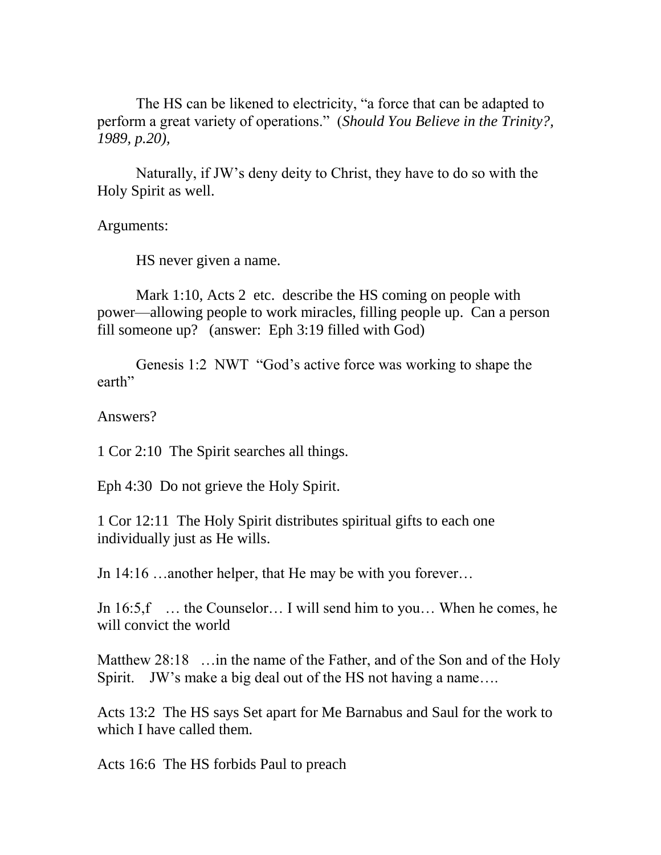The HS can be likened to electricity, "a force that can be adapted to perform a great variety of operations." (*Should You Believe in the Trinity?, 1989, p.20),* 

Naturally, if JW's deny deity to Christ, they have to do so with the Holy Spirit as well.

Arguments:

HS never given a name.

Mark 1:10, Acts 2 etc. describe the HS coming on people with power—allowing people to work miracles, filling people up. Can a person fill someone up? (answer: Eph 3:19 filled with God)

Genesis 1:2 NWT "God's active force was working to shape the earth"

Answers?

1 Cor 2:10 The Spirit searches all things.

Eph 4:30 Do not grieve the Holy Spirit.

1 Cor 12:11 The Holy Spirit distributes spiritual gifts to each one individually just as He wills.

Jn 14:16 …another helper, that He may be with you forever…

Jn 16:5,f … the Counselor… I will send him to you… When he comes, he will convict the world

Matthew 28:18 ... in the name of the Father, and of the Son and of the Holy Spirit. JW's make a big deal out of the HS not having a name....

Acts 13:2 The HS says Set apart for Me Barnabus and Saul for the work to which I have called them.

Acts 16:6 The HS forbids Paul to preach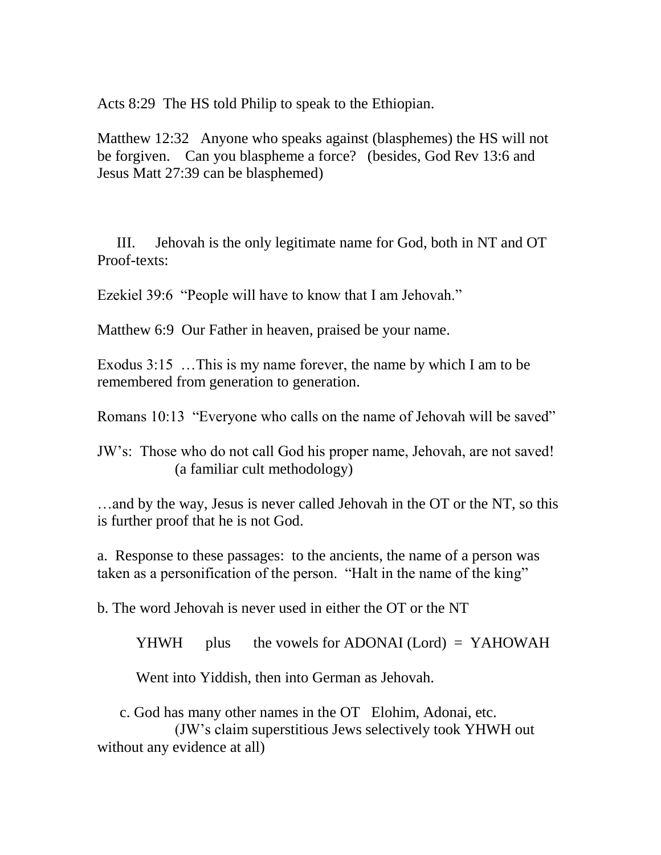Acts 8:29 The HS told Philip to speak to the Ethiopian.

Matthew 12:32 Anyone who speaks against (blasphemes) the HS will not be forgiven. Can you blaspheme a force? (besides, God Rev 13:6 and Jesus Matt 27:39 can be blasphemed)

III. Jehovah is the only legitimate name for God, both in NT and OT Proof-texts:

Ezekiel 39:6 "People will have to know that I am Jehovah."

Matthew 6:9 Our Father in heaven, praised be your name.

Exodus 3:15 …This is my name forever, the name by which I am to be remembered from generation to generation.

Romans 10:13 "Everyone who calls on the name of Jehovah will be saved"

JW's: Those who do not call God his proper name, Jehovah, are not saved! (a familiar cult methodology)

…and by the way, Jesus is never called Jehovah in the OT or the NT, so this is further proof that he is not God.

a. Response to these passages: to the ancients, the name of a person was taken as a personification of the person. "Halt in the name of the king"

b. The word Jehovah is never used in either the OT or the NT

 $YHWH$  plus the vowels for ADONAI (Lord) = YAHOWAH

Went into Yiddish, then into German as Jehovah.

c. God has many other names in the OT Elohim, Adonai, etc.

(JW's claim superstitious Jews selectively took YHWH out without any evidence at all)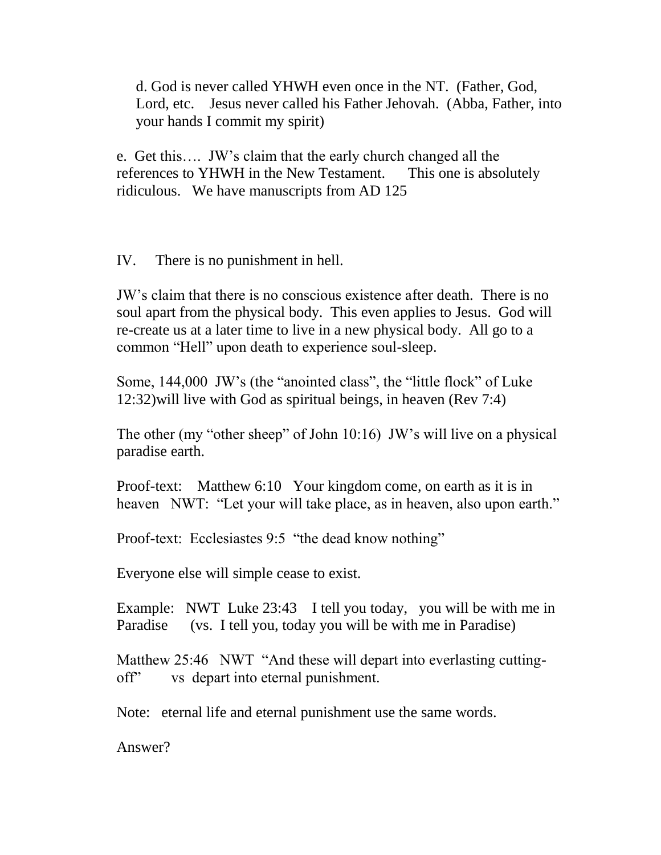d. God is never called YHWH even once in the NT. (Father, God, Lord, etc. Jesus never called his Father Jehovah. (Abba, Father, into your hands I commit my spirit)

e. Get this…. JW's claim that the early church changed all the references to YHWH in the New Testament. This one is absolutely ridiculous. We have manuscripts from AD 125

IV. There is no punishment in hell.

JW's claim that there is no conscious existence after death. There is no soul apart from the physical body. This even applies to Jesus. God will re-create us at a later time to live in a new physical body. All go to a common "Hell" upon death to experience soul-sleep.

Some, 144,000 JW's (the "anointed class", the "little flock" of Luke 12:32)will live with God as spiritual beings, in heaven (Rev 7:4)

The other (my "other sheep" of John 10:16) JW's will live on a physical paradise earth.

Proof-text: Matthew 6:10 Your kingdom come, on earth as it is in heaven NWT: "Let your will take place, as in heaven, also upon earth."

Proof-text: Ecclesiastes 9:5 "the dead know nothing"

Everyone else will simple cease to exist.

Example: NWT Luke 23:43 I tell you today, you will be with me in Paradise (vs. I tell you, today you will be with me in Paradise)

Matthew 25:46 NWT "And these will depart into everlasting cuttingoff" vs depart into eternal punishment.

Note: eternal life and eternal punishment use the same words.

Answer?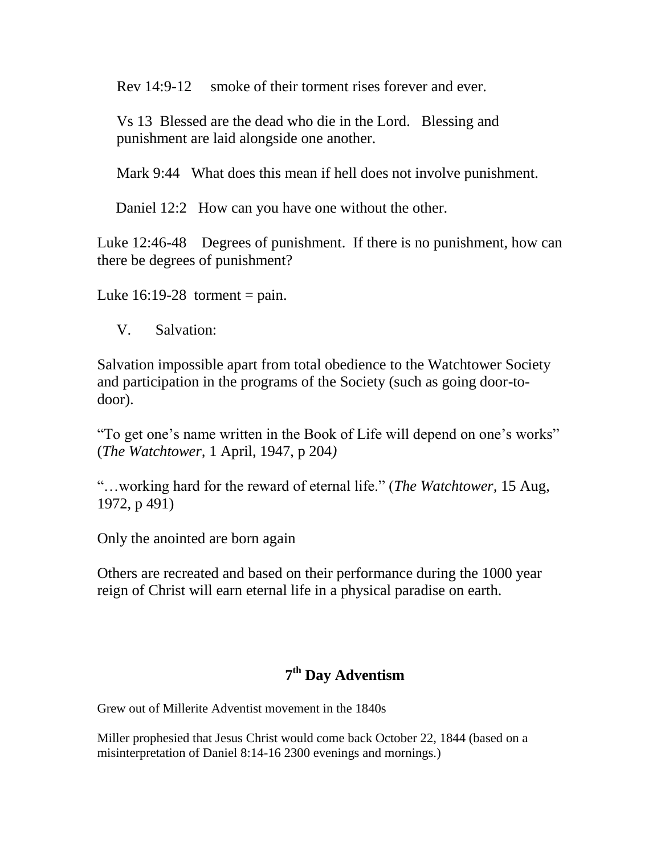Rev 14:9-12 smoke of their torment rises forever and ever.

Vs 13 Blessed are the dead who die in the Lord. Blessing and punishment are laid alongside one another.

Mark 9:44 What does this mean if hell does not involve punishment.

Daniel 12:2 How can you have one without the other.

Luke 12:46-48 Degrees of punishment. If there is no punishment, how can there be degrees of punishment?

Luke  $16:19-28$  torment = pain.

V. Salvation:

Salvation impossible apart from total obedience to the Watchtower Society and participation in the programs of the Society (such as going door-todoor).

"To get one's name written in the Book of Life will depend on one's works" (*The Watchtower,* 1 April, 1947, p 204*)*

"…working hard for the reward of eternal life." (*The Watchtower,* 15 Aug, 1972, p 491)

Only the anointed are born again

Others are recreated and based on their performance during the 1000 year reign of Christ will earn eternal life in a physical paradise on earth.

# **7 th Day Adventism**

Grew out of Millerite Adventist movement in the 1840s

Miller prophesied that Jesus Christ would come back October 22, 1844 (based on a misinterpretation of Daniel 8:14-16 2300 evenings and mornings.)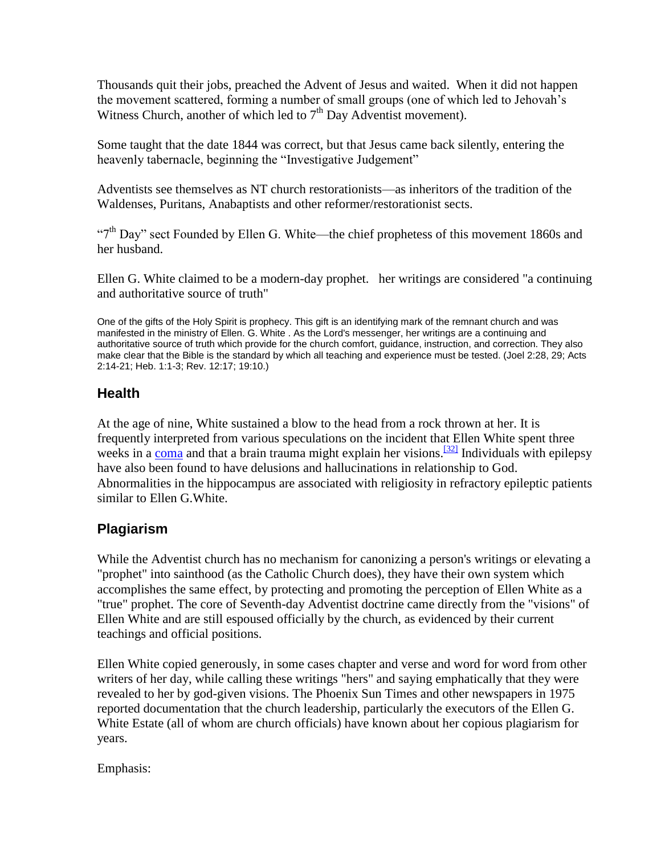Thousands quit their jobs, preached the Advent of Jesus and waited. When it did not happen the movement scattered, forming a number of small groups (one of which led to Jehovah's Witness Church, another of which led to  $7<sup>th</sup>$  Day Adventist movement).

Some taught that the date 1844 was correct, but that Jesus came back silently, entering the heavenly tabernacle, beginning the "Investigative Judgement"

Adventists see themselves as NT church restorationists—as inheritors of the tradition of the Waldenses, Puritans, Anabaptists and other reformer/restorationist sects.

" $7<sup>th</sup>$  Day" sect Founded by Ellen G. White—the chief prophetess of this movement 1860s and her husband.

Ellen G. White claimed to be a modern-day prophet. her writings are considered "a continuing and authoritative source of truth"

One of the gifts of the Holy Spirit is prophecy. This gift is an identifying mark of the remnant church and was manifested in the ministry of Ellen. G. White . As the Lord's messenger, her writings are a continuing and authoritative source of truth which provide for the church comfort, guidance, instruction, and correction. They also make clear that the Bible is the standard by which all teaching and experience must be tested. (Joel 2:28, 29; Acts 2:14-21; Heb. 1:1-3; Rev. 12:17; 19:10.)

# **Health**

At the age of nine, White sustained a blow to the head from a rock thrown at her. It is frequently interpreted from various speculations on the incident that Ellen White spent three weeks in a [coma](http://en.wikipedia.org/wiki/Coma) and that a brain trauma might explain her visions.<sup>[\[32\]](http://en.wikipedia.org/wiki/Criticism_of_the_Seventh-day_Adventist_Church#cite_note-holmes-31#cite_note-holmes-31)</sup> Individuals with epilepsy have also been found to have delusions and hallucinations in relationship to God. Abnormalities in the hippocampus are associated with religiosity in refractory epileptic patients similar to Ellen G.White.

# **Plagiarism**

While the Adventist church has no mechanism for canonizing a person's writings or elevating a "prophet" into sainthood (as the Catholic Church does), they have their own system which accomplishes the same effect, by protecting and promoting the perception of Ellen White as a "true" prophet. The core of Seventh-day Adventist doctrine came directly from the "visions" of Ellen White and are still espoused officially by the church, as evidenced by their current teachings and official positions.

Ellen White copied generously, in some cases chapter and verse and word for word from other writers of her day, while calling these writings "hers" and saying emphatically that they were revealed to her by god-given visions. The Phoenix Sun Times and other newspapers in 1975 reported documentation that the church leadership, particularly the executors of the Ellen G. White Estate (all of whom are church officials) have known about her copious plagiarism for years.

Emphasis: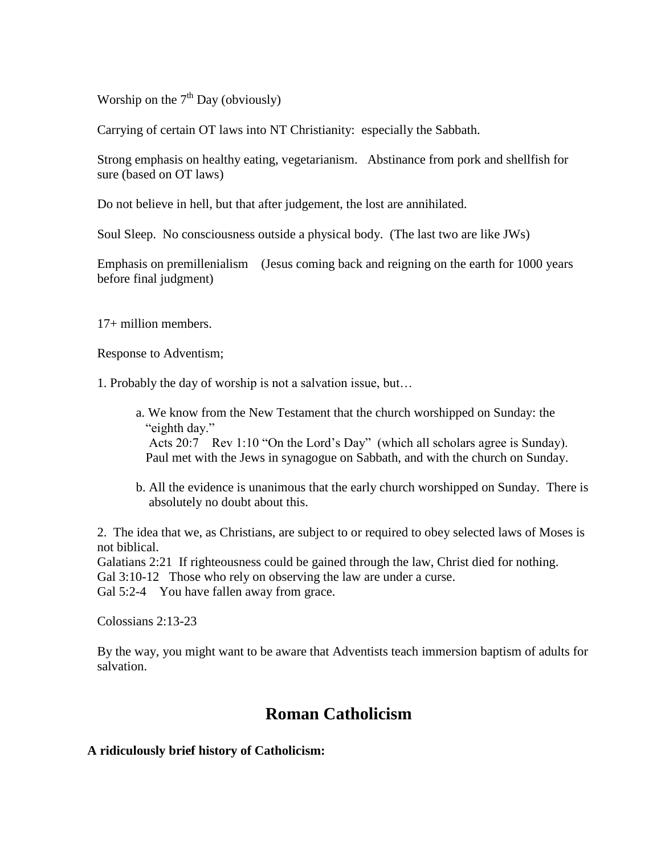Worship on the  $7<sup>th</sup>$  Day (obviously)

Carrying of certain OT laws into NT Christianity: especially the Sabbath.

Strong emphasis on healthy eating, vegetarianism. Abstinance from pork and shellfish for sure (based on OT laws)

Do not believe in hell, but that after judgement, the lost are annihilated.

Soul Sleep. No consciousness outside a physical body. (The last two are like JWs)

Emphasis on premillenialism (Jesus coming back and reigning on the earth for 1000 years before final judgment)

17+ million members.

Response to Adventism;

1. Probably the day of worship is not a salvation issue, but…

- a. We know from the New Testament that the church worshipped on Sunday: the "eighth day." Acts 20:7 Rev 1:10 "On the Lord's Day" (which all scholars agree is Sunday). Paul met with the Jews in synagogue on Sabbath, and with the church on Sunday.
- b. All the evidence is unanimous that the early church worshipped on Sunday. There is absolutely no doubt about this.

2. The idea that we, as Christians, are subject to or required to obey selected laws of Moses is not biblical.

Galatians 2:21 If righteousness could be gained through the law, Christ died for nothing. Gal 3:10-12 Those who rely on observing the law are under a curse.

Gal 5:2-4 You have fallen away from grace.

Colossians 2:13-23

By the way, you might want to be aware that Adventists teach immersion baptism of adults for salvation.

# **Roman Catholicism**

## **A ridiculously brief history of Catholicism:**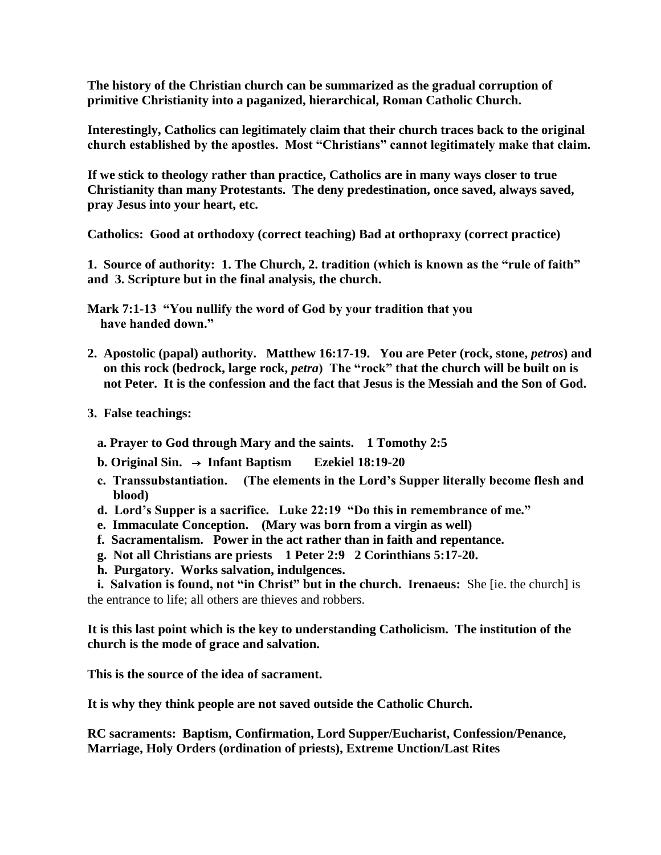**The history of the Christian church can be summarized as the gradual corruption of primitive Christianity into a paganized, hierarchical, Roman Catholic Church.**

**Interestingly, Catholics can legitimately claim that their church traces back to the original church established by the apostles. Most "Christians" cannot legitimately make that claim.**

**If we stick to theology rather than practice, Catholics are in many ways closer to true Christianity than many Protestants. The deny predestination, once saved, always saved, pray Jesus into your heart, etc.** 

**Catholics: Good at orthodoxy (correct teaching) Bad at orthopraxy (correct practice)**

**1. Source of authority: 1. The Church, 2. tradition (which is known as the "rule of faith" and 3. Scripture but in the final analysis, the church.**

**Mark 7:1-13 "You nullify the word of God by your tradition that you have handed down."**

- 2. Apostolic (papal) authority. Matthew 16:17-19. You are Peter (rock, stone, *petros*) and  **on this rock (bedrock, large rock,** *petra***) The "rock" that the church will be built on is not Peter. It is the confession and the fact that Jesus is the Messiah and the Son of God.**
- **3. False teachings:**
	- **a. Prayer to God through Mary and the saints. 1 Tomothy 2:5**
	- **b. Original Sin.** → **Infant Baptism Ezekiel 18:19-20**
	- **c. Transsubstantiation. (The elements in the Lord's Supper literally become flesh and blood)**
	- **d. Lord's Supper is a sacrifice. Luke 22:19 "Do this in remembrance of me."**
	- **e. Immaculate Conception. (Mary was born from a virgin as well)**
	- **f. Sacramentalism. Power in the act rather than in faith and repentance.**
	- **g. Not all Christians are priests 1 Peter 2:9 2 Corinthians 5:17-20.**
	- **h. Purgatory. Works salvation, indulgences.**

 **i. Salvation is found, not "in Christ" but in the church. Irenaeus:** She [ie. the church] is the entrance to life; all others are thieves and robbers.

**It is this last point which is the key to understanding Catholicism. The institution of the church is the mode of grace and salvation.**

**This is the source of the idea of sacrament.**

**It is why they think people are not saved outside the Catholic Church.**

**RC sacraments: Baptism, Confirmation, Lord Supper/Eucharist, Confession/Penance, Marriage, Holy Orders (ordination of priests), Extreme Unction/Last Rites**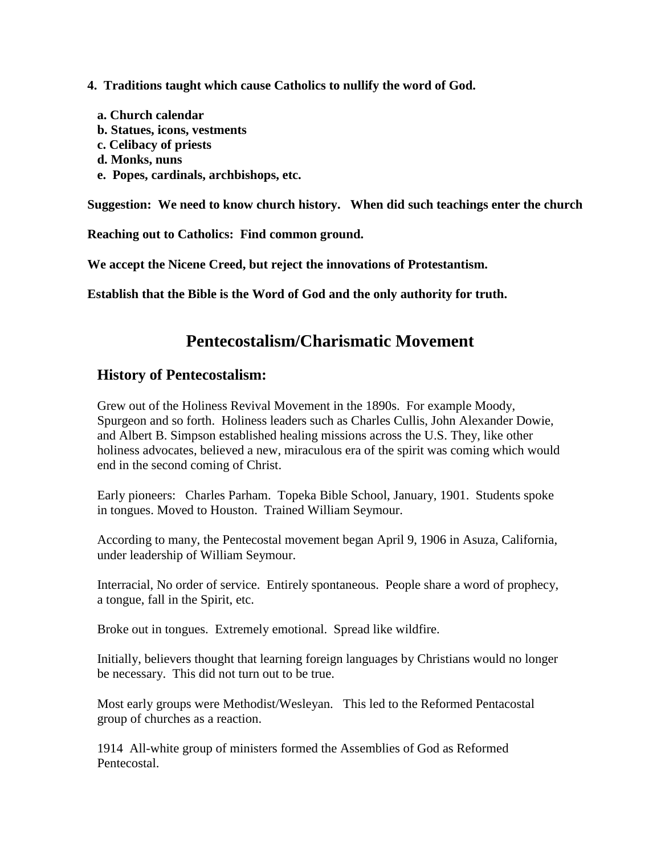- **4. Traditions taught which cause Catholics to nullify the word of God.**
	- **a. Church calendar b. Statues, icons, vestments**
	- **c. Celibacy of priests**
	- **d. Monks, nuns**
	- **e. Popes, cardinals, archbishops, etc.**

**Suggestion: We need to know church history. When did such teachings enter the church**

**Reaching out to Catholics: Find common ground.**

**We accept the Nicene Creed, but reject the innovations of Protestantism.**

**Establish that the Bible is the Word of God and the only authority for truth.**

# **Pentecostalism/Charismatic Movement**

# **History of Pentecostalism:**

Grew out of the Holiness Revival Movement in the 1890s. For example Moody, Spurgeon and so forth. Holiness leaders such as Charles Cullis, John Alexander Dowie, and Albert B. Simpson established healing missions across the U.S. They, like other holiness advocates, believed a new, miraculous era of the spirit was coming which would end in the second coming of Christ.

Early pioneers: Charles Parham. Topeka Bible School, January, 1901. Students spoke in tongues. Moved to Houston. Trained William Seymour.

According to many, the Pentecostal movement began April 9, 1906 in Asuza, California, under leadership of William Seymour.

Interracial, No order of service. Entirely spontaneous. People share a word of prophecy, a tongue, fall in the Spirit, etc.

Broke out in tongues. Extremely emotional. Spread like wildfire.

Initially, believers thought that learning foreign languages by Christians would no longer be necessary. This did not turn out to be true.

Most early groups were Methodist/Wesleyan. This led to the Reformed Pentacostal group of churches as a reaction.

1914 All-white group of ministers formed the Assemblies of God as Reformed Pentecostal.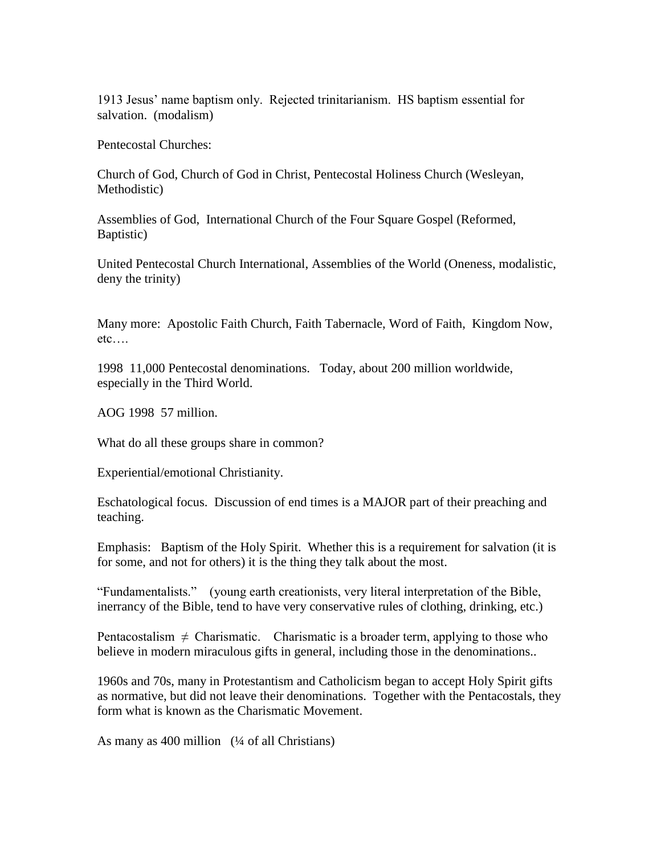1913 Jesus' name baptism only. Rejected trinitarianism. HS baptism essential for salvation. (modalism)

Pentecostal Churches:

Church of God, Church of God in Christ, Pentecostal Holiness Church (Wesleyan, Methodistic)

Assemblies of God, International Church of the Four Square Gospel (Reformed, Baptistic)

United Pentecostal Church International, Assemblies of the World (Oneness, modalistic, deny the trinity)

Many more: Apostolic Faith Church, Faith Tabernacle, Word of Faith, Kingdom Now, etc….

1998 11,000 Pentecostal denominations. Today, about 200 million worldwide, especially in the Third World.

AOG 1998 57 million.

What do all these groups share in common?

Experiential/emotional Christianity.

Eschatological focus. Discussion of end times is a MAJOR part of their preaching and teaching.

Emphasis: Baptism of the Holy Spirit. Whether this is a requirement for salvation (it is for some, and not for others) it is the thing they talk about the most.

"Fundamentalists." (young earth creationists, very literal interpretation of the Bible, inerrancy of the Bible, tend to have very conservative rules of clothing, drinking, etc.)

Pentacostalism  $\neq$  Charismatic. Charismatic is a broader term, applying to those who believe in modern miraculous gifts in general, including those in the denominations..

1960s and 70s, many in Protestantism and Catholicism began to accept Holy Spirit gifts as normative, but did not leave their denominations. Together with the Pentacostals, they form what is known as the Charismatic Movement.

As many as 400 million (¼ of all Christians)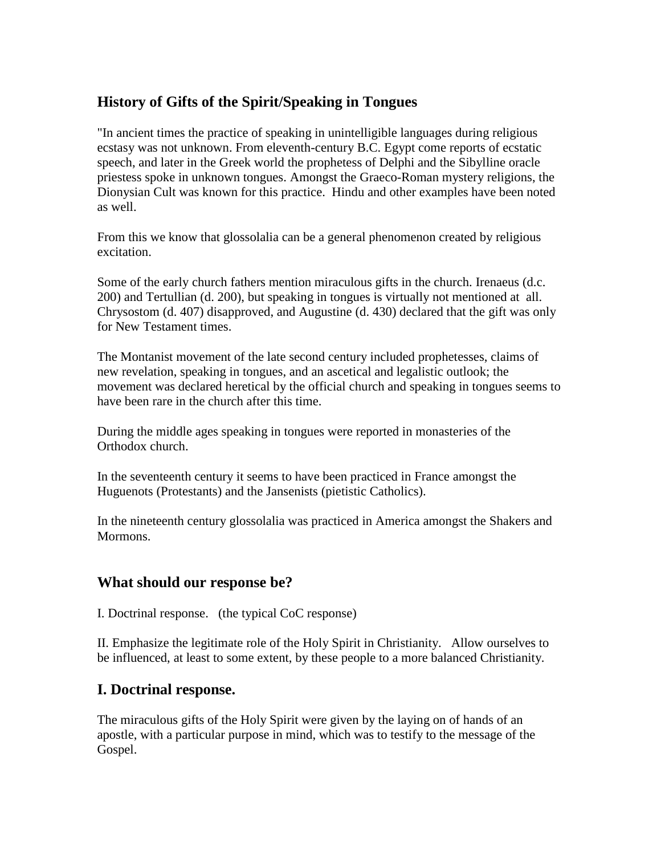# **History of Gifts of the Spirit/Speaking in Tongues**

"In ancient times the practice of speaking in unintelligible languages during religious ecstasy was not unknown. From eleventh-century B.C. Egypt come reports of ecstatic speech, and later in the Greek world the prophetess of Delphi and the Sibylline oracle priestess spoke in unknown tongues. Amongst the Graeco-Roman mystery religions, the Dionysian Cult was known for this practice. Hindu and other examples have been noted as well.

From this we know that glossolalia can be a general phenomenon created by religious excitation.

Some of the early church fathers mention miraculous gifts in the church. Irenaeus (d.c. 200) and Tertullian (d. 200), but speaking in tongues is virtually not mentioned at all. Chrysostom (d. 407) disapproved, and Augustine (d. 430) declared that the gift was only for New Testament times.

The Montanist movement of the late second century included prophetesses, claims of new revelation, speaking in tongues, and an ascetical and legalistic outlook; the movement was declared heretical by the official church and speaking in tongues seems to have been rare in the church after this time.

During the middle ages speaking in tongues were reported in monasteries of the Orthodox church.

In the seventeenth century it seems to have been practiced in France amongst the Huguenots (Protestants) and the Jansenists (pietistic Catholics).

In the nineteenth century glossolalia was practiced in America amongst the Shakers and Mormons.

# **What should our response be?**

I. Doctrinal response. (the typical CoC response)

II. Emphasize the legitimate role of the Holy Spirit in Christianity. Allow ourselves to be influenced, at least to some extent, by these people to a more balanced Christianity.

# **I. Doctrinal response.**

The miraculous gifts of the Holy Spirit were given by the laying on of hands of an apostle, with a particular purpose in mind, which was to testify to the message of the Gospel.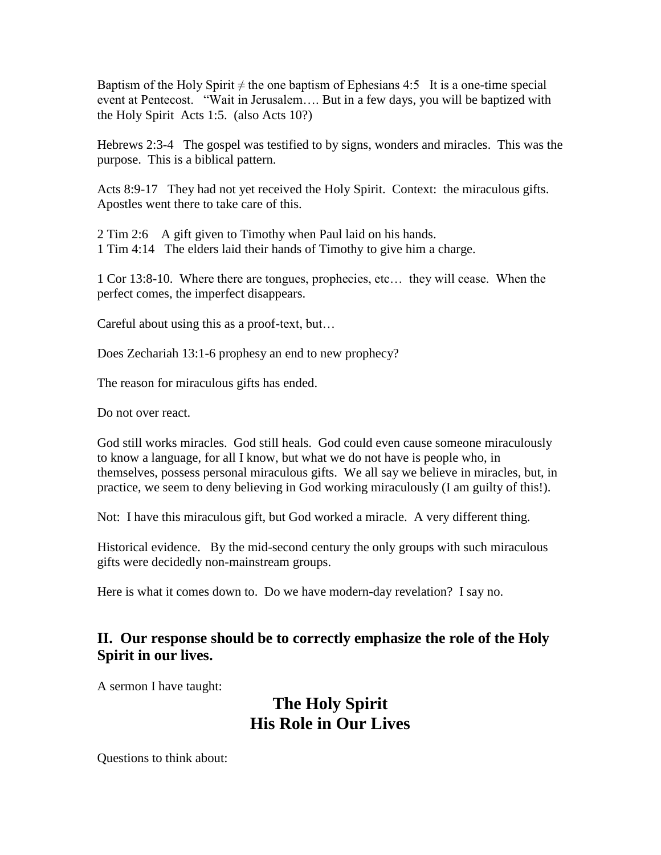Baptism of the Holy Spirit  $\neq$  the one baptism of Ephesians 4:5 It is a one-time special event at Pentecost. "Wait in Jerusalem…. But in a few days, you will be baptized with the Holy Spirit Acts 1:5. (also Acts 10?)

Hebrews 2:3-4 The gospel was testified to by signs, wonders and miracles. This was the purpose. This is a biblical pattern.

Acts 8:9-17 They had not yet received the Holy Spirit. Context: the miraculous gifts. Apostles went there to take care of this.

2 Tim 2:6 A gift given to Timothy when Paul laid on his hands. 1 Tim 4:14 The elders laid their hands of Timothy to give him a charge.

1 Cor 13:8-10. Where there are tongues, prophecies, etc… they will cease. When the perfect comes, the imperfect disappears.

Careful about using this as a proof-text, but…

Does Zechariah 13:1-6 prophesy an end to new prophecy?

The reason for miraculous gifts has ended.

Do not over react.

God still works miracles. God still heals. God could even cause someone miraculously to know a language, for all I know, but what we do not have is people who, in themselves, possess personal miraculous gifts. We all say we believe in miracles, but, in practice, we seem to deny believing in God working miraculously (I am guilty of this!).

Not: I have this miraculous gift, but God worked a miracle. A very different thing.

Historical evidence. By the mid-second century the only groups with such miraculous gifts were decidedly non-mainstream groups.

Here is what it comes down to. Do we have modern-day revelation? I say no.

# **II. Our response should be to correctly emphasize the role of the Holy Spirit in our lives.**

A sermon I have taught:

# **The Holy Spirit His Role in Our Lives**

Questions to think about: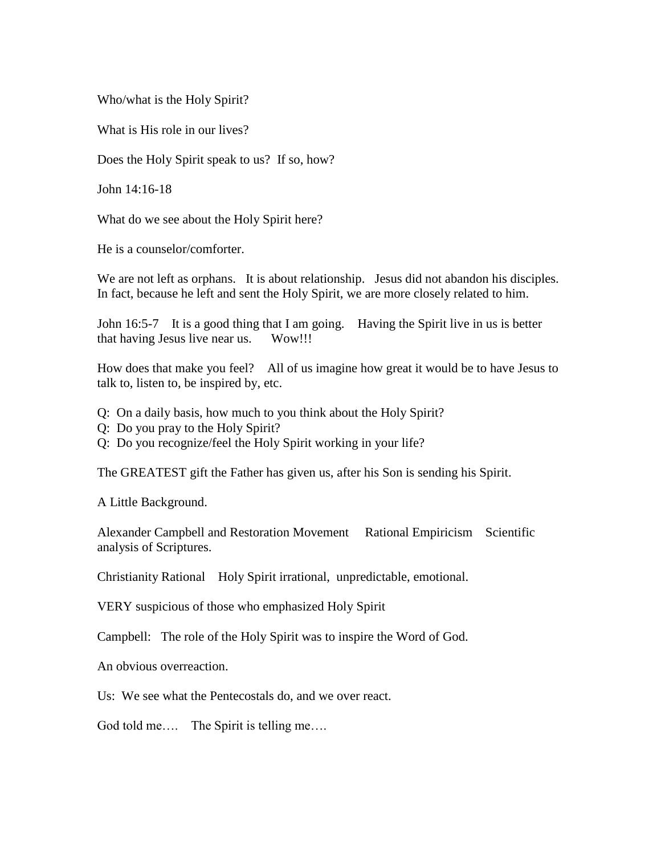Who/what is the Holy Spirit?

What is His role in our lives?

Does the Holy Spirit speak to us? If so, how?

John 14:16-18

What do we see about the Holy Spirit here?

He is a counselor/comforter.

We are not left as orphans. It is about relationship. Jesus did not abandon his disciples. In fact, because he left and sent the Holy Spirit, we are more closely related to him.

John 16:5-7 It is a good thing that I am going. Having the Spirit live in us is better that having Jesus live near us. Wow!!!

How does that make you feel? All of us imagine how great it would be to have Jesus to talk to, listen to, be inspired by, etc.

- Q: On a daily basis, how much to you think about the Holy Spirit?
- Q: Do you pray to the Holy Spirit?
- Q: Do you recognize/feel the Holy Spirit working in your life?

The GREATEST gift the Father has given us, after his Son is sending his Spirit.

A Little Background.

Alexander Campbell and Restoration Movement Rational Empiricism Scientific analysis of Scriptures.

Christianity Rational Holy Spirit irrational, unpredictable, emotional.

VERY suspicious of those who emphasized Holy Spirit

Campbell: The role of the Holy Spirit was to inspire the Word of God.

An obvious overreaction.

Us: We see what the Pentecostals do, and we over react.

God told me.... The Spirit is telling me....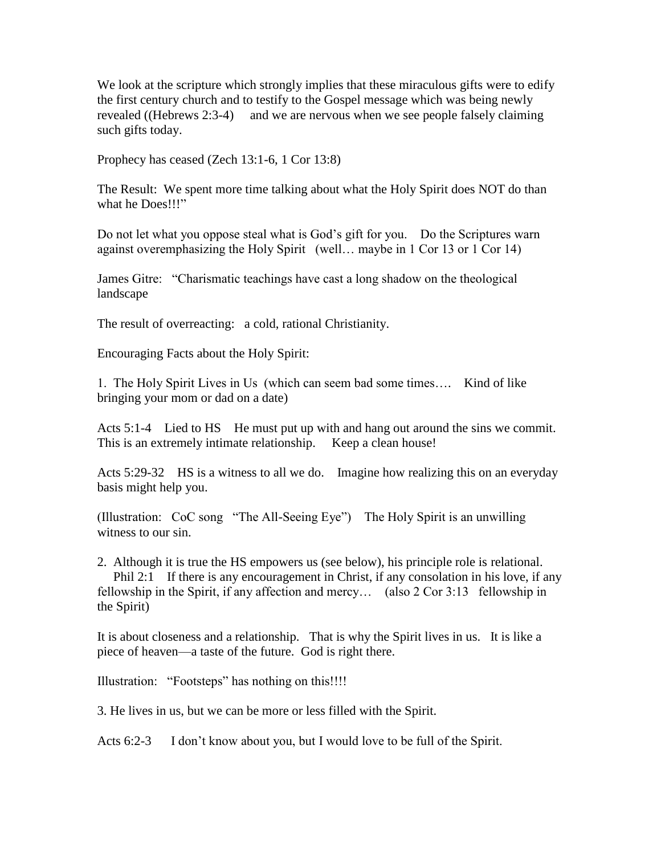We look at the scripture which strongly implies that these miraculous gifts were to edify the first century church and to testify to the Gospel message which was being newly revealed ((Hebrews 2:3-4) and we are nervous when we see people falsely claiming such gifts today.

Prophecy has ceased (Zech 13:1-6, 1 Cor 13:8)

The Result: We spent more time talking about what the Holy Spirit does NOT do than what he Does!!!"

Do not let what you oppose steal what is God's gift for you. Do the Scriptures warn against overemphasizing the Holy Spirit (well… maybe in 1 Cor 13 or 1 Cor 14)

James Gitre: "Charismatic teachings have cast a long shadow on the theological landscape

The result of overreacting: a cold, rational Christianity.

Encouraging Facts about the Holy Spirit:

1. The Holy Spirit Lives in Us (which can seem bad some times…. Kind of like bringing your mom or dad on a date)

Acts 5:1-4 Lied to HS He must put up with and hang out around the sins we commit. This is an extremely intimate relationship. Keep a clean house!

Acts 5:29-32 HS is a witness to all we do. Imagine how realizing this on an everyday basis might help you.

(Illustration: CoC song "The All-Seeing Eye") The Holy Spirit is an unwilling witness to our sin.

2. Although it is true the HS empowers us (see below), his principle role is relational.

Phil 2:1 If there is any encouragement in Christ, if any consolation in his love, if any fellowship in the Spirit, if any affection and mercy… (also 2 Cor 3:13 fellowship in the Spirit)

It is about closeness and a relationship. That is why the Spirit lives in us. It is like a piece of heaven—a taste of the future. God is right there.

Illustration: "Footsteps" has nothing on this!!!!

3. He lives in us, but we can be more or less filled with the Spirit.

Acts 6:2-3 I don't know about you, but I would love to be full of the Spirit.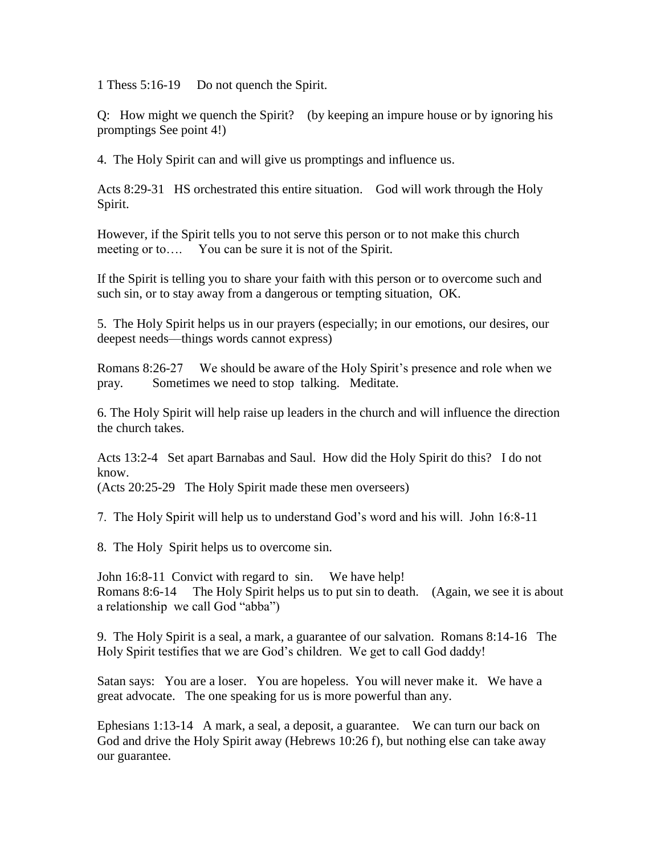1 Thess 5:16-19 Do not quench the Spirit.

Q: How might we quench the Spirit? (by keeping an impure house or by ignoring his promptings See point 4!)

4. The Holy Spirit can and will give us promptings and influence us.

Acts 8:29-31 HS orchestrated this entire situation. God will work through the Holy Spirit.

However, if the Spirit tells you to not serve this person or to not make this church meeting or to.... You can be sure it is not of the Spirit.

If the Spirit is telling you to share your faith with this person or to overcome such and such sin, or to stay away from a dangerous or tempting situation, OK.

5. The Holy Spirit helps us in our prayers (especially; in our emotions, our desires, our deepest needs—things words cannot express)

Romans 8:26-27 We should be aware of the Holy Spirit's presence and role when we pray. Sometimes we need to stop talking. Meditate.

6. The Holy Spirit will help raise up leaders in the church and will influence the direction the church takes.

Acts 13:2-4 Set apart Barnabas and Saul. How did the Holy Spirit do this? I do not know.

(Acts 20:25-29 The Holy Spirit made these men overseers)

7. The Holy Spirit will help us to understand God's word and his will. John 16:8-11

8. The Holy Spirit helps us to overcome sin.

John 16:8-11 Convict with regard to sin. We have help! Romans 8:6-14 The Holy Spirit helps us to put sin to death. (Again, we see it is about a relationship we call God "abba")

9. The Holy Spirit is a seal, a mark, a guarantee of our salvation. Romans 8:14-16 The Holy Spirit testifies that we are God's children. We get to call God daddy!

Satan says: You are a loser. You are hopeless. You will never make it. We have a great advocate. The one speaking for us is more powerful than any.

Ephesians 1:13-14 A mark, a seal, a deposit, a guarantee. We can turn our back on God and drive the Holy Spirit away (Hebrews 10:26 f), but nothing else can take away our guarantee.